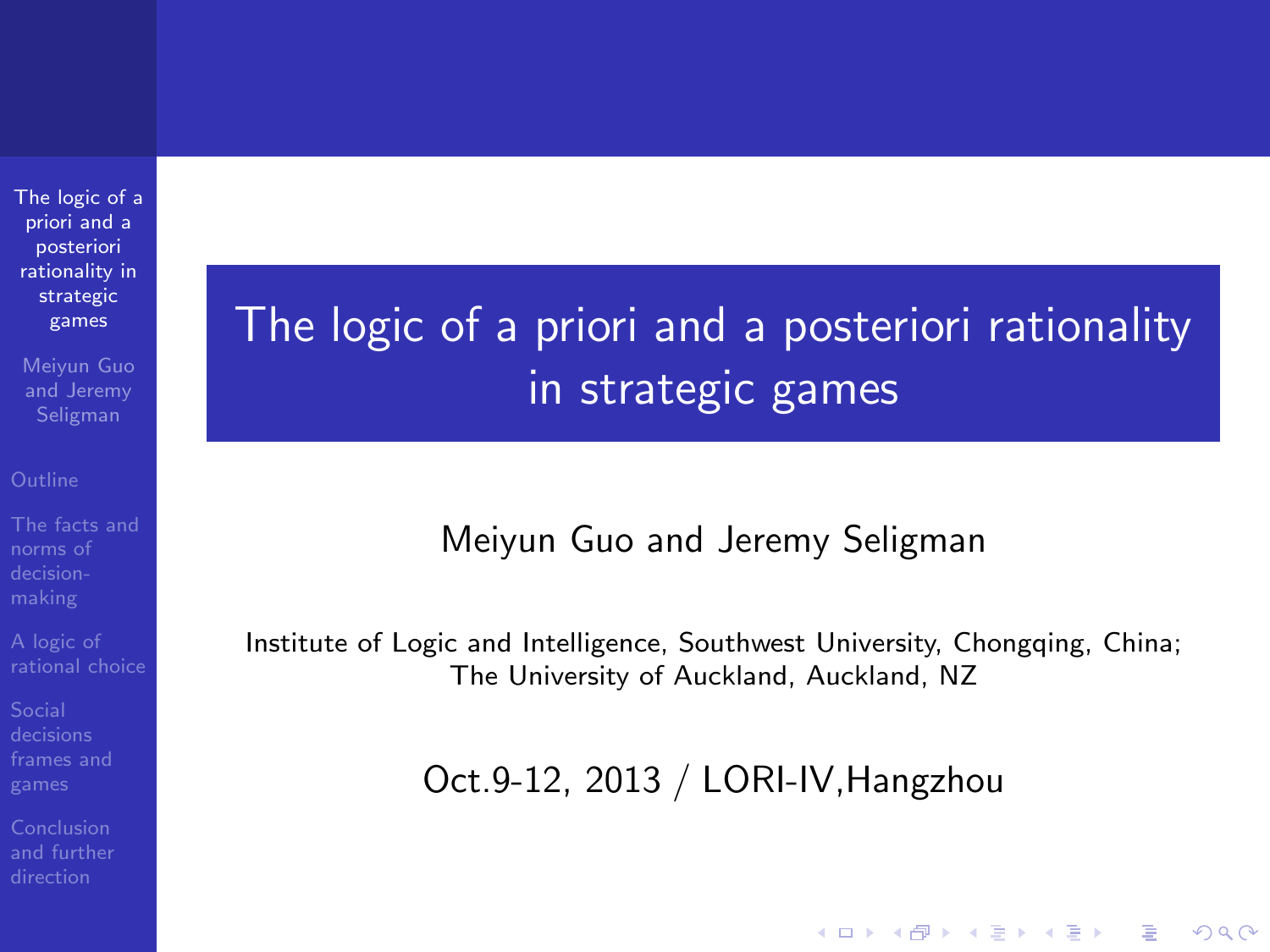[The logic of a](#page-90-0) priori and a posteriori rationality in strategic games

Meiyun Guo and Jeremy Seligman

<span id="page-0-0"></span>

# The logic of a priori and a posteriori rationality in strategic games

### Meiyun Guo and Jeremy Seligman

Institute of Logic and Intelligence, Southwest University, Chongqing, China; The University of Auckland, Auckland, NZ

Oct.9-12, 2013 / LORI-IV,Hangzhou

**KORK ERKER ADE YOUR**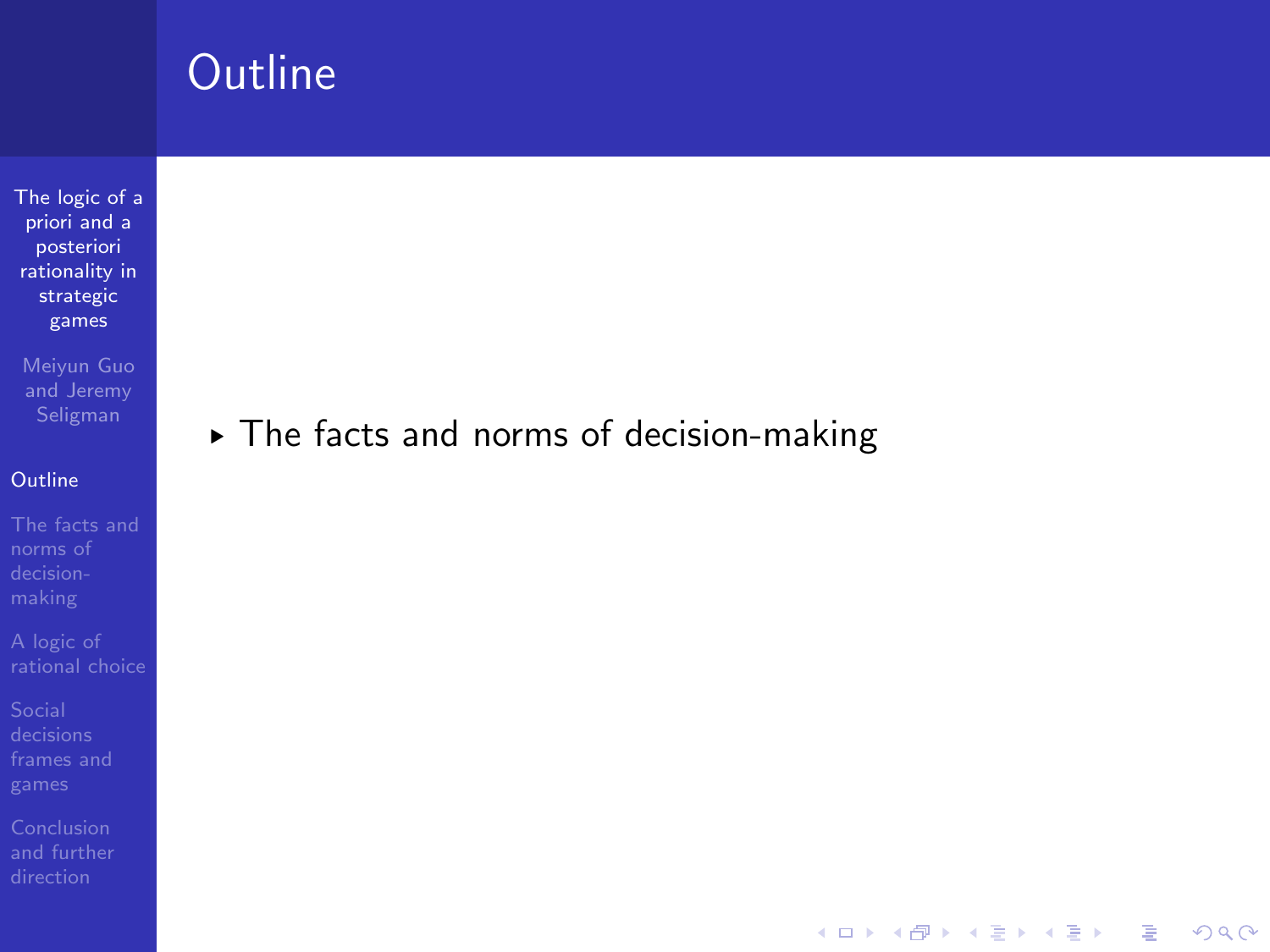[The logic of a](#page-0-0) priori and a posteriori rationality in strategic games

Meiyun Guo and Jeremy

### **[Outline](#page-1-0)**

[The facts and](#page-5-0) norms of

[frames and](#page-44-0)

<span id="page-1-0"></span>[and further](#page-82-0)

### § The facts and norms of decision-making

K ロ ▶ K @ ▶ K 할 > K 할 > 1 할 > 1 이익어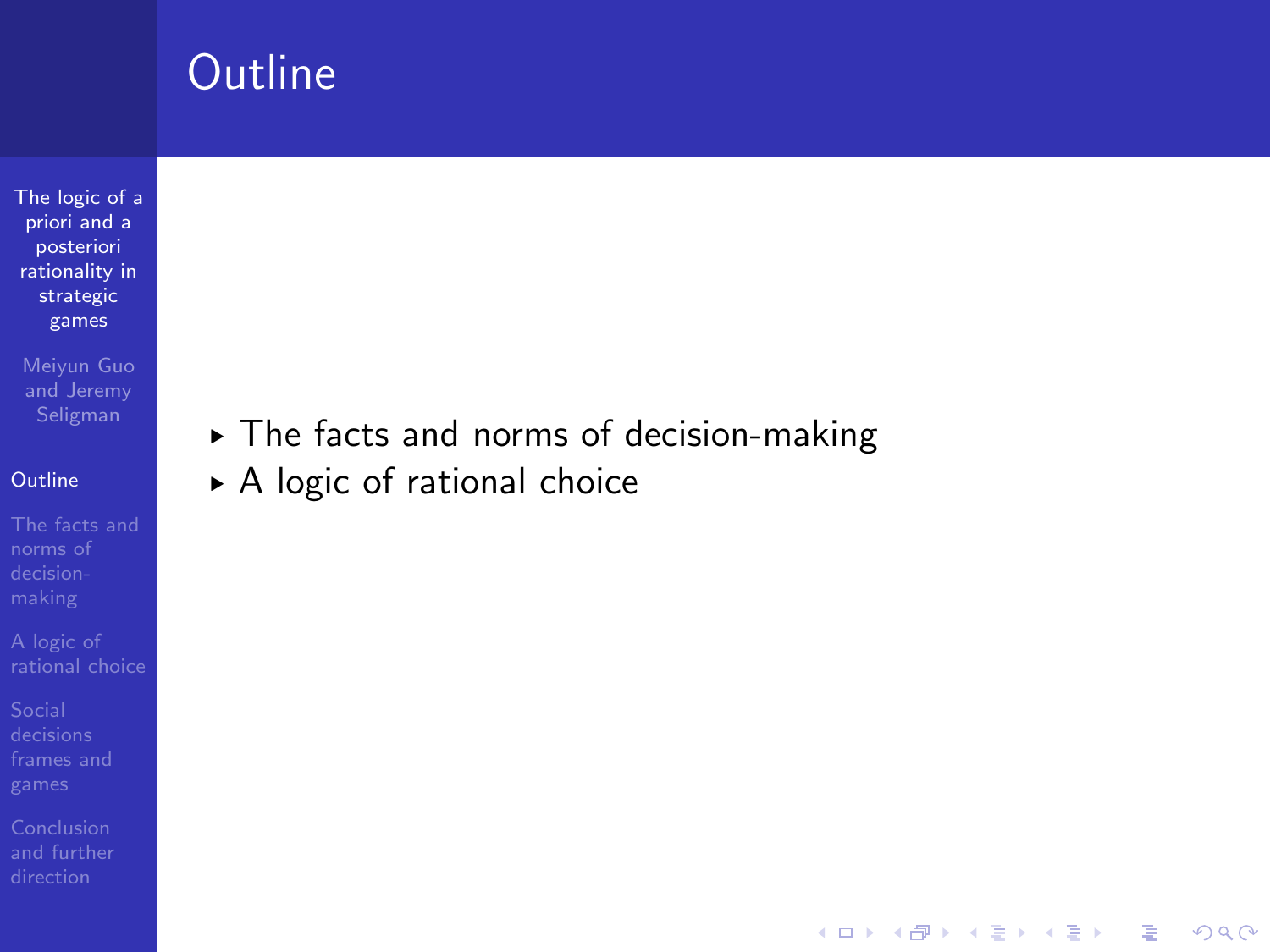[The logic of a](#page-0-0) priori and a posteriori rationality in strategic games

Meiyun Guo and Jeremy

### **[Outline](#page-1-0)**

norms of

[frames and](#page-44-0)

[and further](#page-82-0)

§ The facts and norms of decision-making

K ロ ▶ K @ ▶ K 할 > K 할 > 1 할 > 1 이익어

▶ A logic of rational choice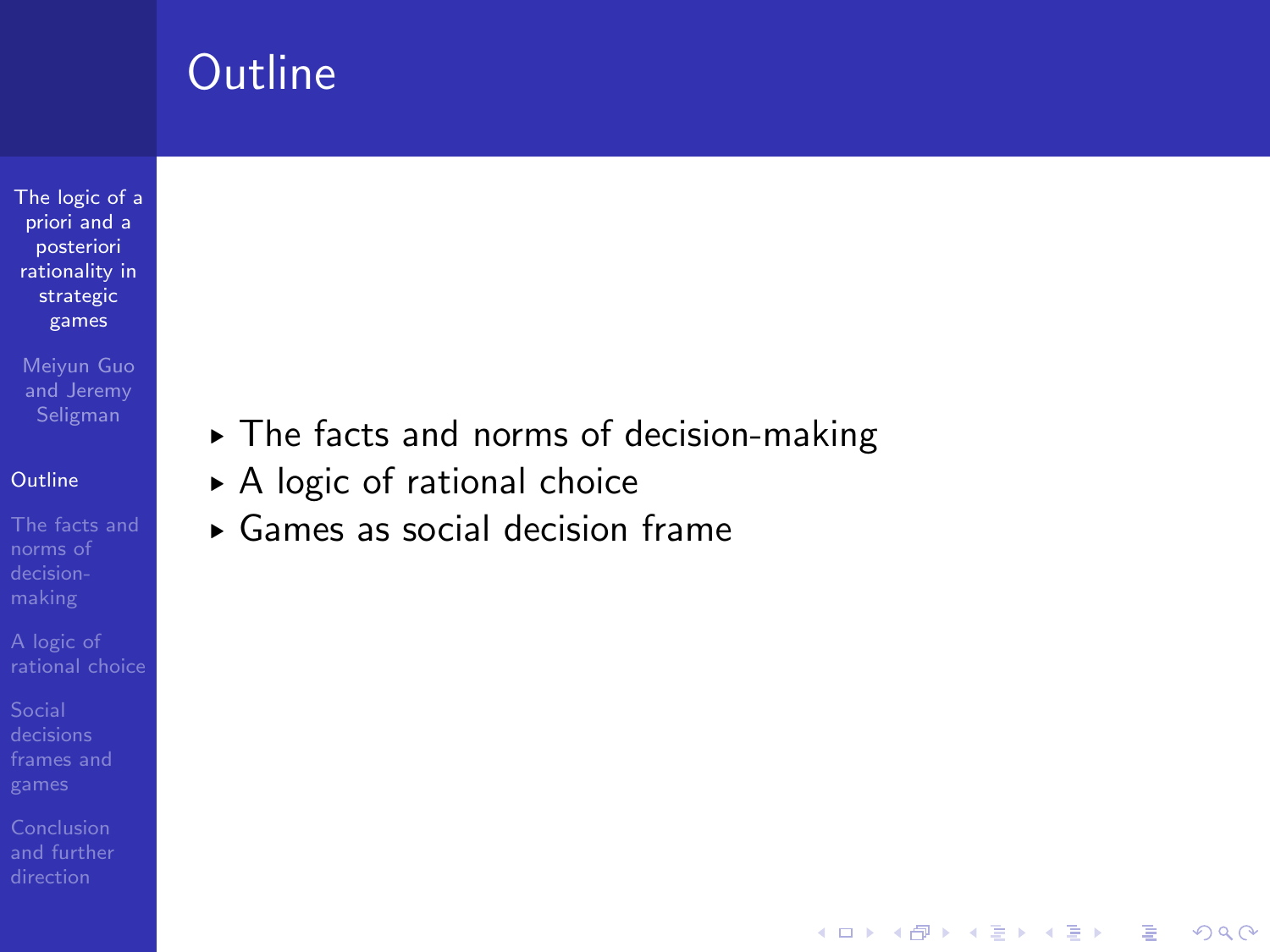[The logic of a](#page-0-0) priori and a posteriori rationality in strategic games

Meiyun Guo and Jeremy

### **[Outline](#page-1-0)**

norms of

[frames and](#page-44-0)

§ The facts and norms of decision-making

- ▶ A logic of rational choice
- § Games as social decision frame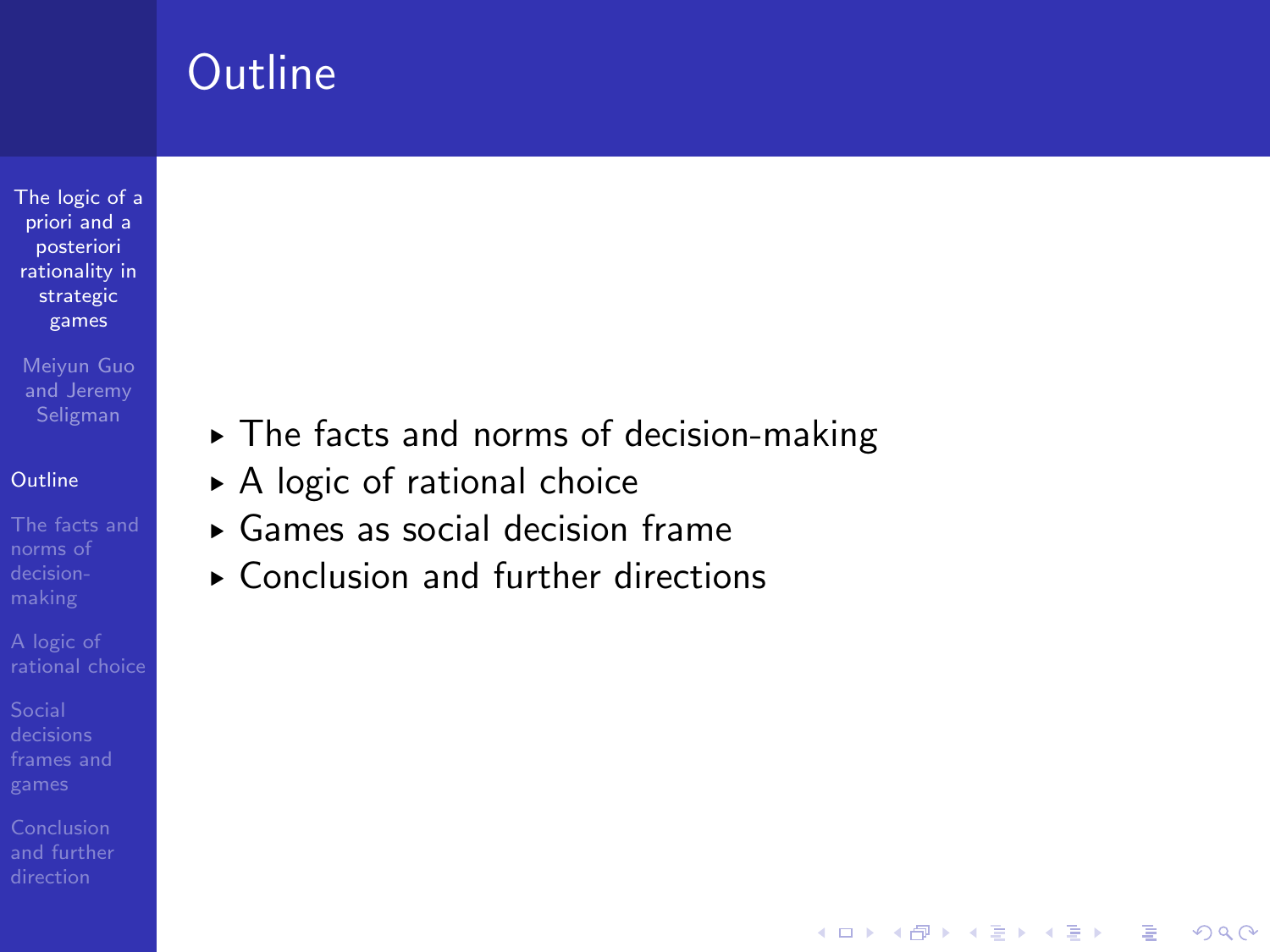[The logic of a](#page-0-0) priori and a posteriori rationality in strategic games

Meiyun Guo and Jeremy

### **[Outline](#page-1-0)**

norms of

[frames and](#page-44-0)

§ The facts and norms of decision-making

- ▶ A logic of rational choice
- § Games as social decision frame
- $\blacktriangleright$  Conclusion and further directions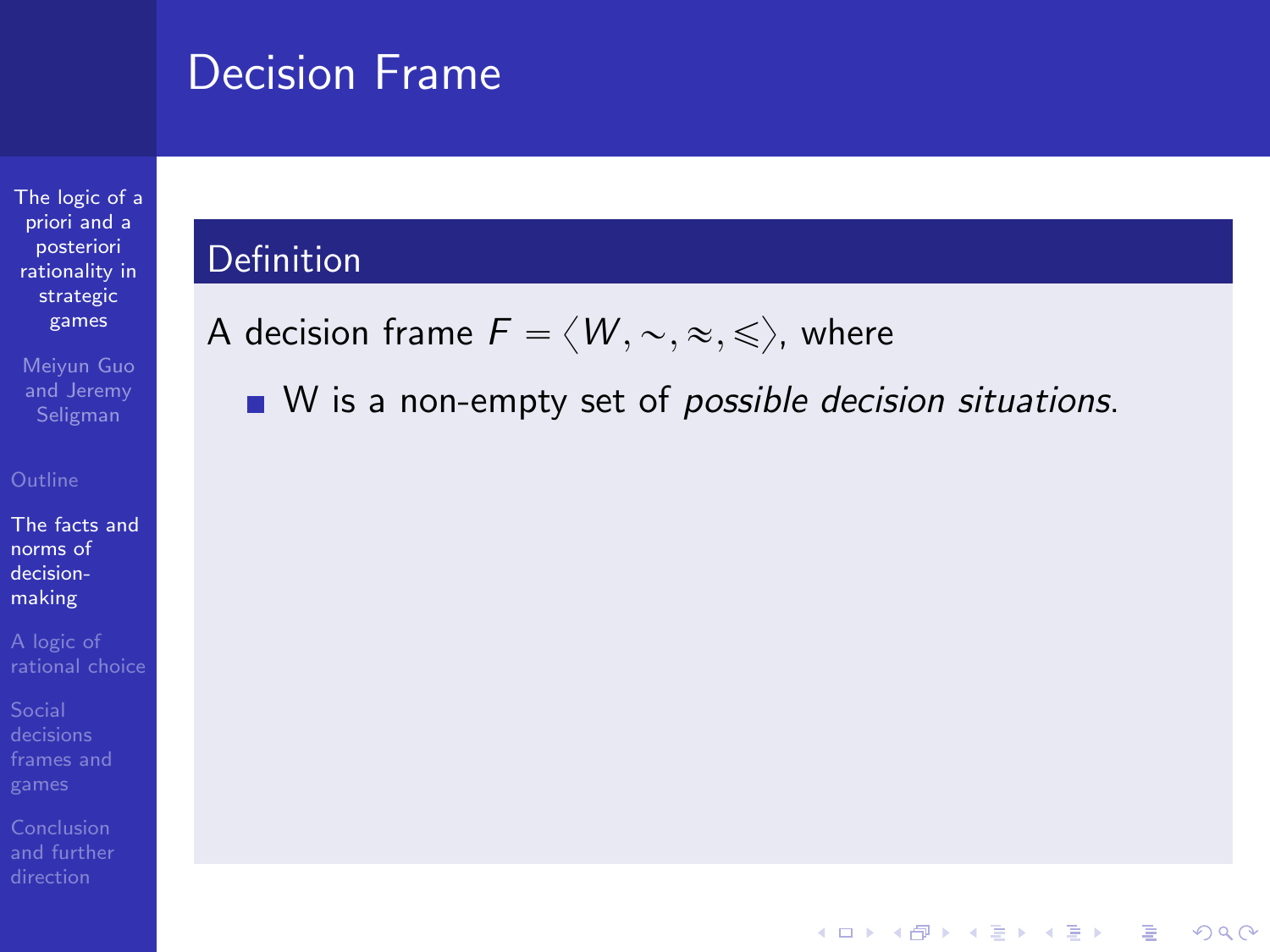[The logic of a](#page-0-0) priori and a posteriori rationality in strategic games

Meiyun Guo and Jeremy

[The facts and](#page-5-0) norms of decisionmaking

[frames and](#page-44-0)

<span id="page-5-0"></span>

### Definition

A decision frame  $F = \langle W, \sim, \approx, \leq \rangle$ , where

 $\blacksquare$  W is a non-empty set of possible decision situations.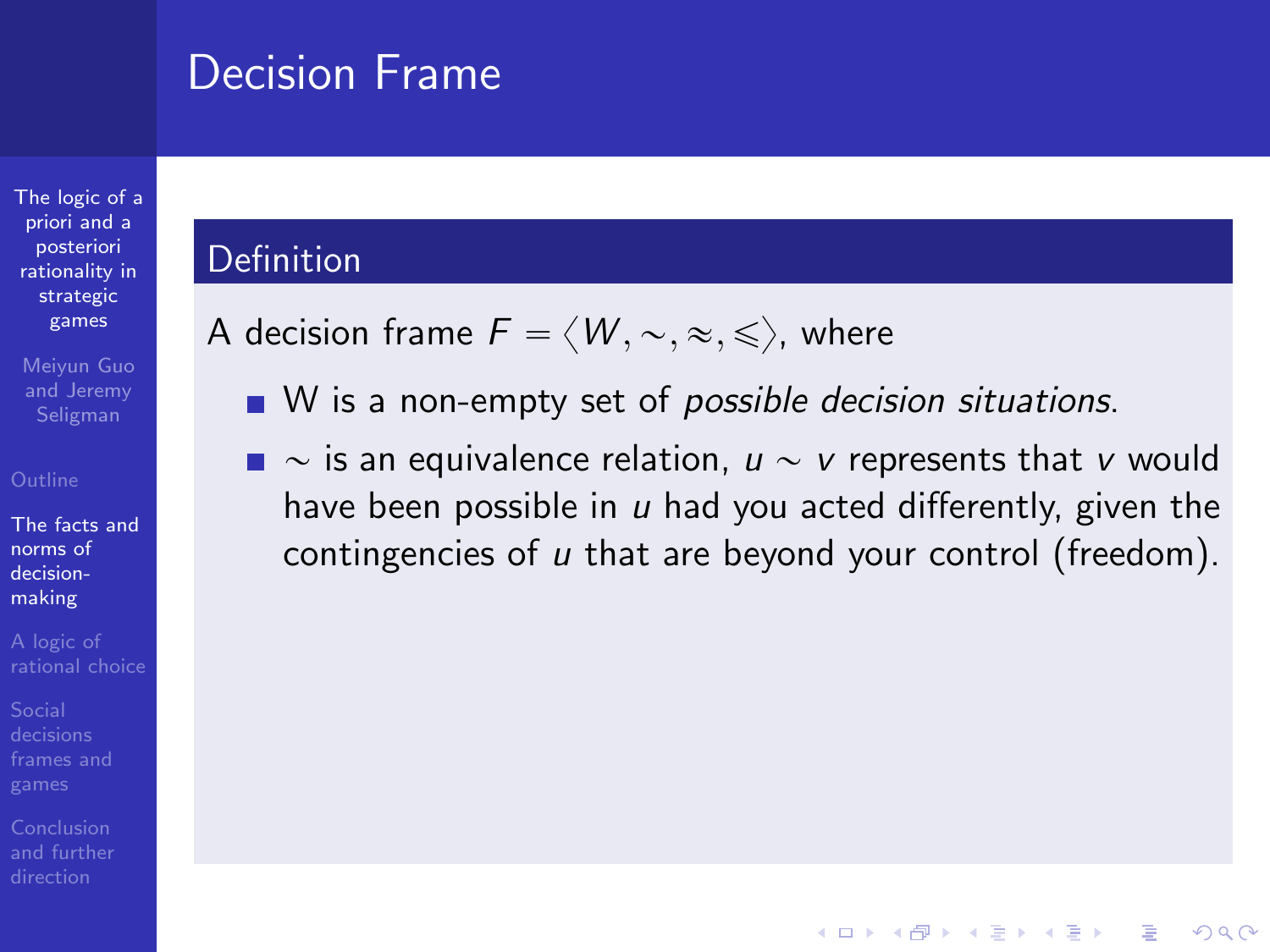priori and a posteriori rationality in strategic games

[The logic of a](#page-0-0)

Meiyun Guo and Jeremy Seligman

[The facts and](#page-5-0) norms of decisionmaking

Conclusion [and further](#page-82-0)

### Definition

A decision frame  $F = \langle W, \sim, \approx, \leq \rangle$ , where

- $\blacksquare$  W is a non-empty set of possible decision situations.
- $\blacksquare \sim$  is an equivalence relation,  $u \sim v$  represents that v would have been possible in  $u$  had you acted differently, given the contingencies of u that are beyond your control (freedom).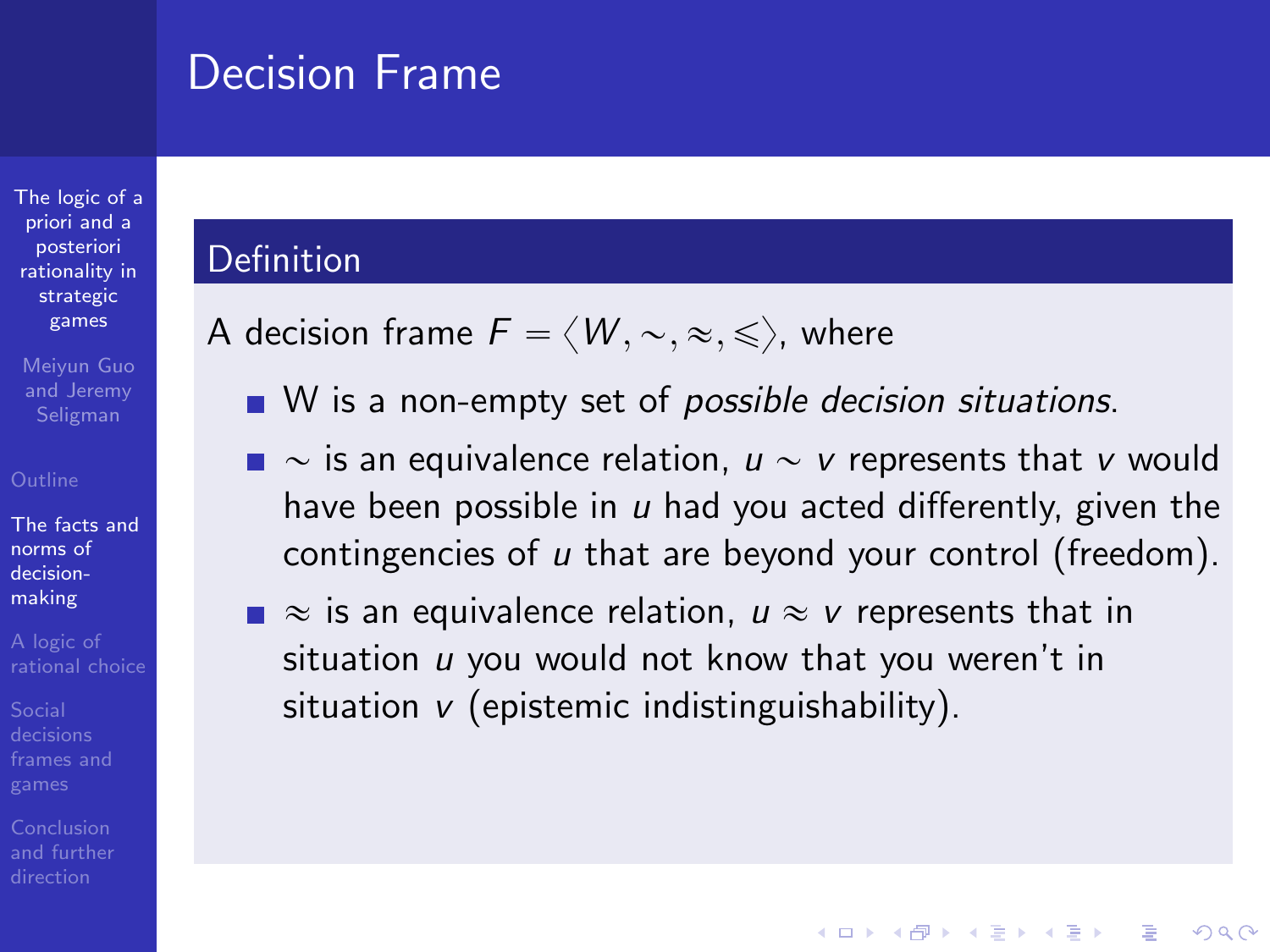### Definition

A decision frame  $F = \langle W, \sim, \approx, \leq \rangle$ , where

- $\blacksquare$  W is a non-empty set of possible decision situations.
- $\blacksquare \sim$  is an equivalence relation,  $u \sim v$  represents that v would have been possible in  $u$  had you acted differently, given the contingencies of u that are beyond your control (freedom).

**KORK ERKER ADE YOUR** 

 $\blacksquare \approx$  is an equivalence relation,  $u \approx v$  represents that in situation  $u$  you would not know that you weren't in situation  $v$  (epistemic indistinguishability).

- 
- [The facts and](#page-5-0) norms of decisionmaking
- 

[The logic of a](#page-0-0) priori and a posteriori rationality in strategic games Meiyun Guo and Jeremy Seligman

- 
-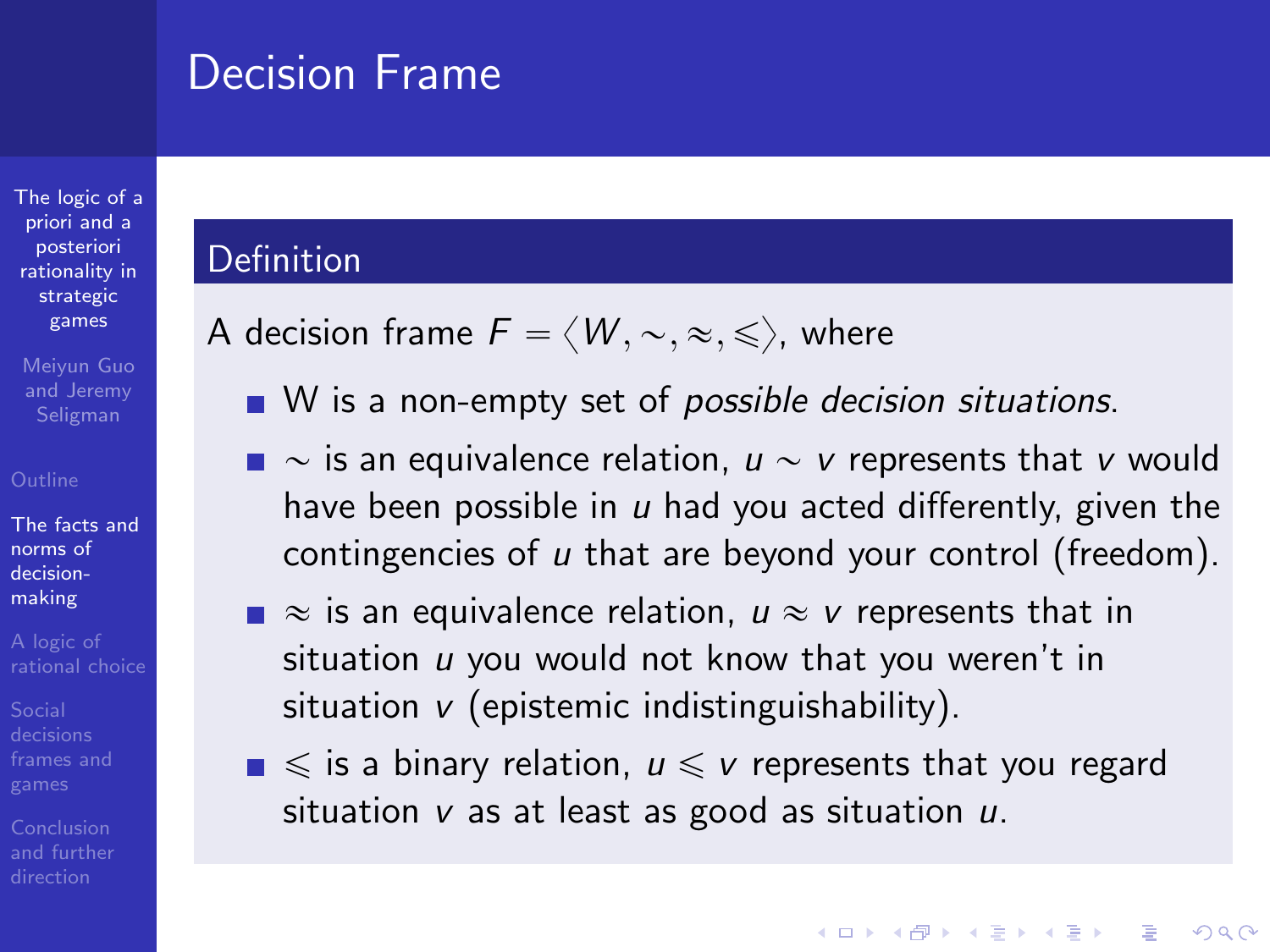### **Definition**

A decision frame  $F = \langle W, \sim, \approx, \leq \rangle$ , where

- $\blacksquare$  W is a non-empty set of possible decision situations.
- $\blacksquare \sim$  is an equivalence relation,  $u \sim v$  represents that v would have been possible in  $u$  had you acted differently, given the contingencies of u that are beyond your control (freedom).
- $\blacksquare \approx$  is an equivalence relation,  $u \approx v$  represents that in situation  $u$  you would not know that you weren't in situation  $v$  (epistemic indistinguishability).
- $\blacksquare \leqslant$  is a binary relation,  $u \leqslant v$  represents that you regard situation  $v$  as at least as good as situation  $u$ .

**KORK ERKER ADE YOUR** 

[The facts and](#page-5-0) norms of decisionmaking

[The logic of a](#page-0-0) priori and a posteriori rationality in strategic games Meiyun Guo and Jeremy Seligman

- 
- 
-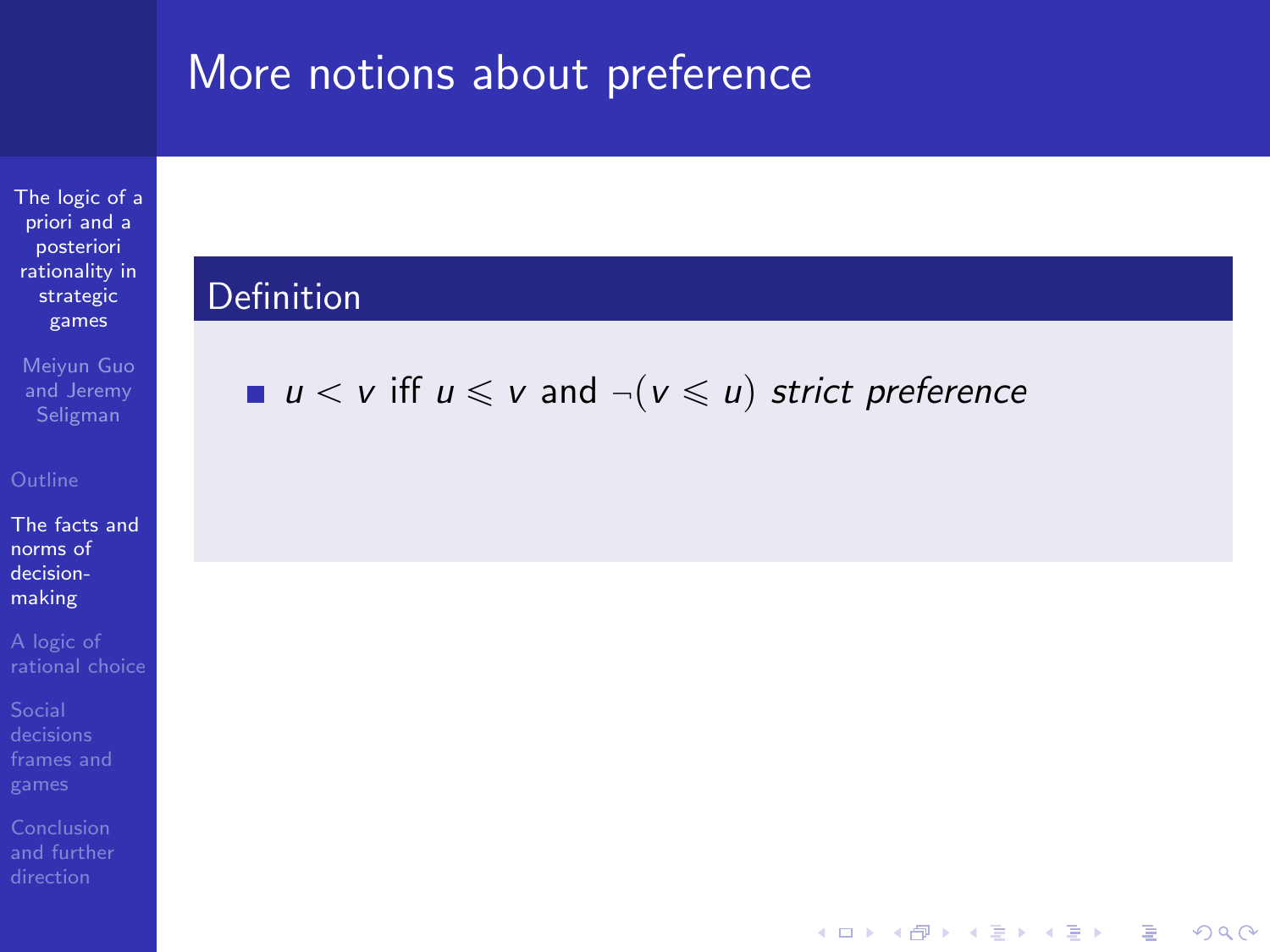[The logic of a](#page-0-0) priori and a posteriori rationality in strategic games

Meiyun Guo and Jeremy

[The facts and](#page-5-0) norms of decisionmaking

[frames and](#page-44-0)

### **Definition**

 $u < v$  iff  $u \le v$  and  $\neg (v \le u)$  strict preference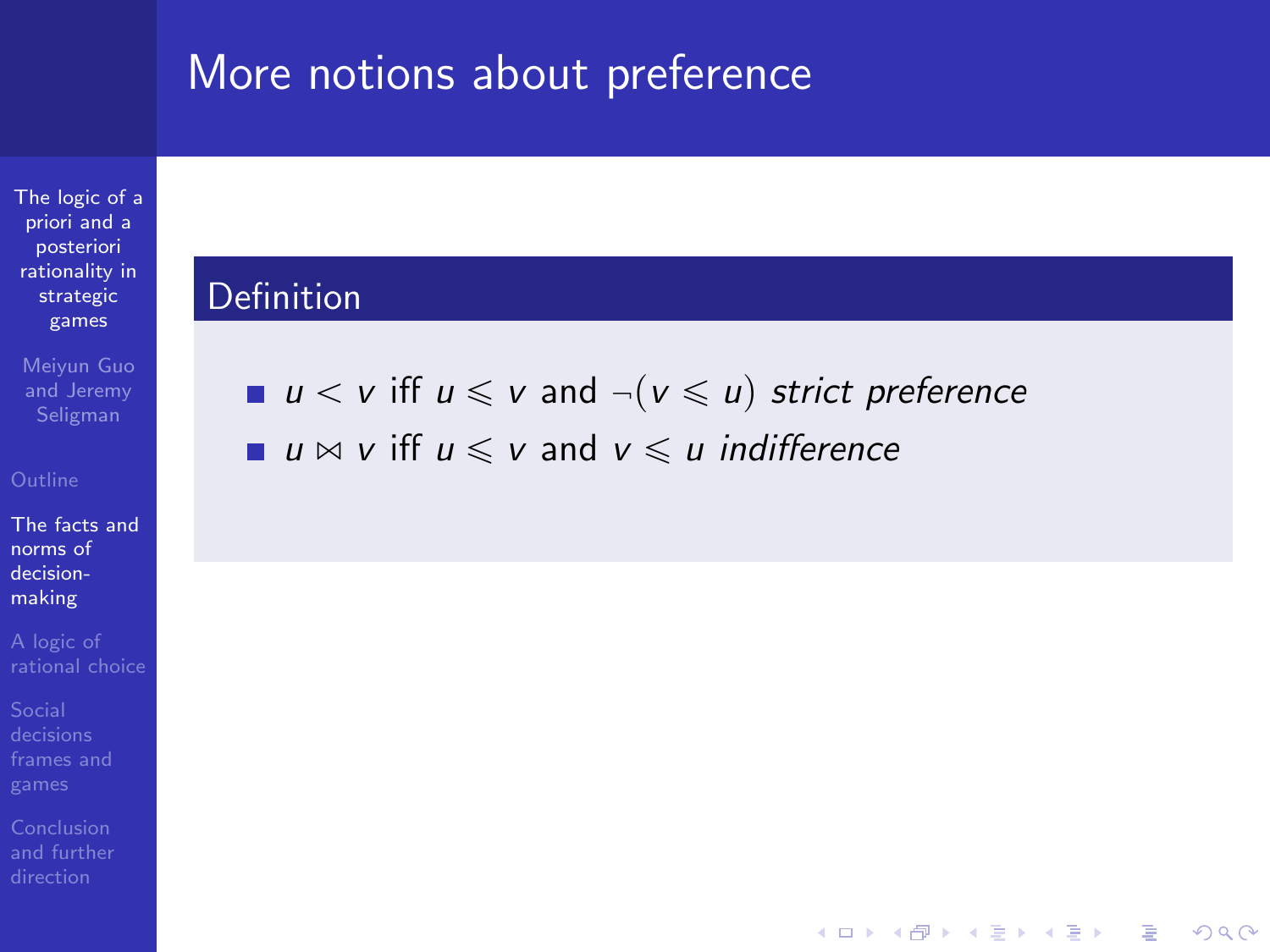[The logic of a](#page-0-0) priori and a posteriori rationality in strategic games

Meiyun Guo and Jeremy

[The facts and](#page-5-0) norms of decisionmaking

[and further](#page-82-0)

### Definition

u  $v \leq v$  iff  $u \leq v$  and  $\neg (v \leq u)$  strict preference

**KORK ERKER ER AGA** 

u  $\bowtie$  v iff  $u \le v$  and  $v \le u$  indifference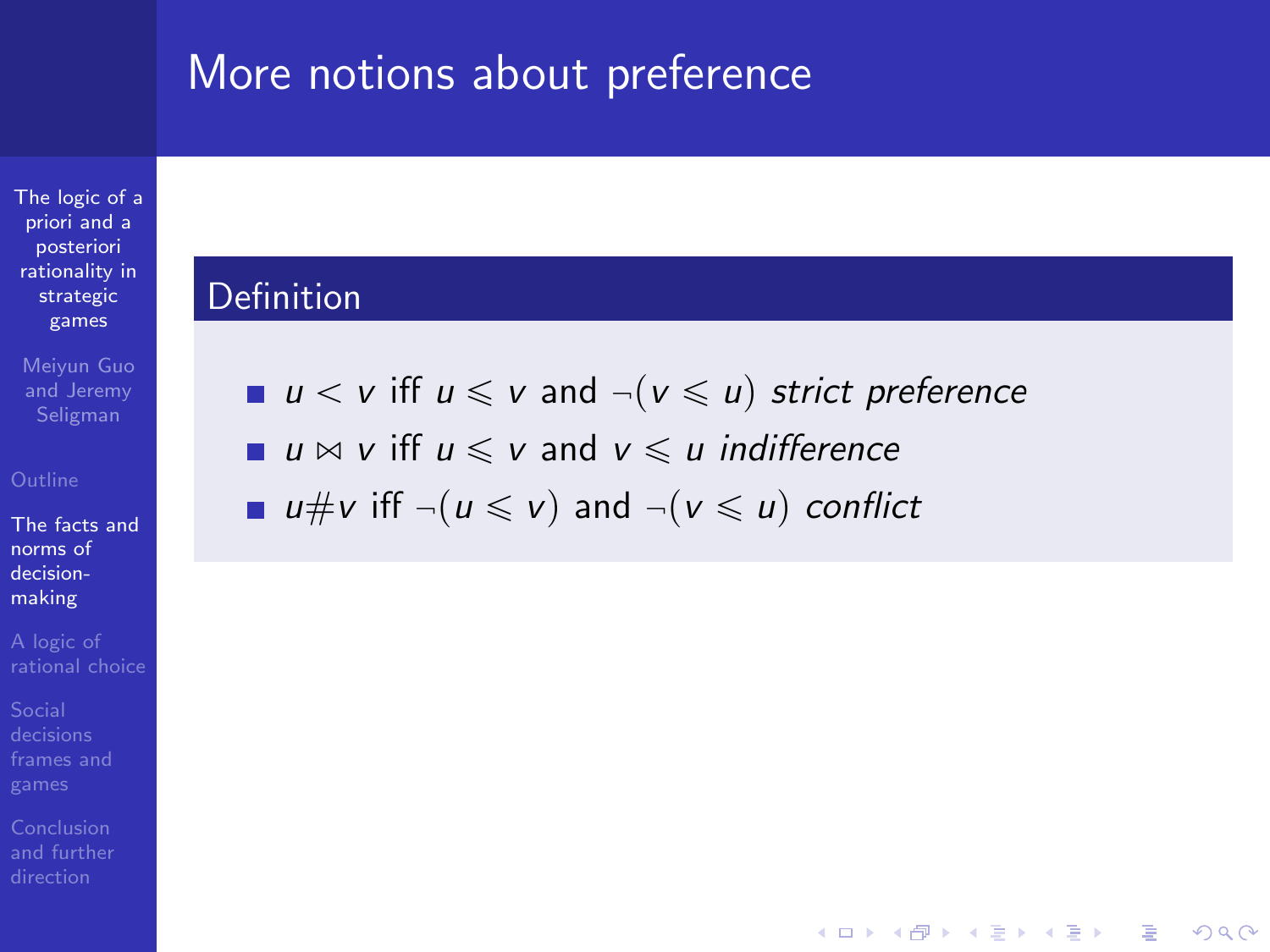[The logic of a](#page-0-0) priori and a posteriori rationality in strategic games

Meiyun Guo and Jeremy

[The facts and](#page-5-0) norms of decisionmaking

### Definition

u  $v \leq v$  iff  $u \leq v$  and  $\neg (v \leq u)$  strict preference

**KORK ERKER ER AGA** 

u  $\bowtie$  v iff  $u \le v$  and  $v \le u$  indifference

u#v iff  $\neg(u \leq v)$  and  $\neg(v \leq u)$  conflict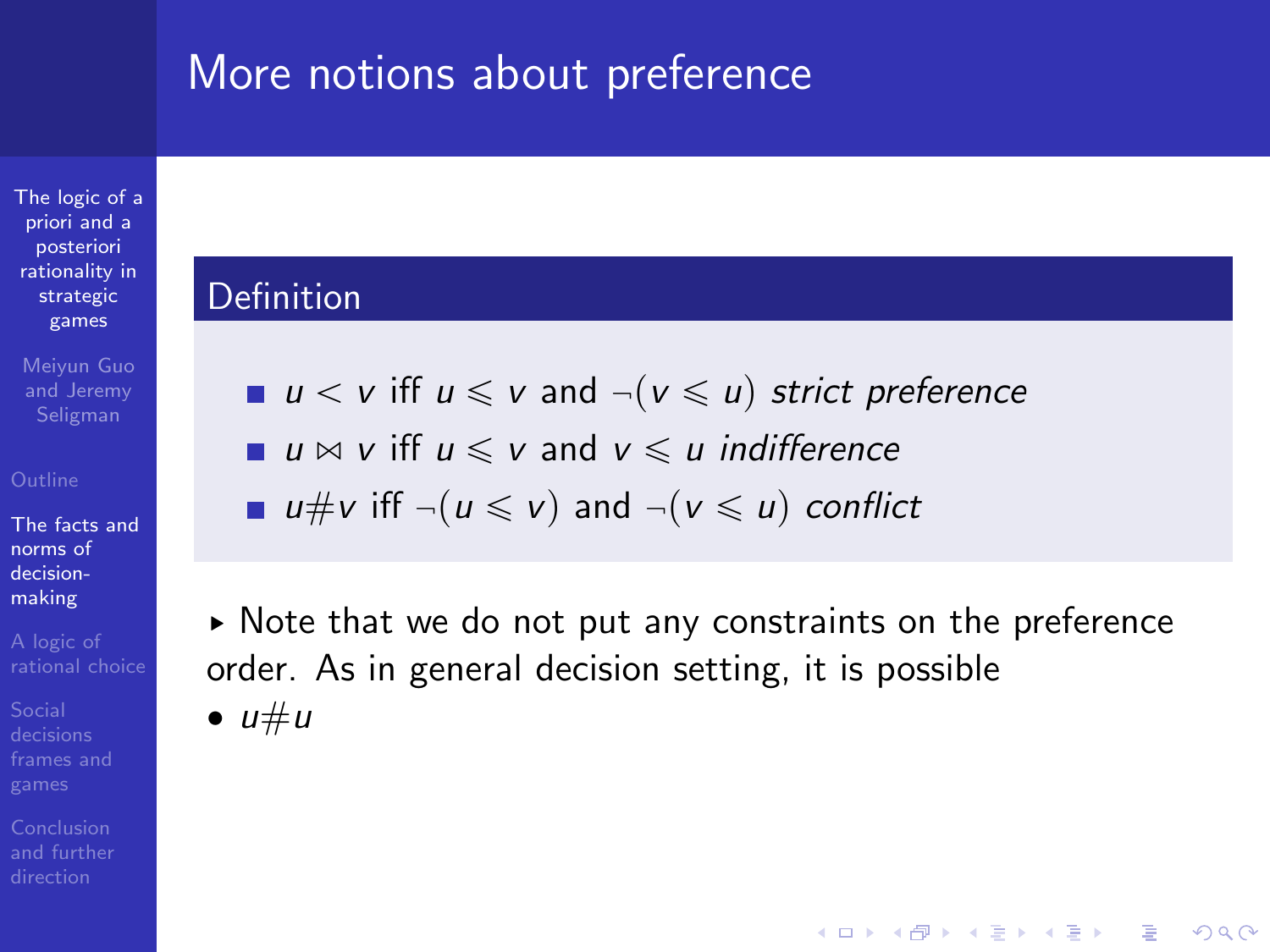[The logic of a](#page-0-0) priori and a posteriori rationality in strategic games

Meiyun Guo and Jeremy Seligman

[The facts and](#page-5-0) norms of decisionmaking

### Definition

| ■ $u < v$ iff $u \leqslant v$ and $\neg(v \leqslant u)$ strict preference |  |  |
|---------------------------------------------------------------------------|--|--|
|---------------------------------------------------------------------------|--|--|

- u  $\bowtie$  v iff  $u \le v$  and  $v \le u$  indifference
- u#v iff  $\neg(u \leq v)$  and  $\neg(v \leq u)$  conflict

§ Note that we do not put any constraints on the preference order. As in general decision setting, it is possible  $\bullet u \# u$ 

**KORK ERKER ADE YOUR**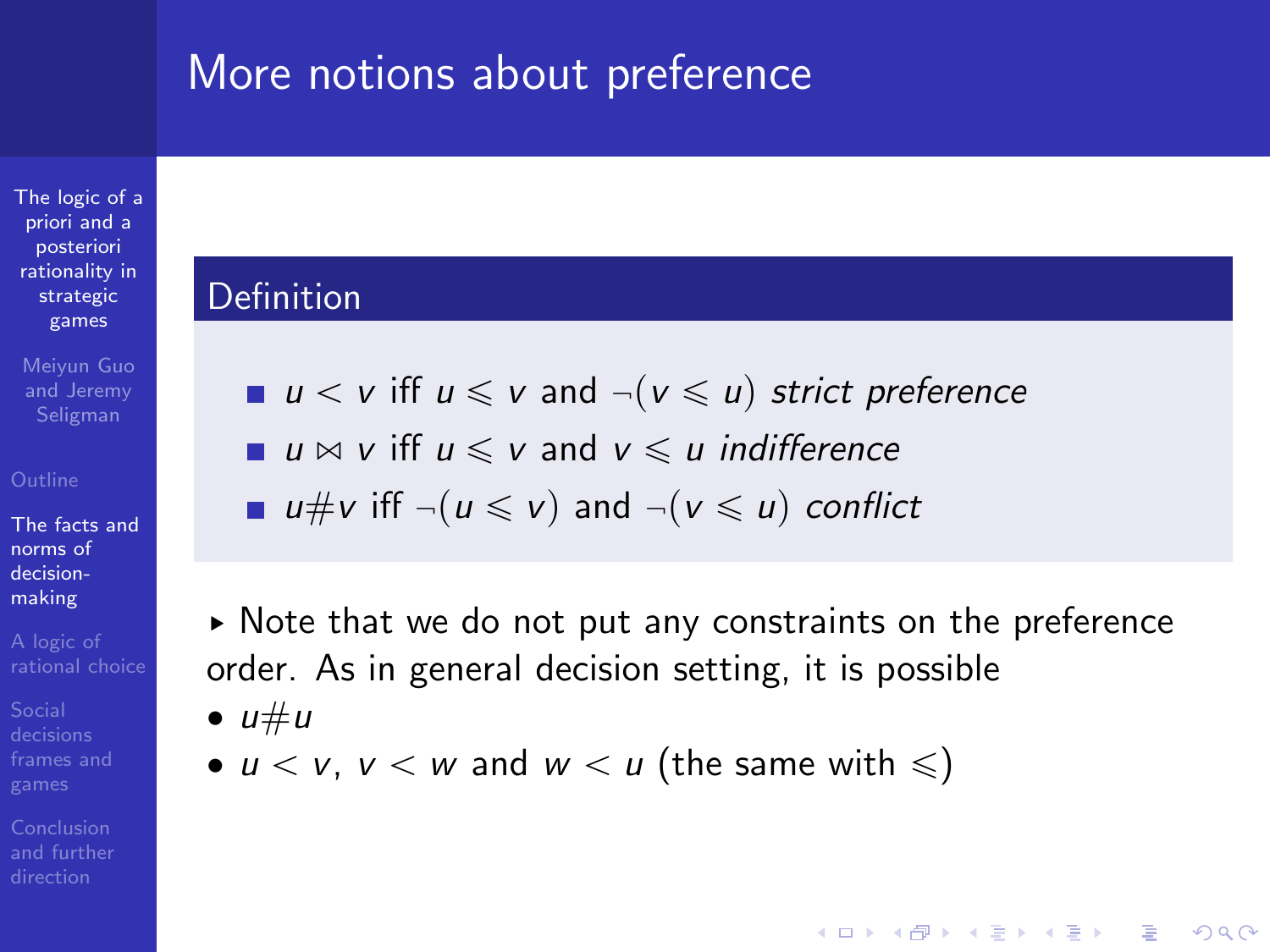[The logic of a](#page-0-0) priori and a posteriori rationality in strategic games

Meiyun Guo and Jeremy Seligman

[The facts and](#page-5-0) norms of decisionmaking

Conclusion

### Definition

 $u < v$  iff  $u \le v$  and  $\neg (v \le u)$  strict preference

u  $\bowtie$  v iff  $u \le v$  and  $v \le u$  indifference

u#v iff  $\neg(u \leq v)$  and  $\neg(v \leq u)$  conflict

§ Note that we do not put any constraints on the preference order. As in general decision setting, it is possible  $\bullet u \# u$ 

**KORK ERKER ADE YOUR** 

•  $u < v$ ,  $v < w$  and  $w < u$  (the same with  $\leqslant$ )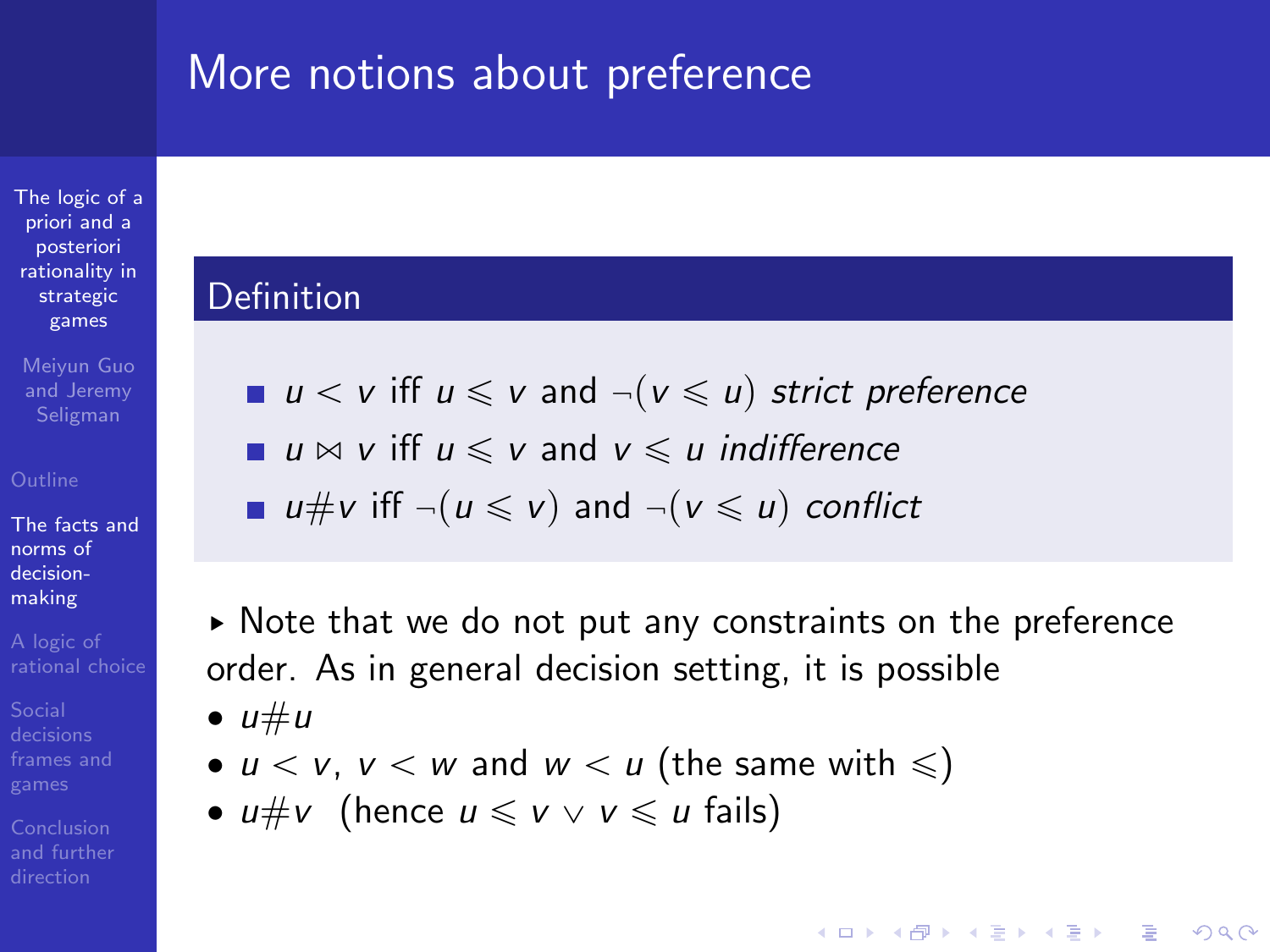[The logic of a](#page-0-0) priori and a posteriori rationality in strategic games

Meiyun Guo and Jeremy Seligman

[The facts and](#page-5-0) norms of decisionmaking

Conclusion

### Definition

- u  $v \leq v$  iff  $u \leq v$  and  $\neg (v \leq u)$  strict preference
- u  $\bowtie$  v iff  $u \le v$  and  $v \le u$  indifference
- u#v iff  $\neg(u \leq v)$  and  $\neg(v \leq u)$  conflict

§ Note that we do not put any constraints on the preference order. As in general decision setting, it is possible  $\bullet u \# u$ 

- $u < v$ ,  $v < w$  and  $w < u$  (the same with  $\leqslant$ )
- $u \# v$  (hence  $u \leq v \vee v \leq u$  fails)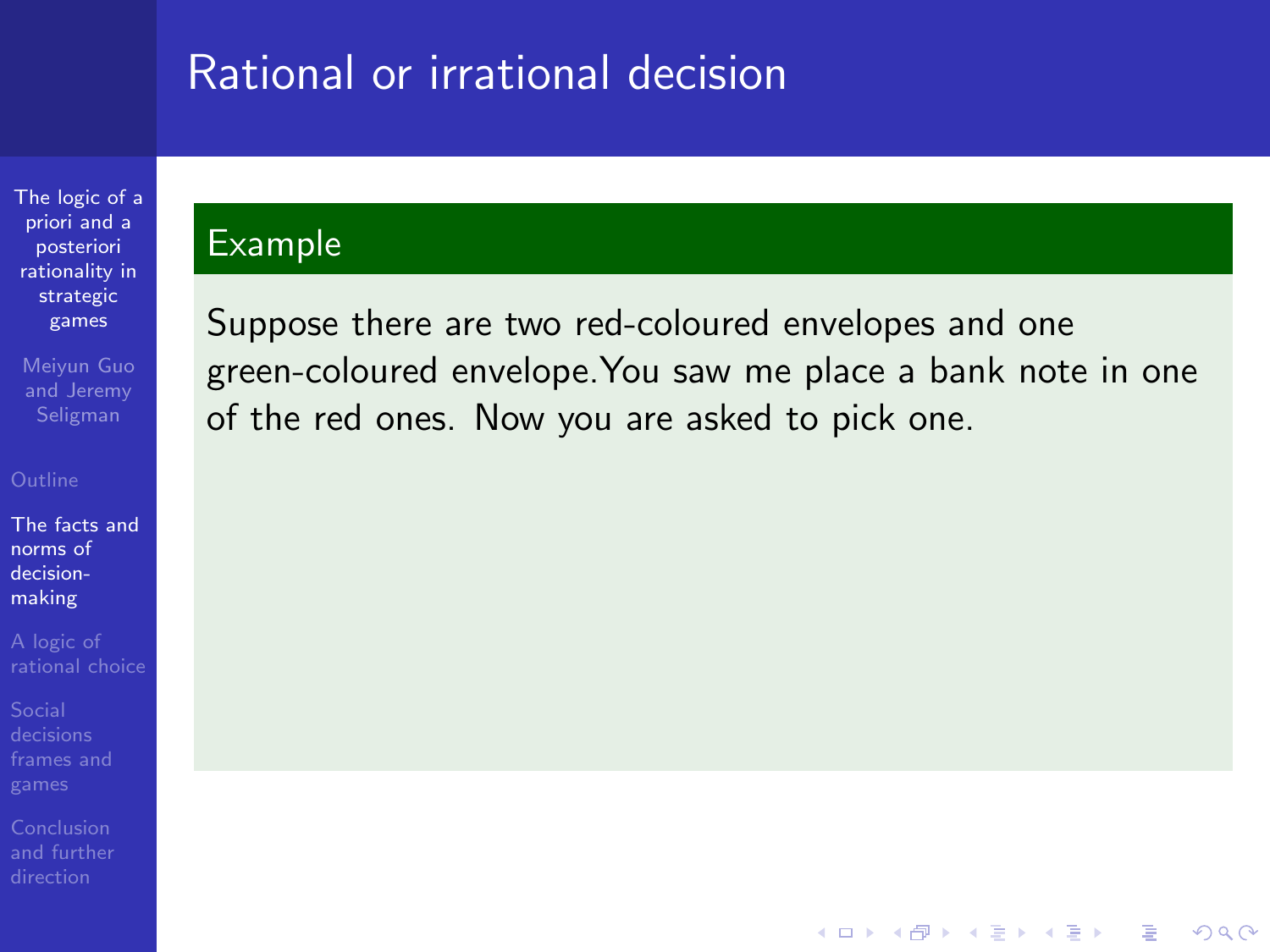[The logic of a](#page-0-0) priori and a posteriori rationality in strategic games

Meiyun Guo and Jeremy

[The facts and](#page-5-0) norms of decisionmaking

### Example

Suppose there are two red-coloured envelopes and one green-coloured envelope.You saw me place a bank note in one of the red ones. Now you are asked to pick one.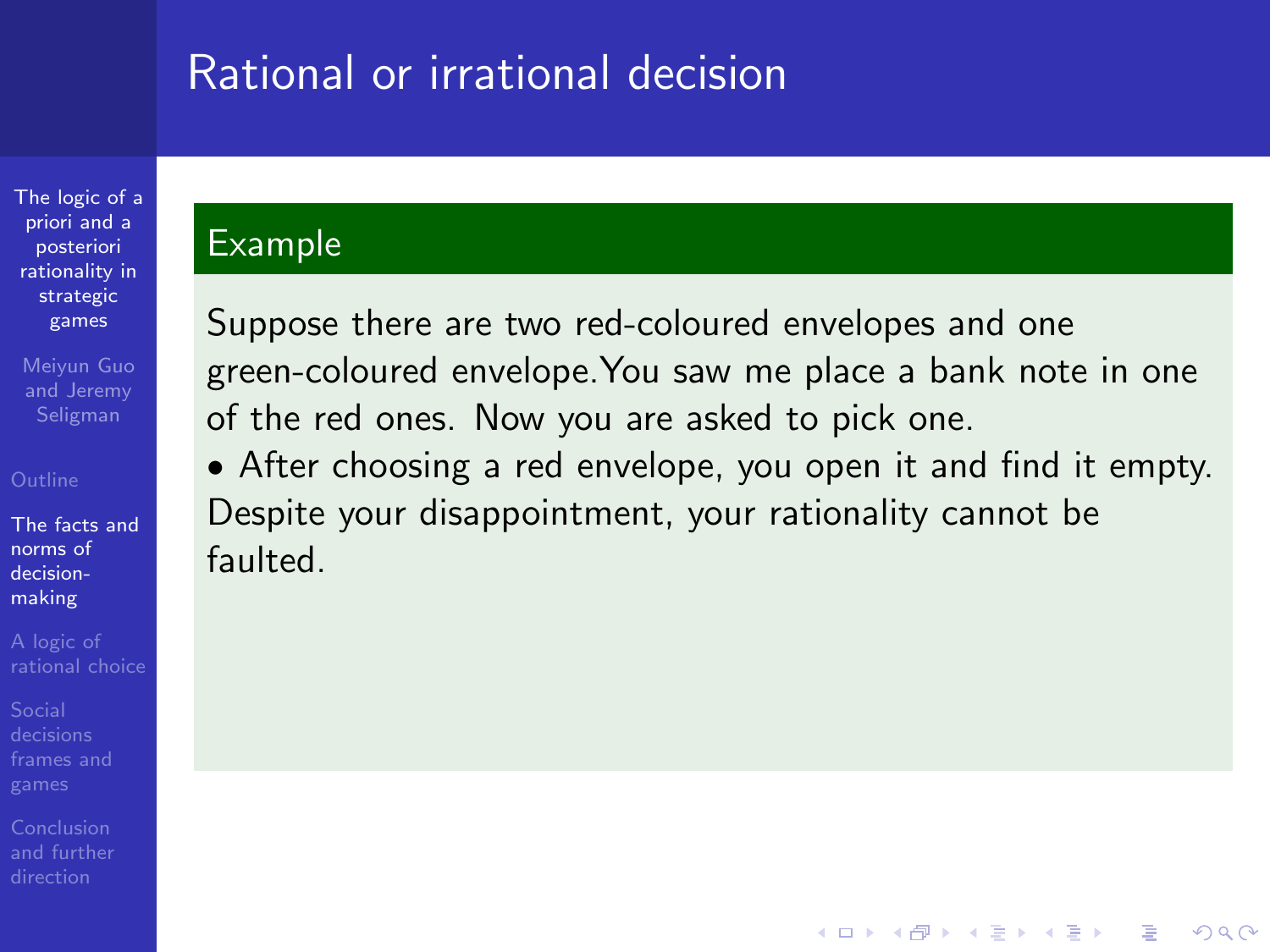[The logic of a](#page-0-0) priori and a posteriori rationality in strategic games

Meiyun Guo and Jeremy Seligman

[The facts and](#page-5-0) norms of decisionmaking

### Example

Suppose there are two red-coloured envelopes and one green-coloured envelope.You saw me place a bank note in one of the red ones. Now you are asked to pick one.

' After choosing a red envelope, you open it and find it empty. Despite your disappointment, your rationality cannot be faulted.

**KORKA SERKER ORA**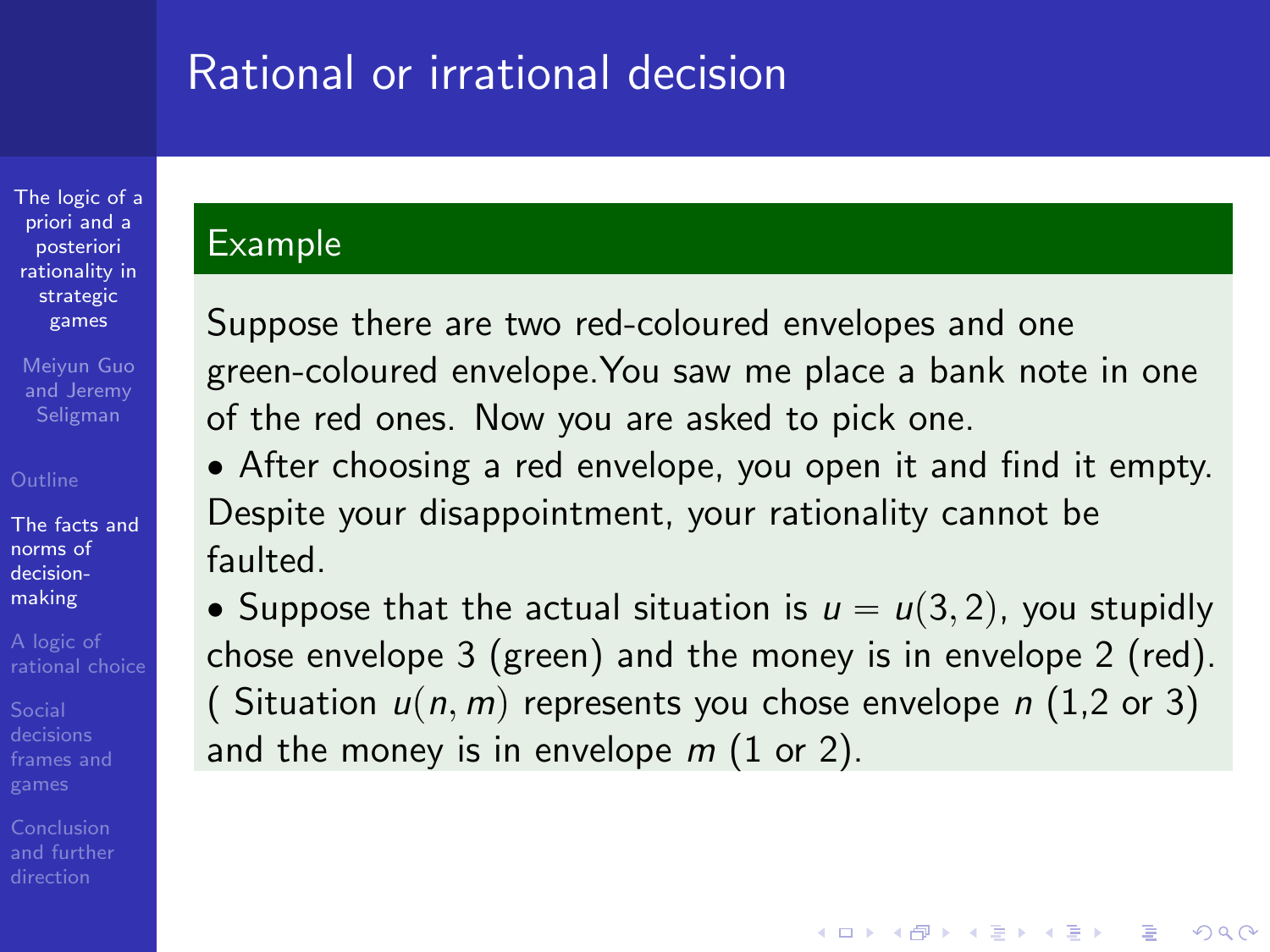[The logic of a](#page-0-0) priori and a posteriori rationality in strategic games

Meiyun Guo and Jeremy Seligman

[The facts and](#page-5-0) norms of decisionmaking

### Example

Suppose there are two red-coloured envelopes and one green-coloured envelope.You saw me place a bank note in one of the red ones. Now you are asked to pick one.

' After choosing a red envelope, you open it and find it empty. Despite your disappointment, your rationality cannot be faulted.

• Suppose that the actual situation is  $u = u(3, 2)$ , you stupidly chose envelope 3 (green) and the money is in envelope 2 (red). ( Situation  $u(n, m)$  represents you chose envelope n (1,2 or 3) and the money is in envelope  $m(1)$  or 2).

**KORK ERKER ADE YOUR**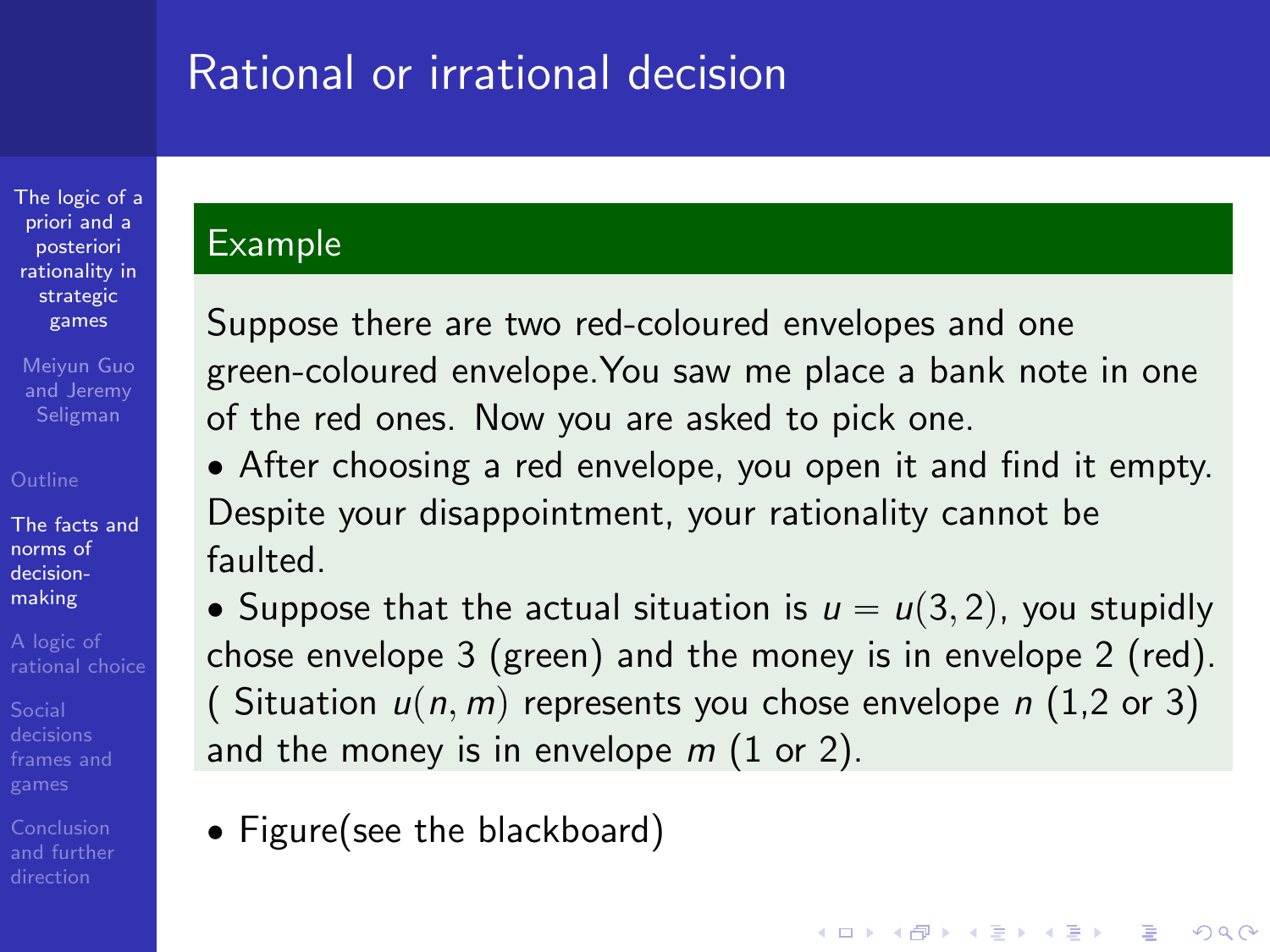[The logic of a](#page-0-0) priori and a posteriori rationality in strategic games

Meiyun Guo and Jeremy Seligman

[The facts and](#page-5-0) norms of decisionmaking

### Example

Suppose there are two red-coloured envelopes and one green-coloured envelope.You saw me place a bank note in one of the red ones. Now you are asked to pick one.

' After choosing a red envelope, you open it and find it empty. Despite your disappointment, your rationality cannot be faulted.

• Suppose that the actual situation is  $u = u(3, 2)$ , you stupidly chose envelope 3 (green) and the money is in envelope 2 (red). ( Situation  $u(n, m)$  represents you chose envelope n (1,2 or 3) and the money is in envelope  $m(1)$  or 2).

**KORK ERKER ADE YOUR** 

• Figure(see the blackboard)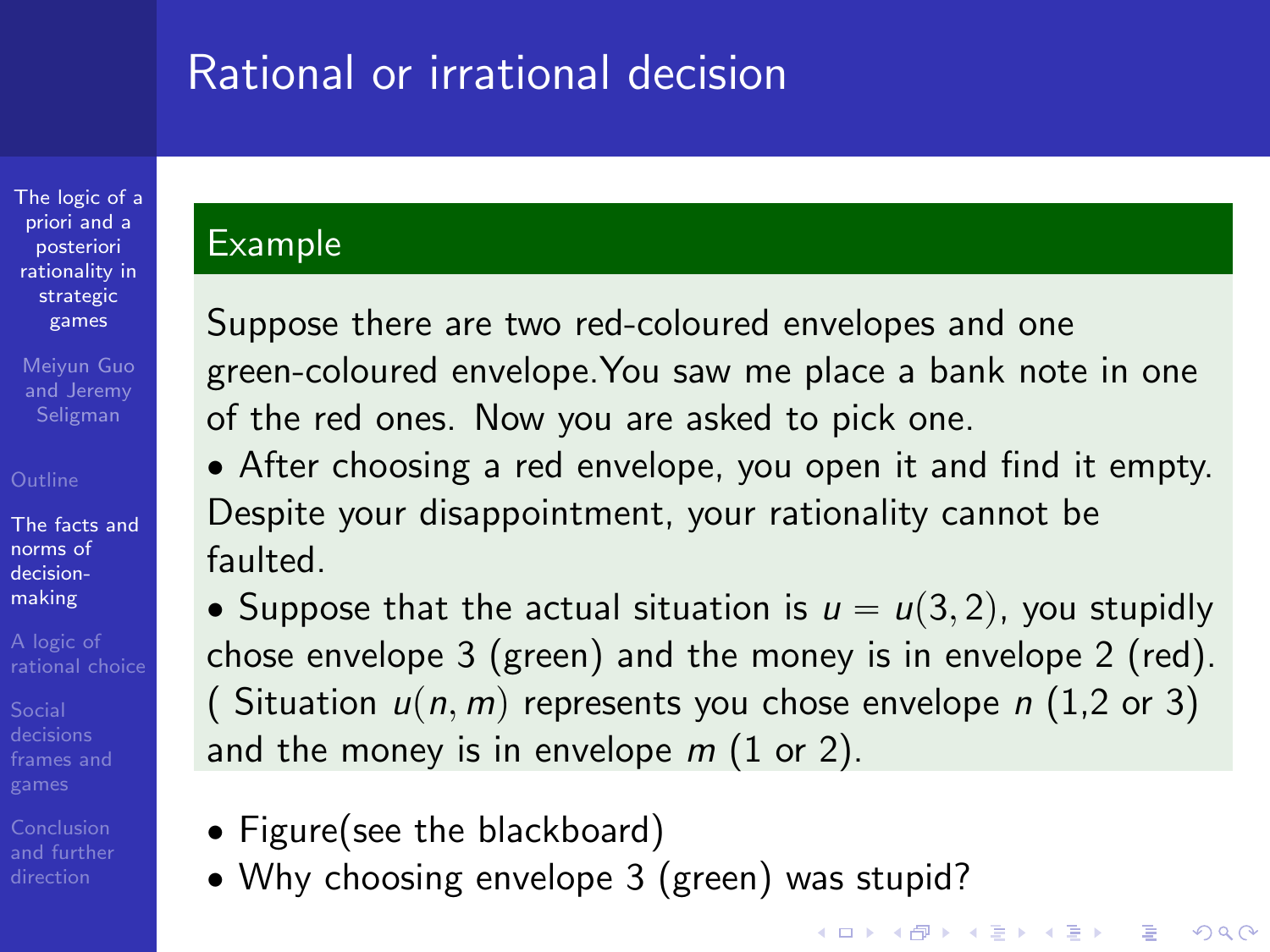[The logic of a](#page-0-0) priori and a posteriori rationality in strategic games

Meiyun Guo and Jeremy Seligman

[The facts and](#page-5-0) norms of decisionmaking

Conclusion

### Example

Suppose there are two red-coloured envelopes and one green-coloured envelope.You saw me place a bank note in one of the red ones. Now you are asked to pick one.

' After choosing a red envelope, you open it and find it empty. Despite your disappointment, your rationality cannot be faulted.

• Suppose that the actual situation is  $u = u(3, 2)$ , you stupidly chose envelope 3 (green) and the money is in envelope 2 (red). ( Situation  $u(n, m)$  represents you chose envelope n (1,2 or 3) and the money is in envelope  $m(1)$  or 2).

- Figure(see the blackboard)
- ' Why choosing envelope 3 (green) was stupid?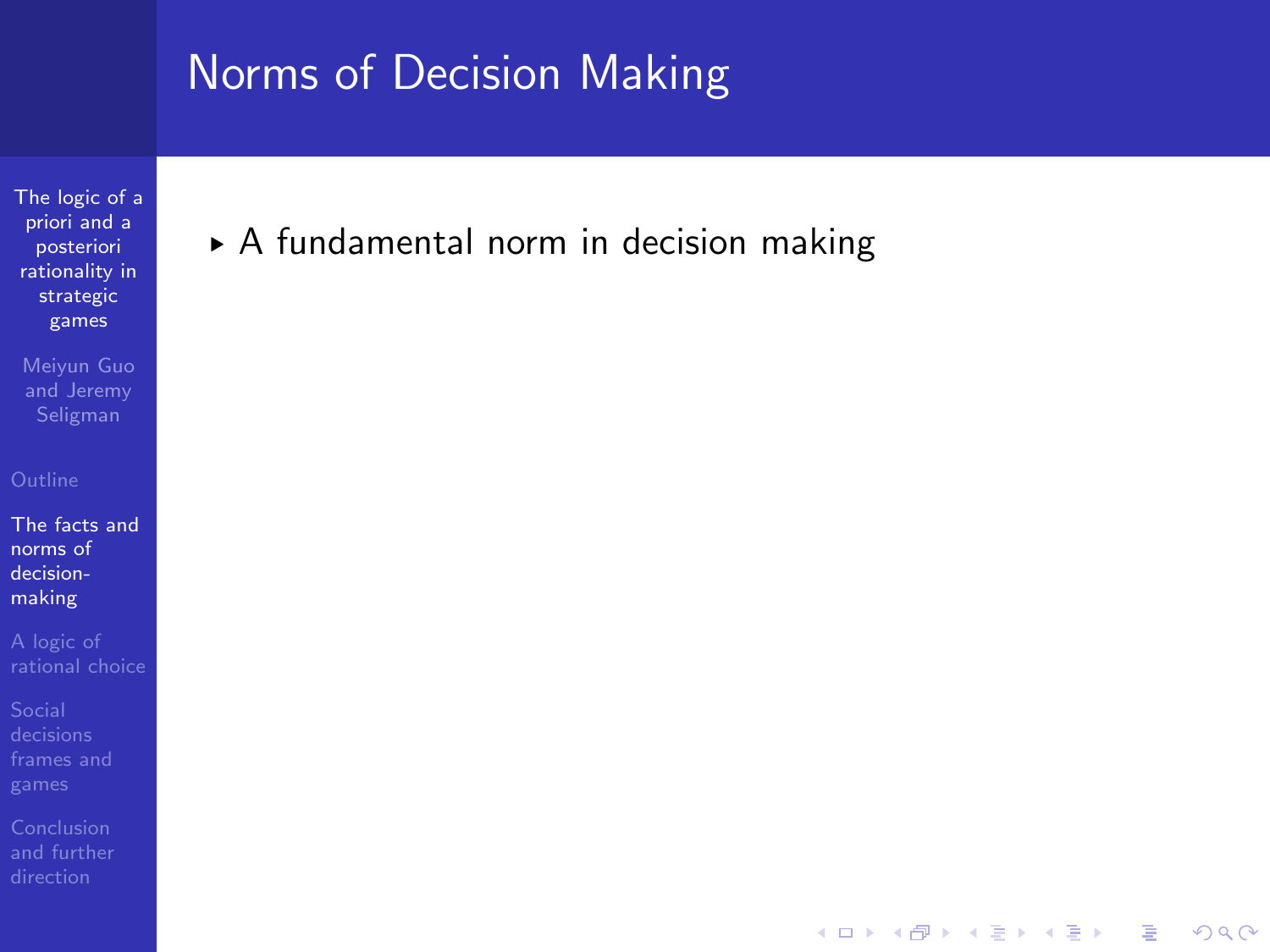[The logic of a](#page-0-0) priori and a posteriori rationality in strategic games

Meiyun Guo and Jeremy

[The facts and](#page-5-0) norms of decisionmaking

[frames and](#page-44-0)

[and further](#page-82-0)

§ A fundamental norm in decision making

**KORK ERRY ABY DE YOUR**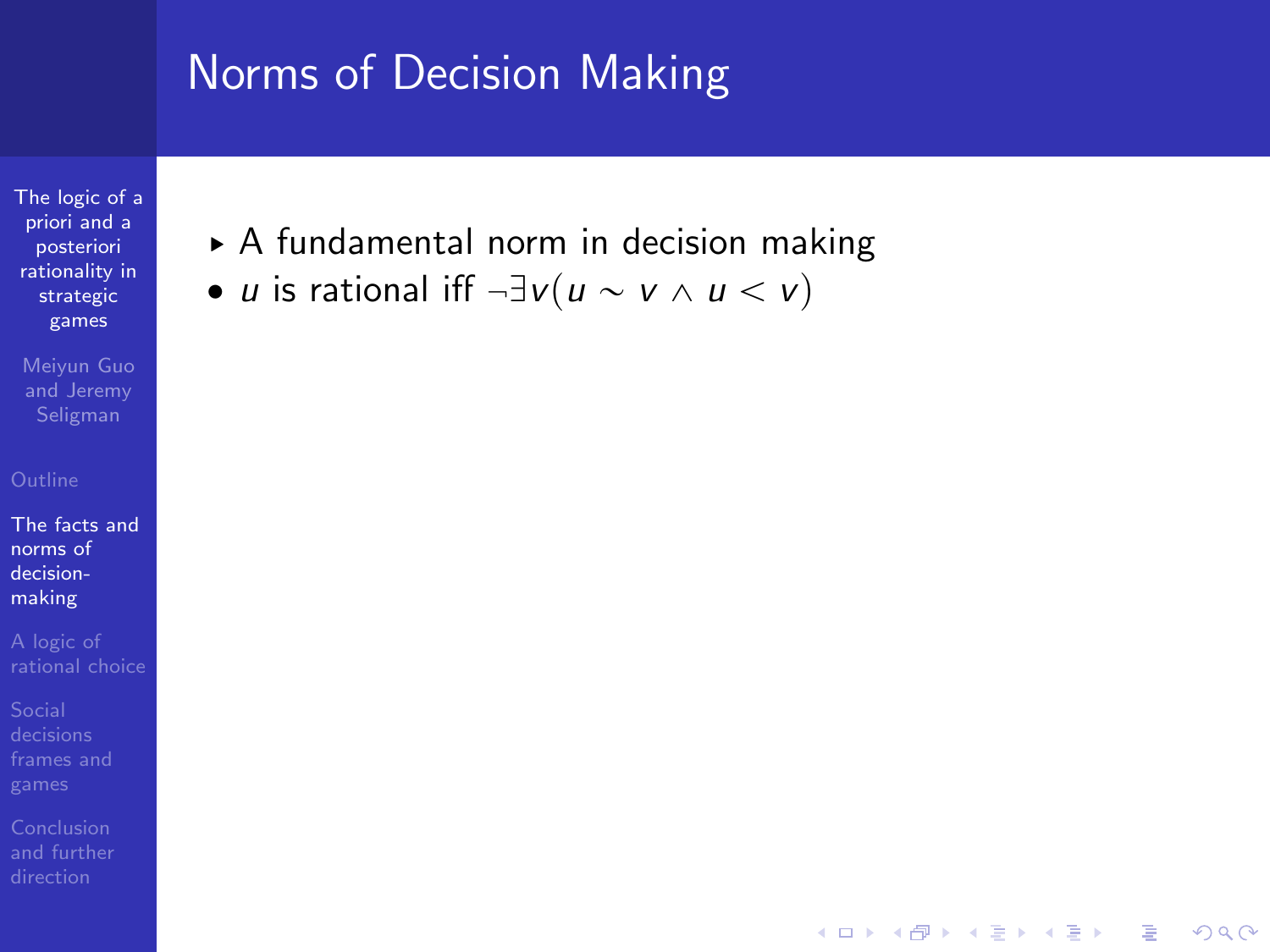[The logic of a](#page-0-0) priori and a posteriori rationality in strategic games

Meiyun Guo and Jeremy

[The facts and](#page-5-0) norms of decisionmaking

[frames and](#page-44-0)

▶ A fundamental norm in decision making

**KORK ERRY ABY DE YOUR** 

• *u* is rational iff  $\neg \exists v (u \sim v \land u \lt v)$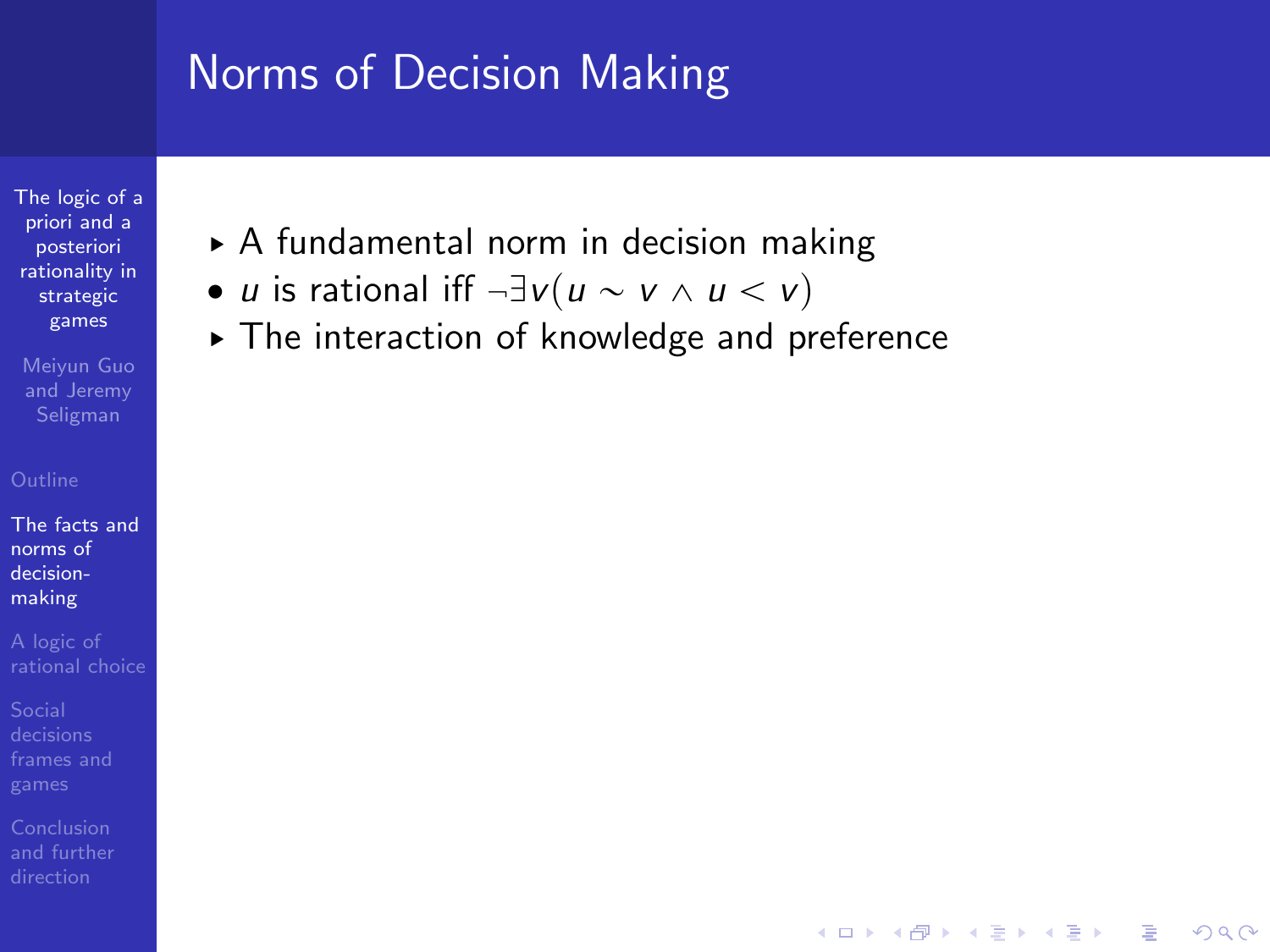[The logic of a](#page-0-0) priori and a posteriori rationality in strategic games

Meiyun Guo and Jeremy

[The facts and](#page-5-0) norms of decisionmaking

[frames and](#page-44-0)

- ▶ A fundamental norm in decision making
- *u* is rational iff  $\neg \exists v (u \sim v \land u \lt v)$
- § The interaction of knowledge and preference

**KORK ERRY ABY DE YOUR**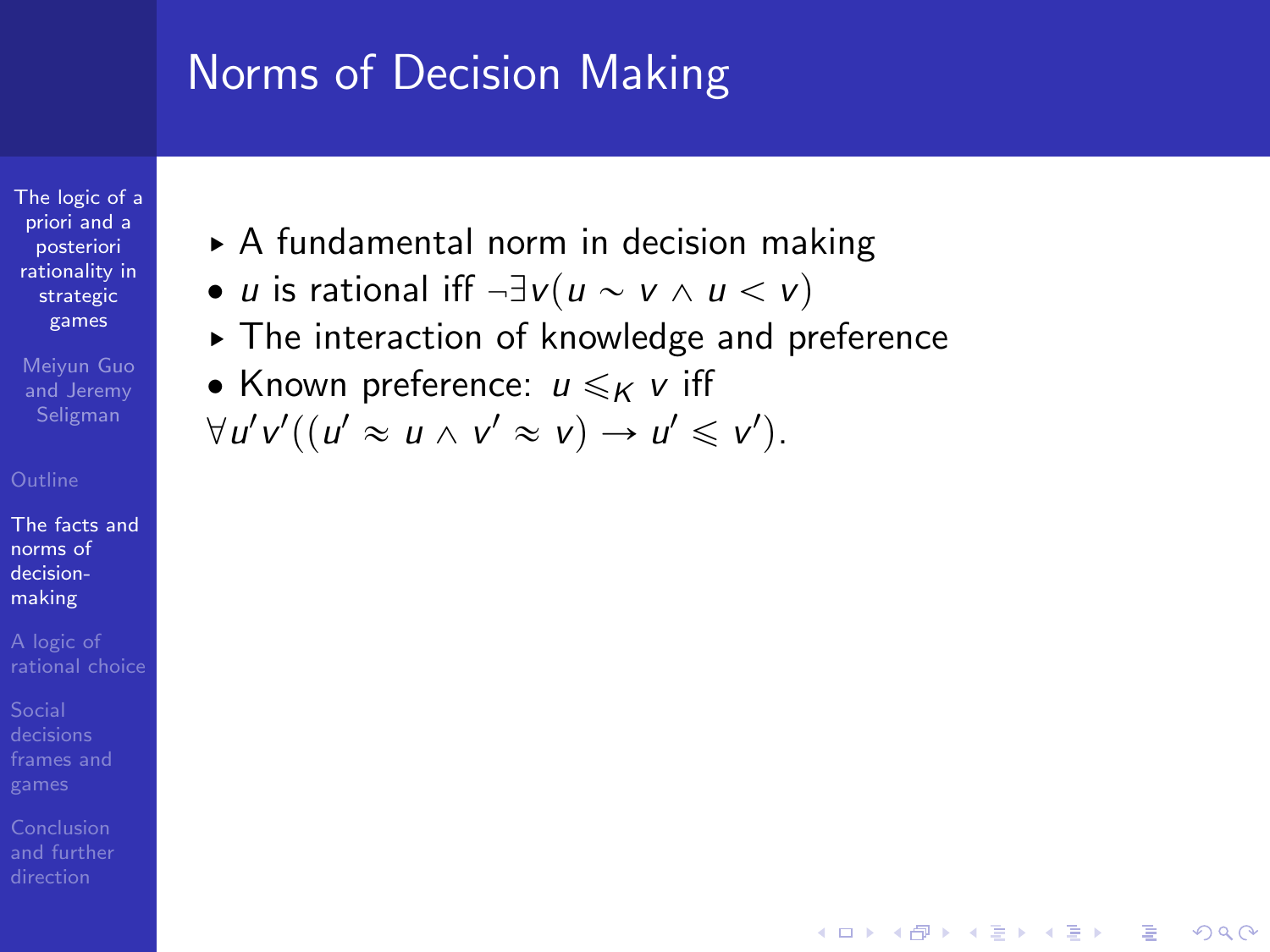[The logic of a](#page-0-0) priori and a posteriori rationality in strategic games

Meiyun Guo and Jeremy

[The facts and](#page-5-0) norms of decisionmaking

- ▶ A fundamental norm in decision making
- *u* is rational iff  $\neg \exists v (u \sim v \land u \lt v)$
- § The interaction of knowledge and preference

**KORK ERRY ABY DE YOUR** 

• Known preference:  $u \leqslant_K v$  iff

$$
\forall u'v'((u'\approx u\wedge v'\approx v)\rightarrow u'\leq v').
$$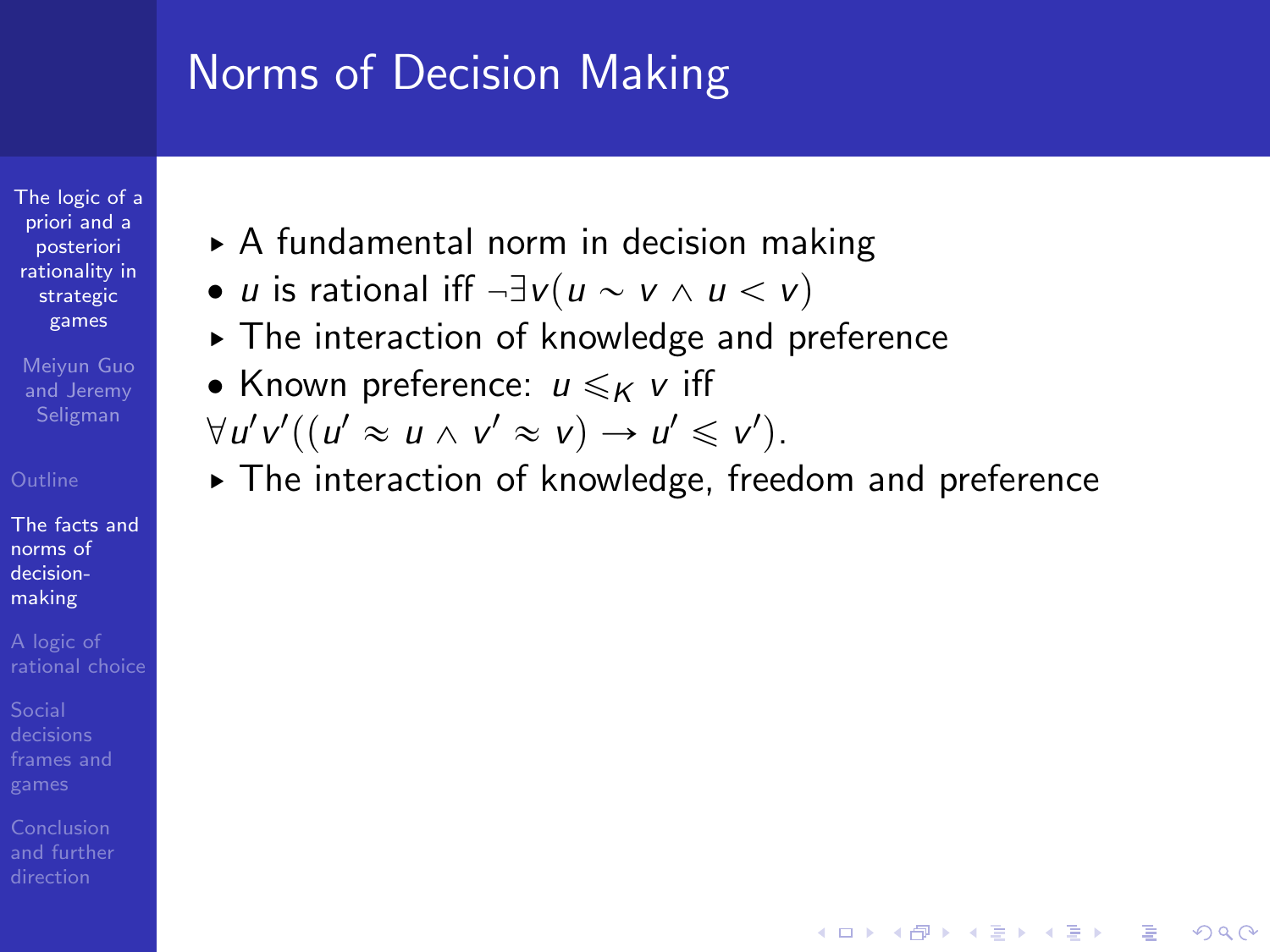[The logic of a](#page-0-0) priori and a posteriori rationality in strategic games

Meiyun Guo and Jeremy Seligman

[The facts and](#page-5-0) norms of decisionmaking

Conclusion

- ▶ A fundamental norm in decision making
- *u* is rational iff  $\neg \exists v (u \sim v \land u \lt v)$
- § The interaction of knowledge and preference
- Known preference:  $u \leqslant_K v$  iff
- $\forall u'v'((u' \approx u \land v' \approx v) \rightarrow u' \leq v').$
- § The interaction of knowledge, freedom and preference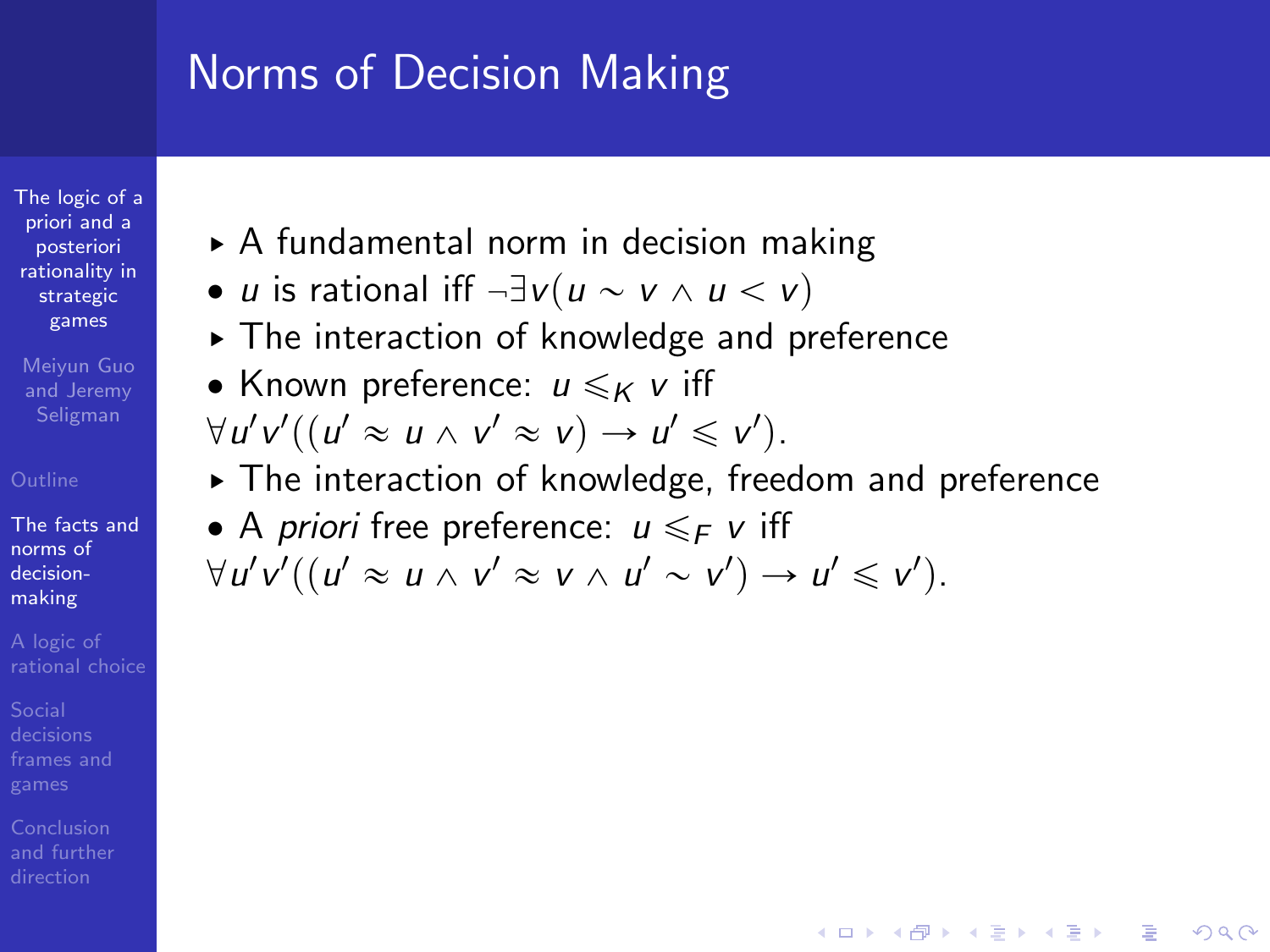[The logic of a](#page-0-0) priori and a posteriori rationality in strategic games

Meiyun Guo and Jeremy Seligman

[The facts and](#page-5-0) norms of decisionmaking

- ▶ A fundamental norm in decision making
- *u* is rational iff  $\neg \exists v (u \sim v \land u \lt v)$
- § The interaction of knowledge and preference
- Known preference:  $u \leqslant_K v$  iff  $\forall u'v'((u' \approx u \land v' \approx v) \rightarrow u' \leq v').$
- § The interaction of knowledge, freedom and preference

**KORK STRAIN A BAR SHOP** 

• A *priori* free preference:  $u \leq F$  v iff  $\forall u'v'((u' \approx u \land v' \approx v \land u' \sim v') \rightarrow u' \leq v').$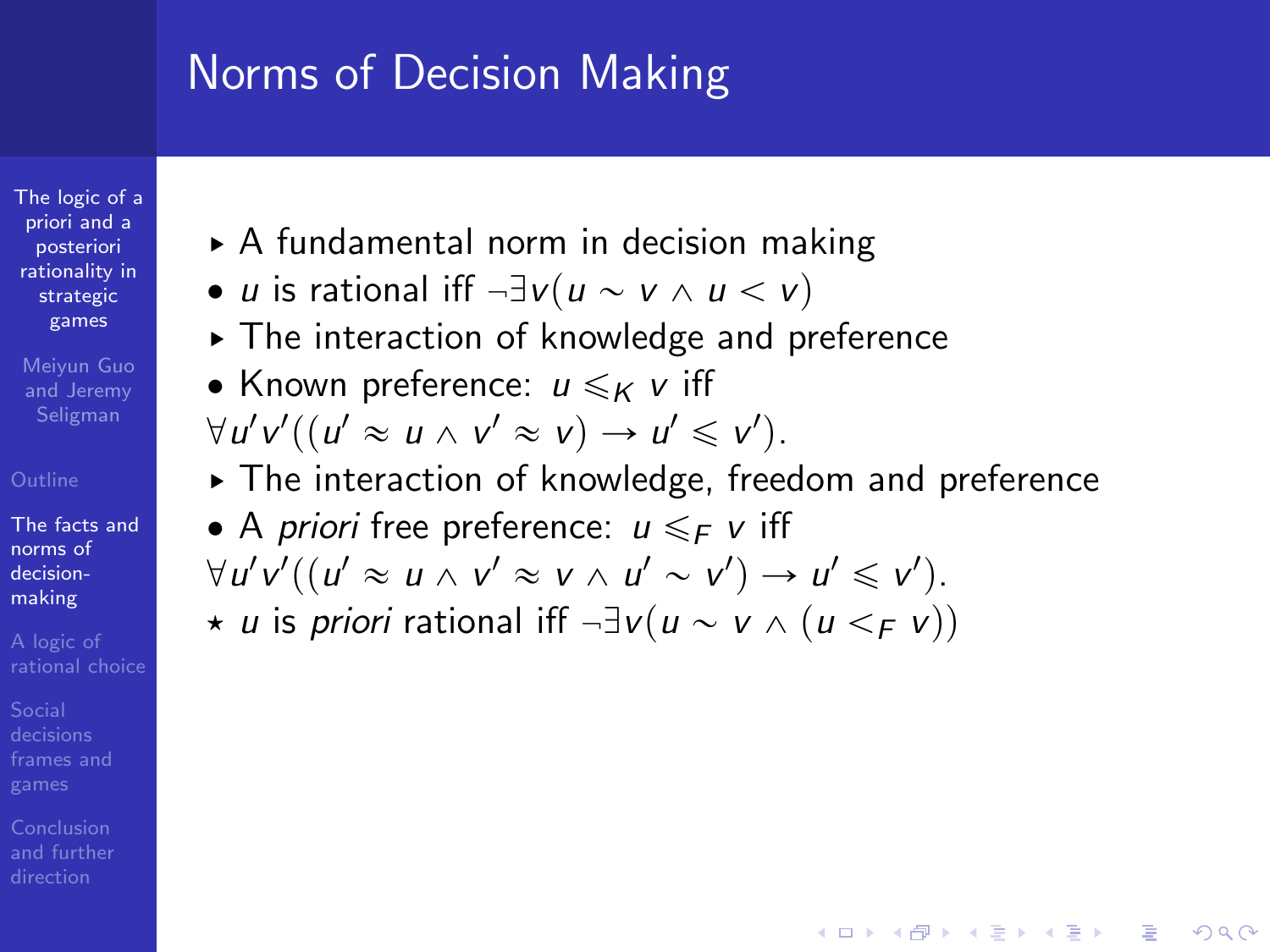[The logic of a](#page-0-0) priori and a posteriori rationality in strategic games

Meiyun Guo and Jeremy Seligman

[The facts and](#page-5-0) norms of decisionmaking

Conclusion

- ▶ A fundamental norm in decision making
- *u* is rational iff  $\neg \exists v (u \sim v \land u \lt v)$
- § The interaction of knowledge and preference
- Known preference:  $u \leqslant_K v$  iff  $\forall u'v'((u' \approx u \land v' \approx v) \rightarrow u' \leq v').$
- § The interaction of knowledge, freedom and preference

**KORK STRAIN A BAR SHOP** 

• A *priori* free preference:  $u \leq F$  v iff  $\forall u'v'((u' \approx u \land v' \approx v \land u' \sim v') \rightarrow u' \leq v').$  $\star u$  is priori rational iff  $\neg \exists v (u \sim v \land (u \leq_F v))$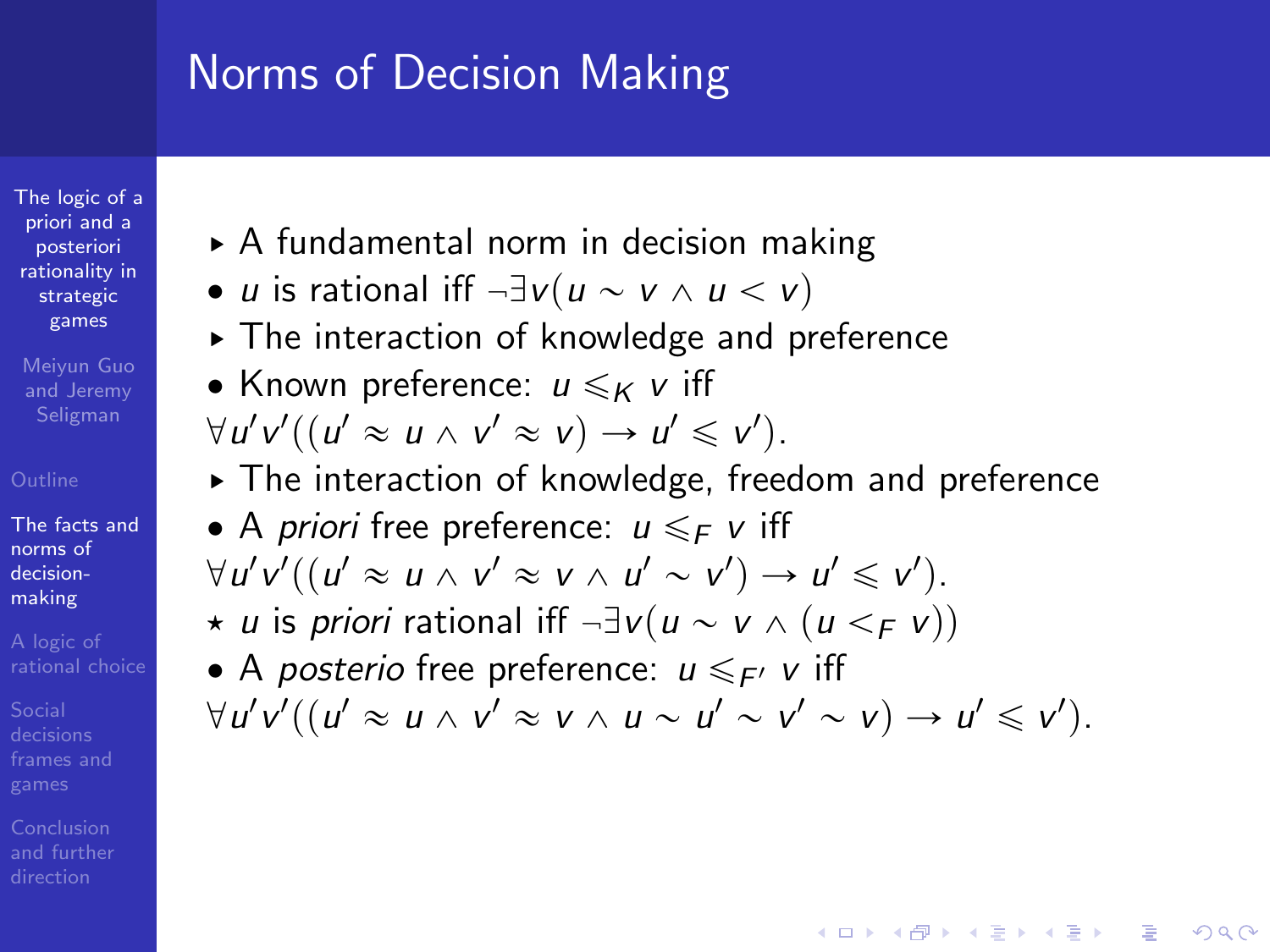[The logic of a](#page-0-0) priori and a posteriori rationality in strategic games

Meiyun Guo and Jeremy Seligman

[The facts and](#page-5-0) norms of decisionmaking

- § A fundamental norm in decision making
- *u* is rational iff  $\neg \exists v (u \sim v \land u \leq v)$
- § The interaction of knowledge and preference
- Known preference:  $u \leqslant_K v$  iff  $\forall u'v'((u' \approx u \land v' \approx v) \rightarrow u' \leq v').$
- § The interaction of knowledge, freedom and preference
- A *priori* free preference:  $u \leq F$  v iff  $\forall u'v'((u' \approx u \land v' \approx v \land u' \sim v') \rightarrow u' \leq v').$  $\star$  u is priori rational iff  $\neg \exists v (u \sim v \land (u \lt_F v))$
- A posterio free preference:  $u \leq F$  v iff  $\forall u'v'((u' \approx u \land v' \approx v \land u \sim u' \sim v' \sim v) \rightarrow u' \leq v').$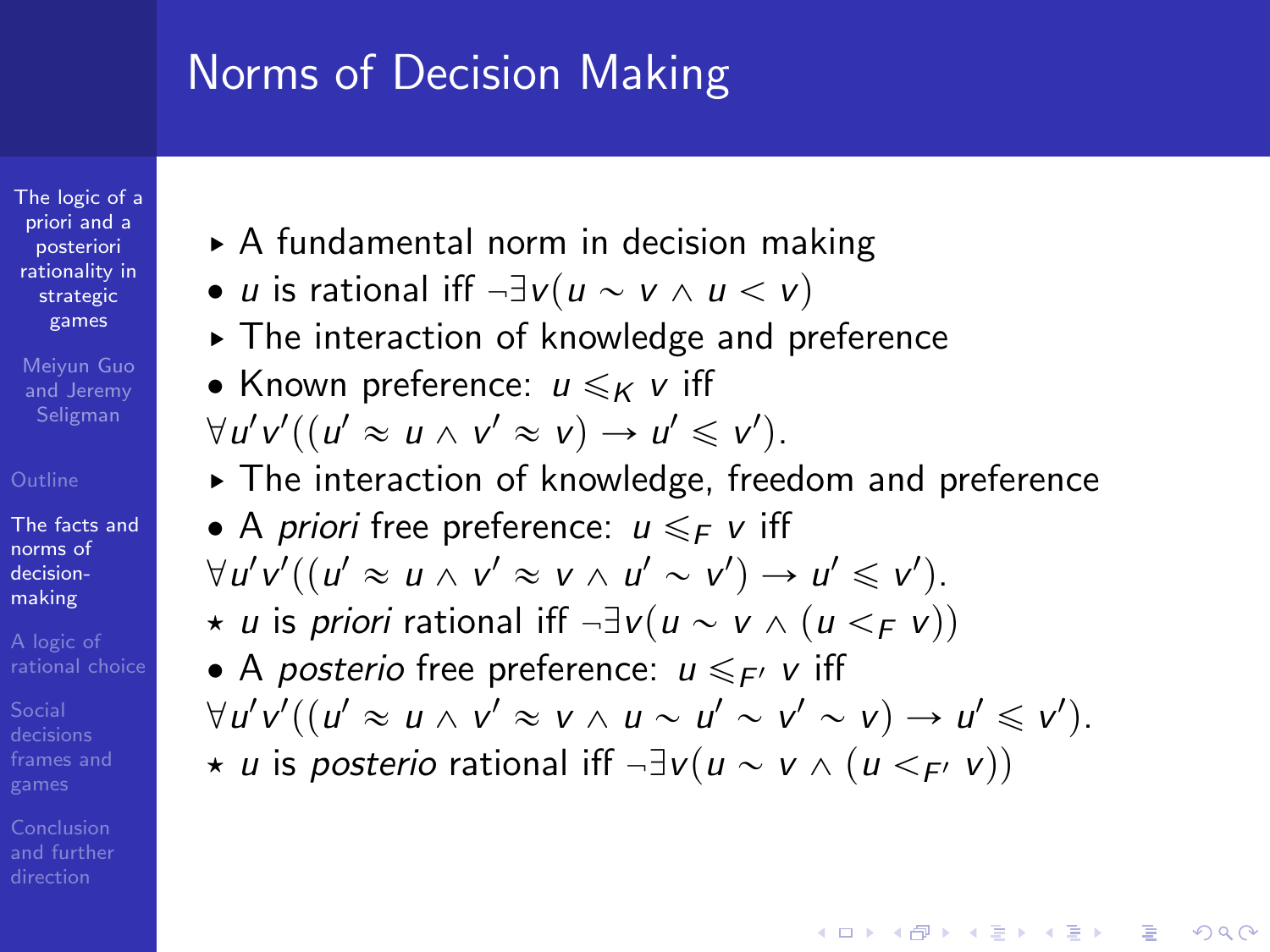[The logic of a](#page-0-0) priori and a posteriori rationality in strategic games

Meiyun Guo and Jeremy Seligman

[The facts and](#page-5-0) norms of decisionmaking

Conclusion

- § A fundamental norm in decision making
- *u* is rational iff  $\neg \exists v (u \sim v \land u \leq v)$
- § The interaction of knowledge and preference
- Known preference:  $u \leq \kappa$  v iff  $\forall u'v'((u' \approx u \land v' \approx v) \rightarrow u' \leq v').$
- § The interaction of knowledge, freedom and preference
- A *priori* free preference:  $u \leq F$  v iff  $\forall u'v'((u' \approx u \land v' \approx v \land u' \sim v') \rightarrow u' \leq v').$  $\star$  u is priori rational iff  $\neg \exists v (u \sim v \land (u \lt_F v))$
- A posterio free preference:  $u \leq F$  v iff  $\forall u'v'((u' \approx u \land v' \approx v \land u \sim u' \sim v' \sim v) \rightarrow u' \leq v').$  $\star$  u is posterio rational iff  $\neg \exists v (u \sim v \land (u \lt_{F'} v))$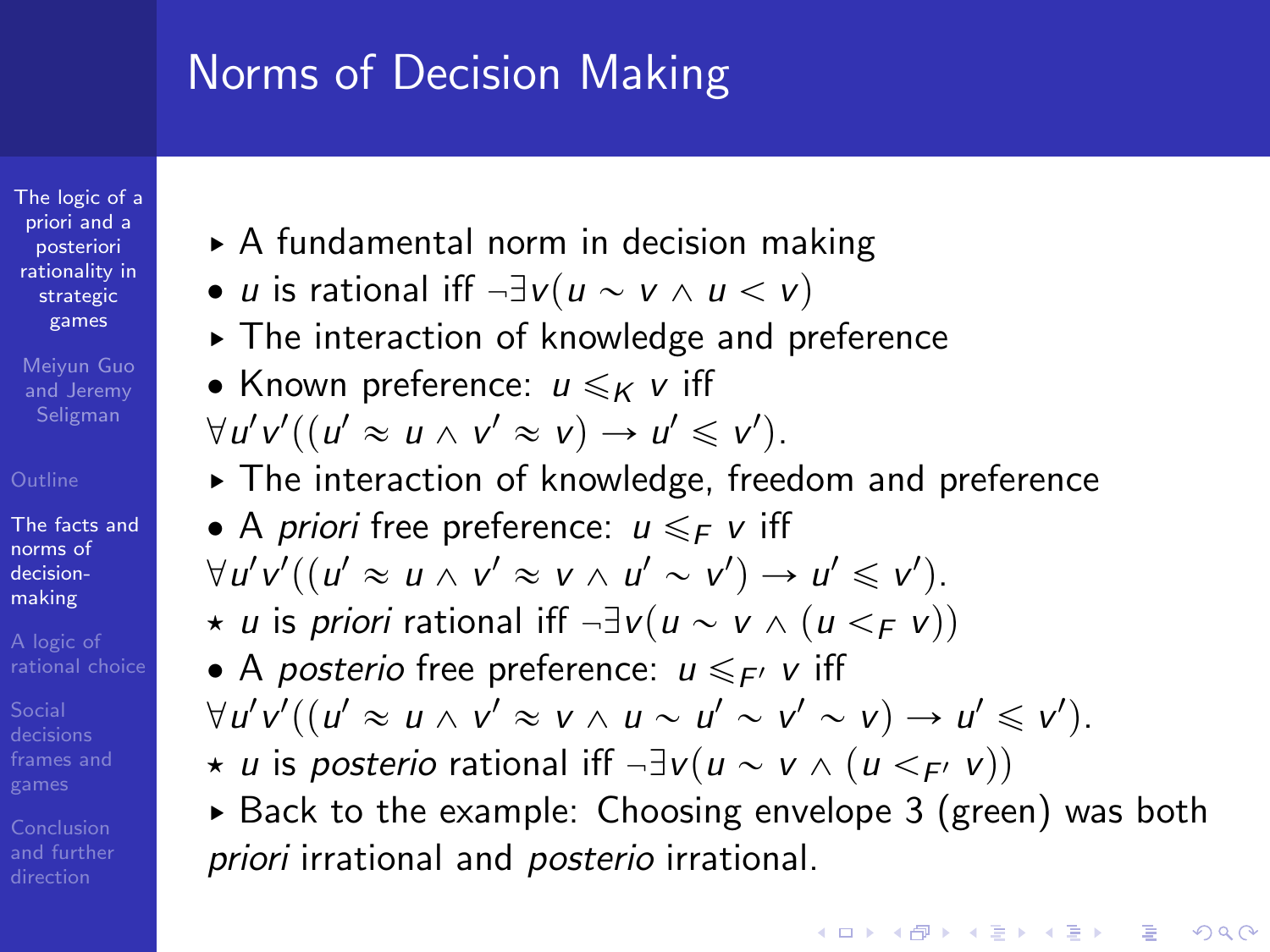[The logic of a](#page-0-0) priori and a posteriori rationality in strategic games

Meiyun Guo and Jeremy Seligman

[The facts and](#page-5-0) norms of decisionmaking

Conclusion [and further](#page-82-0)

- § A fundamental norm in decision making
- *u* is rational iff  $\neg \exists v (u \sim v \land u \leq v)$
- § The interaction of knowledge and preference
- Known preference:  $u \leq \kappa$  v iff  $\forall u'v'((u' \approx u \land v' \approx v) \rightarrow u' \leq v').$
- § The interaction of knowledge, freedom and preference
- A *priori* free preference:  $u \leq F$  v iff  $\forall u'v'((u' \approx u \land v' \approx v \land u' \sim v') \rightarrow u' \leq v').$  $\star u$  is priori rational iff  $\neg \exists v (u \sim v \land (u \lt_F v))$
- A *posterio* free preference:  $u \leq F$  v iff  $\forall u'v'((u' \approx u \land v' \approx v \land u \sim u' \sim v' \sim v) \rightarrow u' \leq v').$  $\star$  u is posterio rational iff  $\neg \exists v(u \sim v \land (u \lt_F v))$
- ► Back to the example: Choosing envelope 3 (green) was both priori irrational and *posterio* irrational.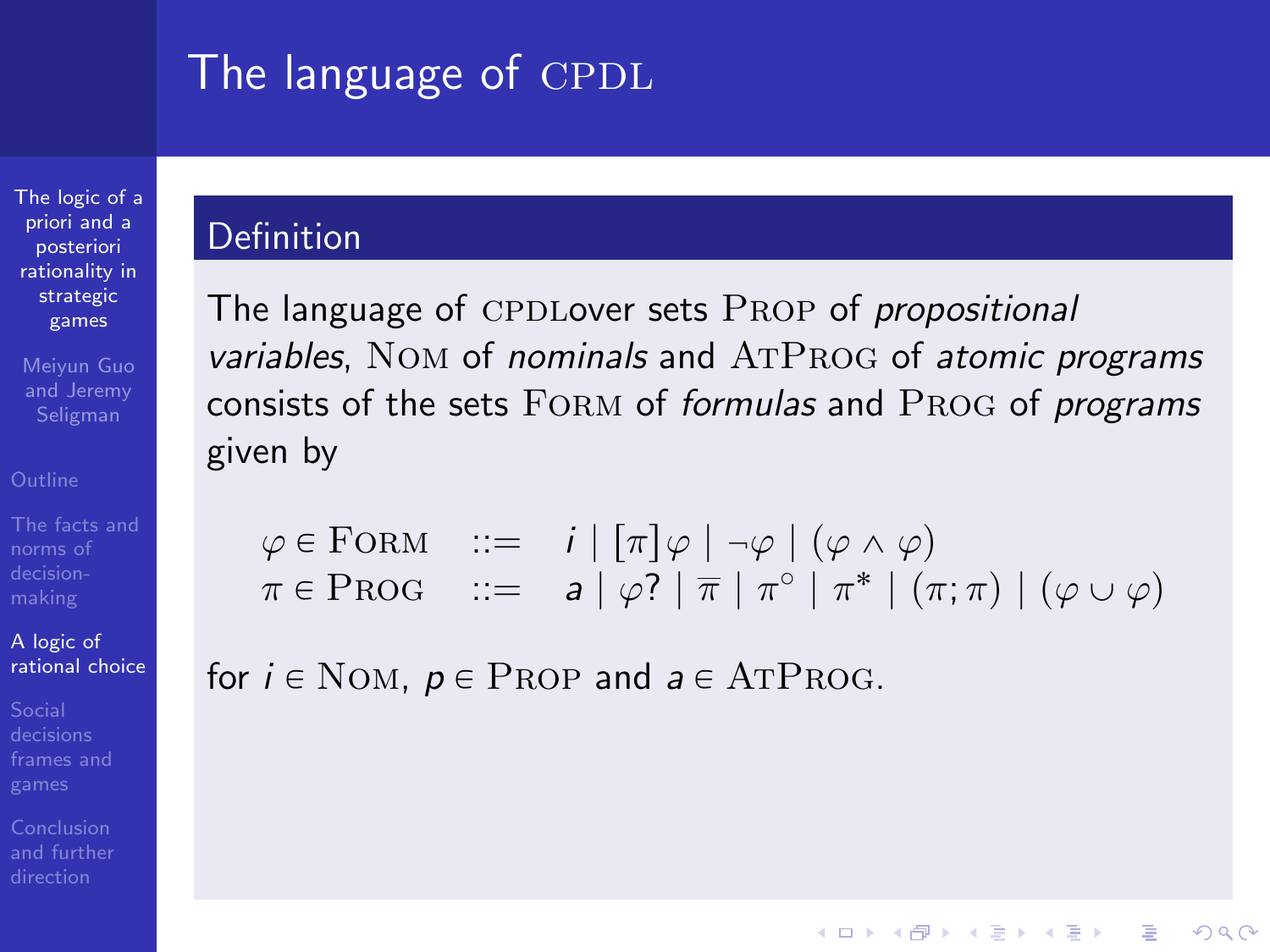# The language of CPDL

[The logic of a](#page-0-0) priori and a posteriori rationality in strategic games

Meiyun Guo and Jeremy

A logic of [rational choice](#page-30-0)

<span id="page-30-0"></span>[and further](#page-82-0)

### Definition

The language of CPDLover sets PROP of propositional variables, NOM of nominals and  $ATPROG$  of atomic programs consists of the sets FORM of formulas and PROG of programs given by

$$
\varphi \in \text{FORM} \quad ::= \quad i \mid [\pi] \varphi \mid \neg \varphi \mid (\varphi \land \varphi) \pi \in \text{PROG} \quad ::= \quad a \mid \varphi? \mid \overline{\pi} \mid \pi^{\circ} \mid \pi^* \mid (\pi; \pi) \mid (\varphi \cup \varphi)
$$

**KORK ERRY ABY DE YOUR** 

for  $i \in \text{Nom}$ ,  $p \in \text{PROP}$  and  $a \in \text{ATPROG}$ .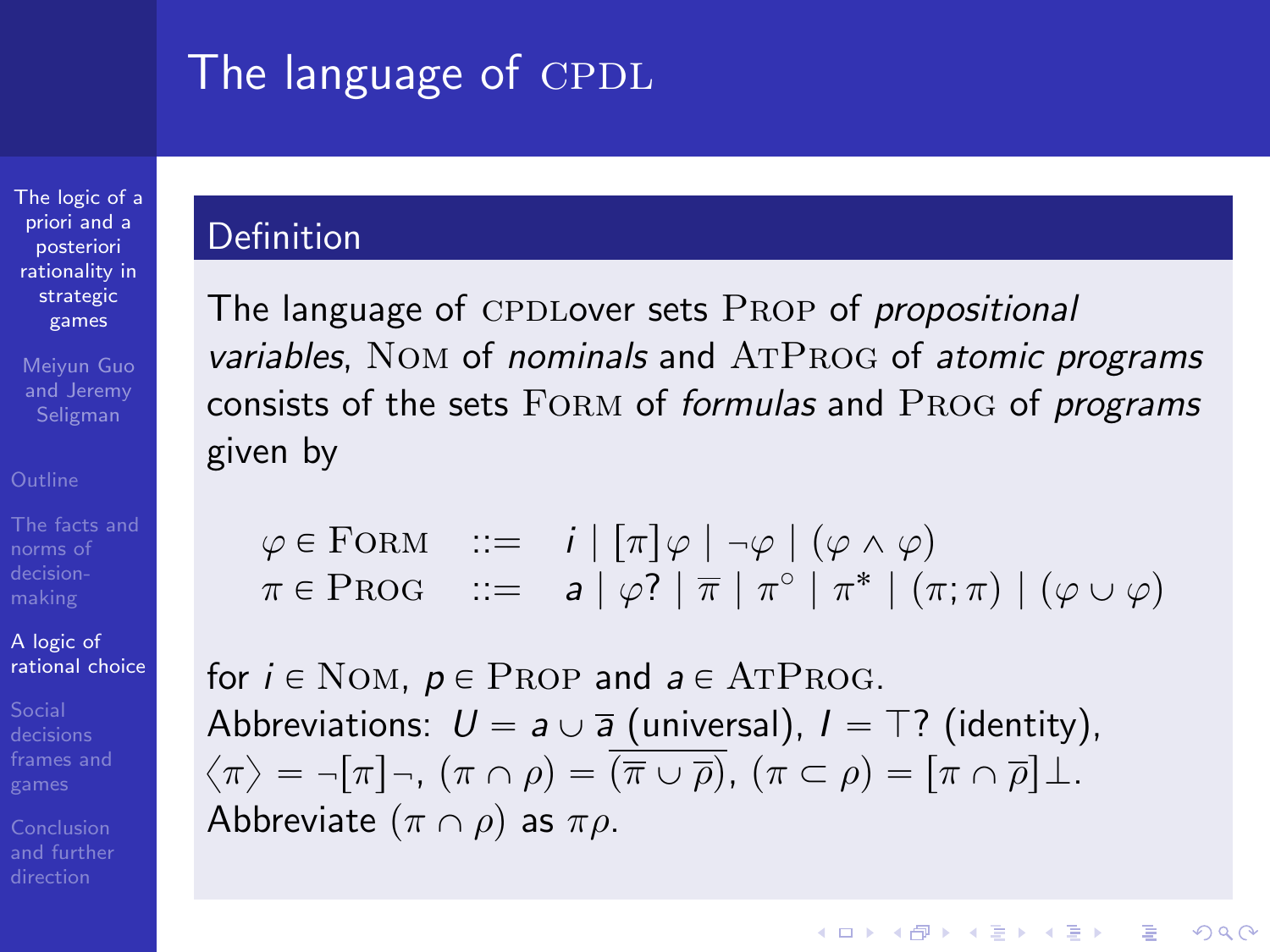# The language of CPDL

[The logic of a](#page-0-0) priori and a posteriori rationality in strategic games

Meiyun Guo and Jeremy Seligman

A logic of [rational choice](#page-30-0)

[and further](#page-82-0)

### Definition

The language of CPDLover sets PROP of propositional variables, NOM of nominals and  $ATPROG$  of atomic programs consists of the sets FORM of formulas and PROG of programs given by

$$
\varphi \in \text{FORM} \quad ::= \quad i \mid [\pi] \varphi \mid \neg \varphi \mid (\varphi \land \varphi) \pi \in \text{PROG} \quad ::= \quad a \mid \varphi? \mid \overline{\pi} \mid \pi^{\circ} \mid \pi^* \mid (\pi; \pi) \mid (\varphi \cup \varphi)
$$

**KORK STRATER STRAKER** 

for  $i \in \text{Nom}$ ,  $p \in \text{PROP}$  and  $a \in \text{ATPROG}$ . Abbreviations:  $U = a \cup \overline{a}$  (universal),  $I = T$ ? (identity),  $\langle \pi \rangle = -[\pi] -$ ,  $(\pi \cap \rho) = (\overline{\pi} \cup \overline{\rho})$ ,  $(\pi \subset \rho) = [\pi \cap \overline{\rho}] \perp$ . Abbreviate  $(\pi \cap \rho)$  as  $\pi \rho$ .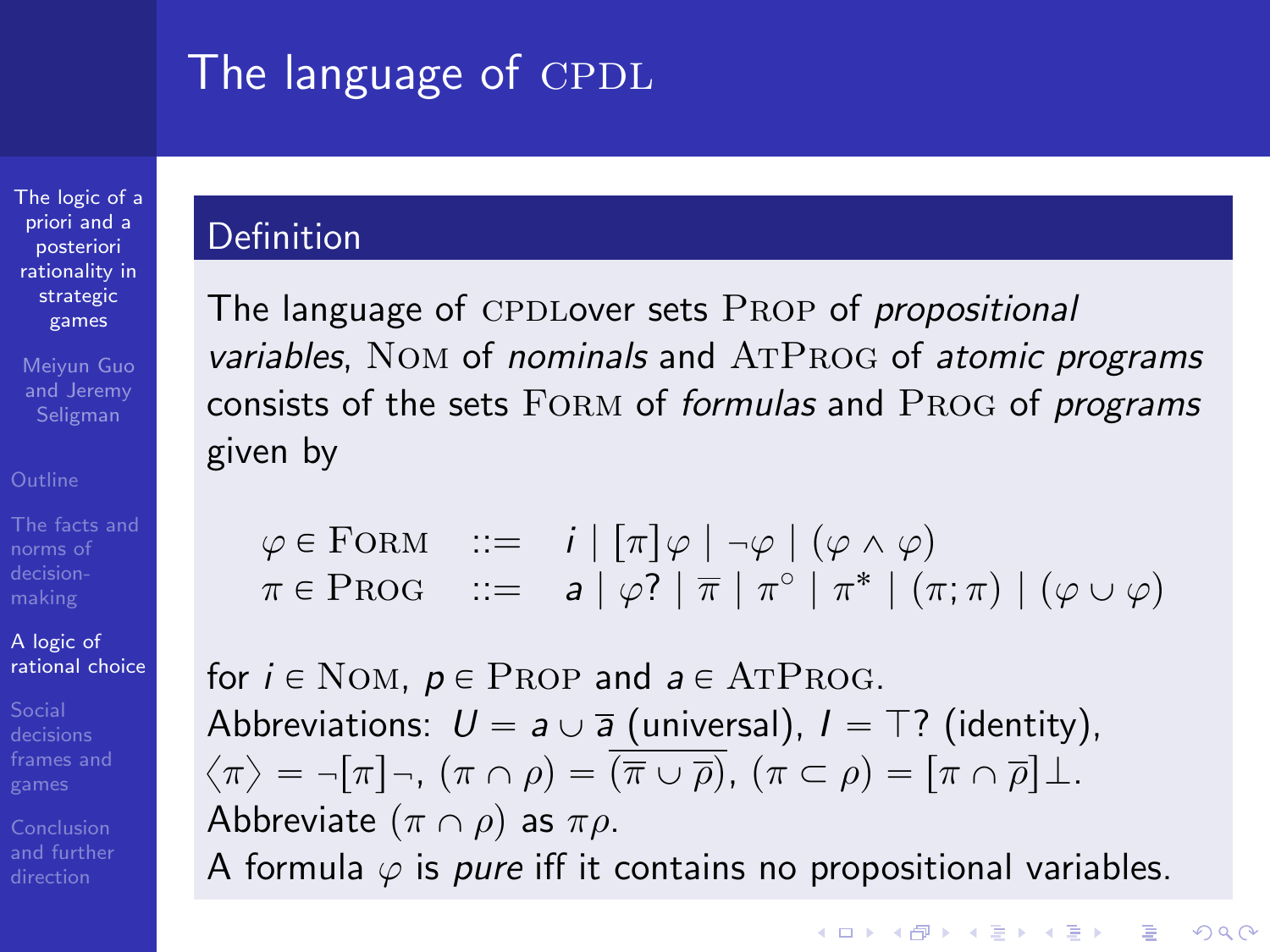# The language of CPDL

[The logic of a](#page-0-0) priori and a posteriori rationality in strategic games

Meiyun Guo and Jeremy Seligman

norms of

A logic of [rational choice](#page-30-0)

### Definition

The language of CPDLover sets PROP of propositional variables, NOM of nominals and  $ATPROG$  of atomic programs consists of the sets FORM of formulas and PROG of programs given by

$$
\varphi \in \text{FORM} \quad ::= \quad i \mid [\pi] \varphi \mid \neg \varphi \mid (\varphi \land \varphi) \pi \in \text{PROG} \quad ::= \quad a \mid \varphi? \mid \overline{\pi} \mid \pi^{\circ} \mid \pi^* \mid (\pi; \pi) \mid (\varphi \cup \varphi)
$$

for  $i \in \text{Nom}$ ,  $p \in \text{PROP}$  and  $a \in \text{ATPROG}$ . Abbreviations:  $U = a \cup \overline{a}$  (universal),  $I = T$ ? (identity),  $\langle \pi \rangle = -[\pi] -$ ,  $(\pi \cap \rho) = (\overline{\pi} \cup \overline{\rho})$ ,  $(\pi \subset \rho) = [\pi \cap \overline{\rho}] \perp$ . Abbreviate  $(\pi \cap \rho)$  as  $\pi \rho$ .

A formula  $\varphi$  is *pure* iff it contains no propositional variables.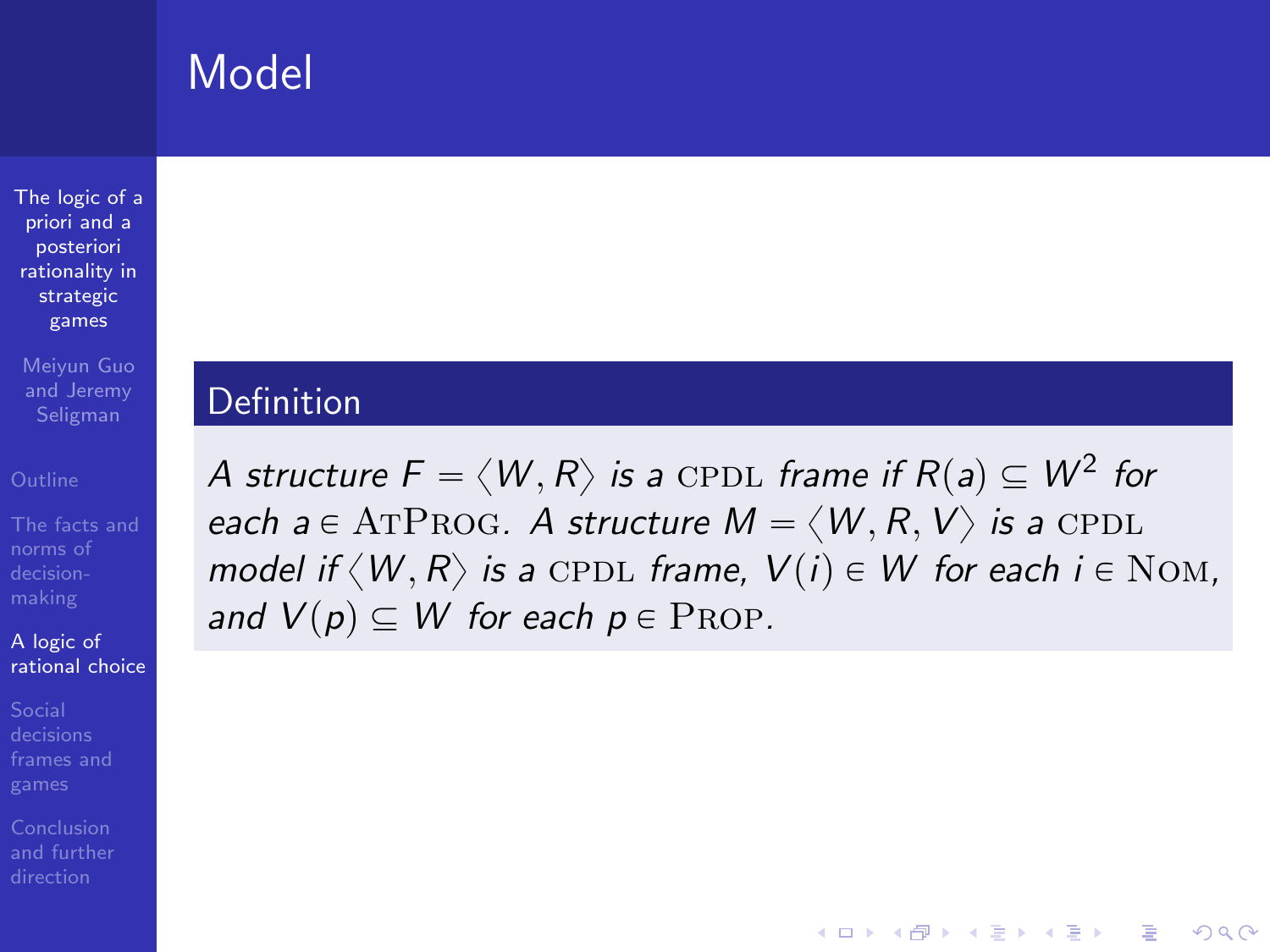## Model

[The logic of a](#page-0-0) priori and a posteriori rationality in strategic games

Meiyun Guo and Jeremy Seligman

norms of

A logic of [rational choice](#page-30-0)

### Definition

A structure  $\bar{F} = \langle W, R \rangle$  is a <code>CPDL</code> frame if  $R(\mathsf{a}) \subseteq W^2$  for each a  $\in$  ATPROG. A structure  $M = \langle W, R, V \rangle$  is a CPDL model if  $\langle W, R \rangle$  is a CPDL frame,  $V(i) \in W$  for each  $i \in \text{Nom}$ , and  $V(p) \subseteq W$  for each  $p \in \text{PROP}$ .

**KORK STRATER STRAKER**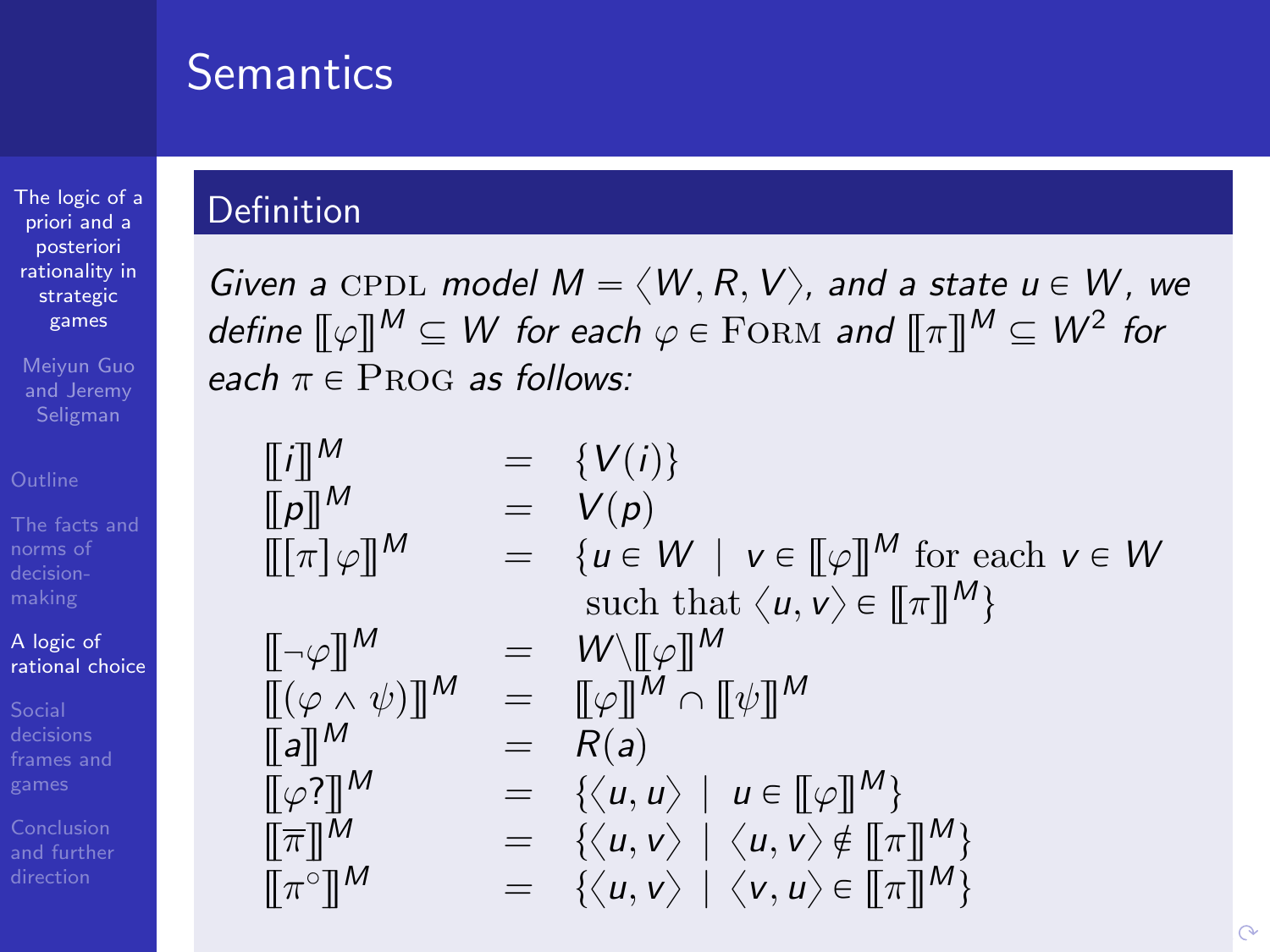## **Semantics**

[The logic of a](#page-0-0) priori and a posteriori rationality in strategic games

Meiyun Guo and Jeremy

norms of

A logic of [rational choice](#page-30-0)

[frames and](#page-44-0)

### Definition

Given a CPDL model  $M = \langle W, R, V \rangle$ , and a state  $u \in W$ , we define  $\llbracket \varphi \rrbracket^\mathsf{M} \subseteq \mathsf{W}$  for each  $\varphi \in {\rm FORM}$  and  $\llbracket \pi \rrbracket^\mathsf{M} \subseteq \mathsf{W}^2$  for each  $\pi \in \text{PROG}$  as follows:

| $\begin{array}{rcl}\n\llbracket i \rrbracket^M & = & \{V(i)\} \\ \llbracket p \rrbracket^M & = & V(p) \\ \llbracket [\pi] \varphi \rrbracket^M & = & \{u \in W \mid v \in [\![\varphi]\!]^M \text{ for each } v \in W \\ \quad \qquad \text{such that } \langle u, v \rangle \in [\![\pi]\!]^M\n\end{array}$ \n                                                                                                                                                                                                                                                                                                                                                                                          |
|----------------------------------------------------------------------------------------------------------------------------------------------------------------------------------------------------------------------------------------------------------------------------------------------------------------------------------------------------------------------------------------------------------------------------------------------------------------------------------------------------------------------------------------------------------------------------------------------------------------------------------------------------------------------------------------------------------|
| $\llbracket \neg \varphi \rrbracket^M & = & W \setminus [\![\varphi]\!]^M \\ \llbracket [\varphi \land \psi] \rrbracket^M & = & \llbracket \varphi \rrbracket^M \cap [\![\psi]\!]^M \\ \llbracket \pi \rrbracket^M & = & \{ \langle u, u \rangle \mid u \in [\![\varphi]\!]^M \} \\ \llbracket \pi \rrbracket^M & = & \{ \langle u, v \rangle \mid \langle u, v \rangle \notin [\![\pi]\!]^M \} \\ \llbracket \pi \urcorner \rrbracket^M & = & \{ \langle u, v \rangle \mid \langle v, u \rangle \in [\![\pi]\!]^M \} \\ \llbracket \pi \urcorner \rrbracket^M & = & \{ \langle u, v \rangle \mid \langle v, u \rangle \in [\![\pi]\!]^M \} \\ \quad \qquad \text{for all } \forall u \in \mathbb{R}$ \n |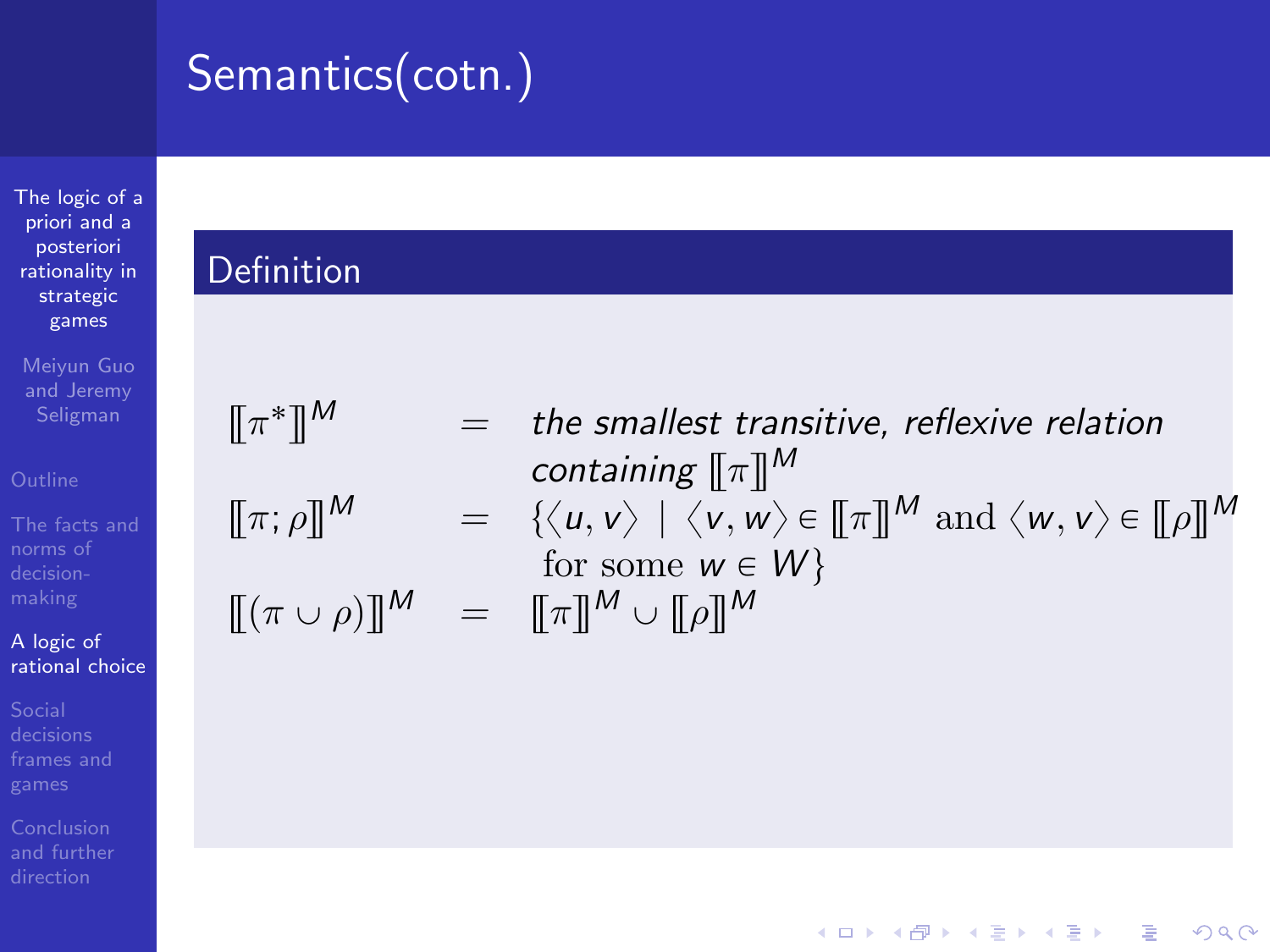# Semantics(cotn.)

[The logic of a](#page-0-0) priori and a posteriori rationality in strategic games

Meiyun Guo and Jeremy

[The facts and](#page-5-0) norms of

A logic of [rational choice](#page-30-0)

[frames and](#page-44-0)

[and further](#page-82-0)

### Definition

 $[\![\pi^*$ 

$$
[\![ (\pi \cup \rho)]\!]^M =
$$

$$
\llbracket \pi^* \rrbracket^M = \text{the smallest transitive, reflexive relation}
$$
\n
$$
\llbracket \pi; \rho \rrbracket^M = \{ \langle u, v \rangle \mid \langle v, w \rangle \in \llbracket \pi \rrbracket^M \text{ and } \langle w, v \rangle \in \llbracket \rho \rrbracket^M
$$
\n
$$
\llbracket (\pi \cup \rho) \rrbracket^M = \llbracket \pi \rrbracket^M \cup \llbracket \rho \rrbracket^M
$$

K ロ ▶ K @ ▶ K 할 > K 할 > 1 할 > 1 이익어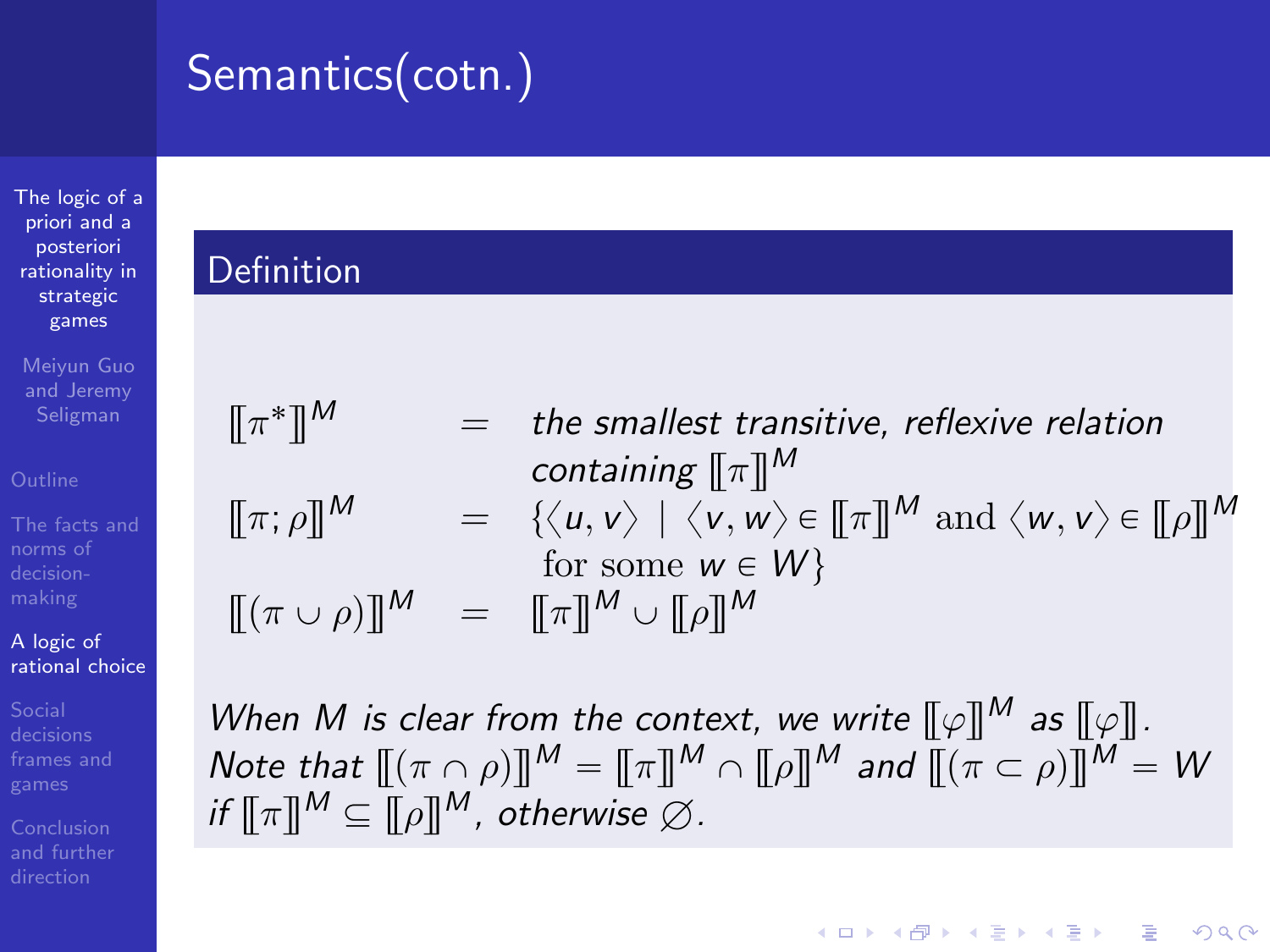# Semantics(cotn.)

[The logic of a](#page-0-0) priori and a posteriori rationality in strategic games

Meiyun Guo and Jeremy

norms of

A logic of [rational choice](#page-30-0)

#### Definition

| $\llbracket \pi^* \rrbracket^M$     | $=$ the smallest transitive, reflexive relation                                                                                  |
|-------------------------------------|----------------------------------------------------------------------------------------------------------------------------------|
|                                     | containing $\llbracket \pi \rrbracket^M$                                                                                         |
| $\llbracket \pi; \rho \rrbracket^M$ | $= \{ \langle u, v \rangle \mid \langle v, w \rangle \in [\![ \pi ]\!]^M \text{ and } \langle w, v \rangle \in [\![ \rho ]\!]^M$ |
|                                     | for some $w \in W$                                                                                                               |
|                                     | $[(\pi \cup \rho)]^M = [\pi]^M \cup [\rho]^M$                                                                                    |

When M is clear from the context, we write  $\llbracket \varphi \rrbracket^M$  as  $\llbracket \varphi \rrbracket$ . Note that  $\llbracket (\pi \cap \rho) \rrbracket^M = \llbracket \pi \rrbracket^M \cap \llbracket \rho \rrbracket^M$  and  $\llbracket (\pi \subset \rho) \rrbracket^M = W$ if  $\llbracket \pi \rrbracket^M \subseteq \llbracket \rho \rrbracket^M$ , otherwise  $\varnothing$ .

**KORK STRAIN A BAR SHOP**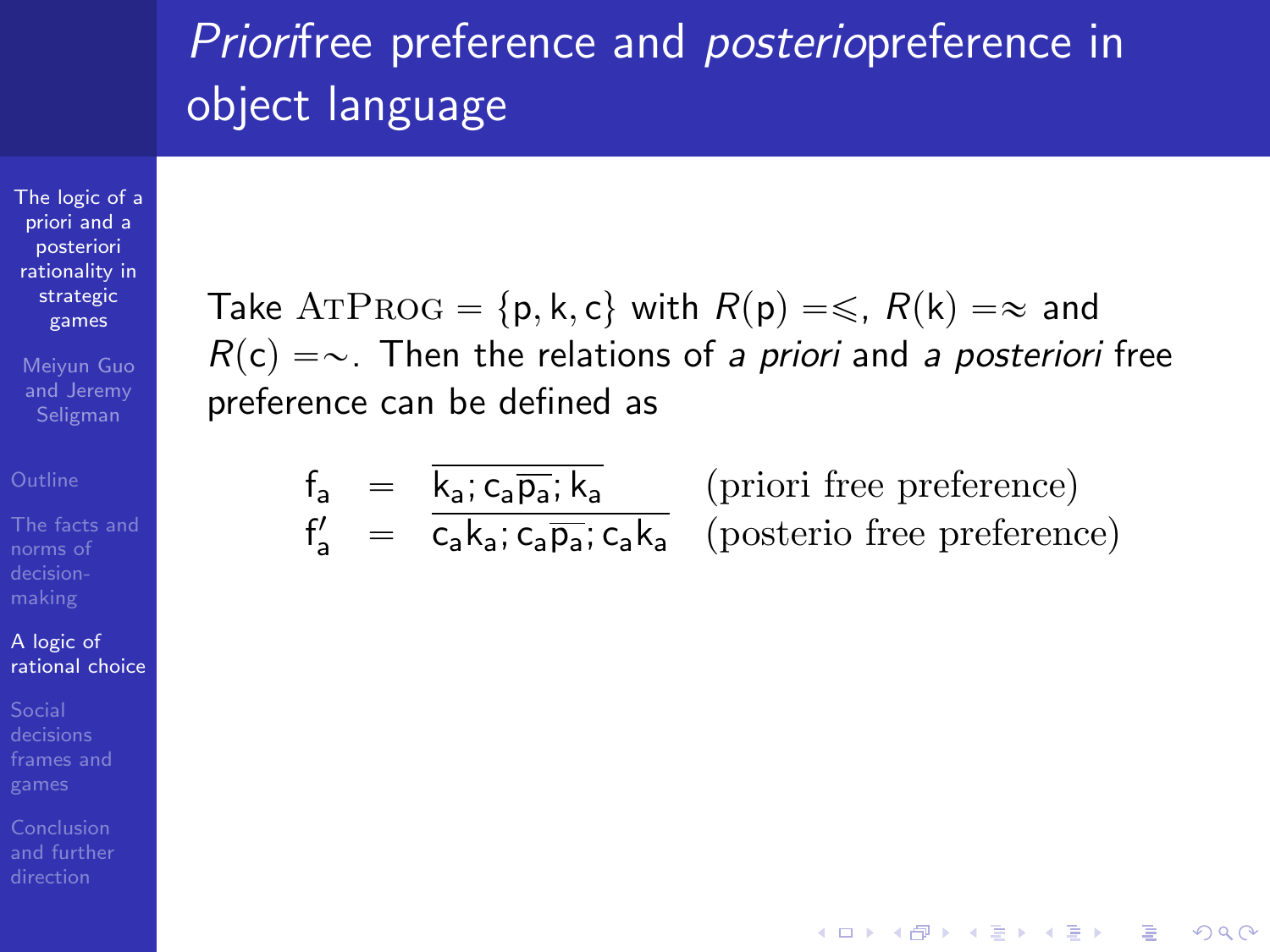## Priorifree preference and posteriopreference in object language

[The logic of a](#page-0-0) priori and a posteriori rationality in strategic games

Meiyun Guo and Jeremy Seligman

norms of

#### A logic of [rational choice](#page-30-0)

[frames and](#page-44-0)

Take ATPROG =  $\{p, k, c\}$  with  $R(p) = \leq R(k) = \infty$  and  $R(c) = \sim$ . Then the relations of a priori and a posteriori free preference can be defined as

$$
f_a = \overline{k_a; c_a \overline{p_a}; k_a}
$$
 (priori free preference)  
\n $f'_a = \overline{c_a k_a; c_a \overline{p_a}; c_a k_a}$  (posterio free preference)

**KORK STRAIN A BAR SHOP**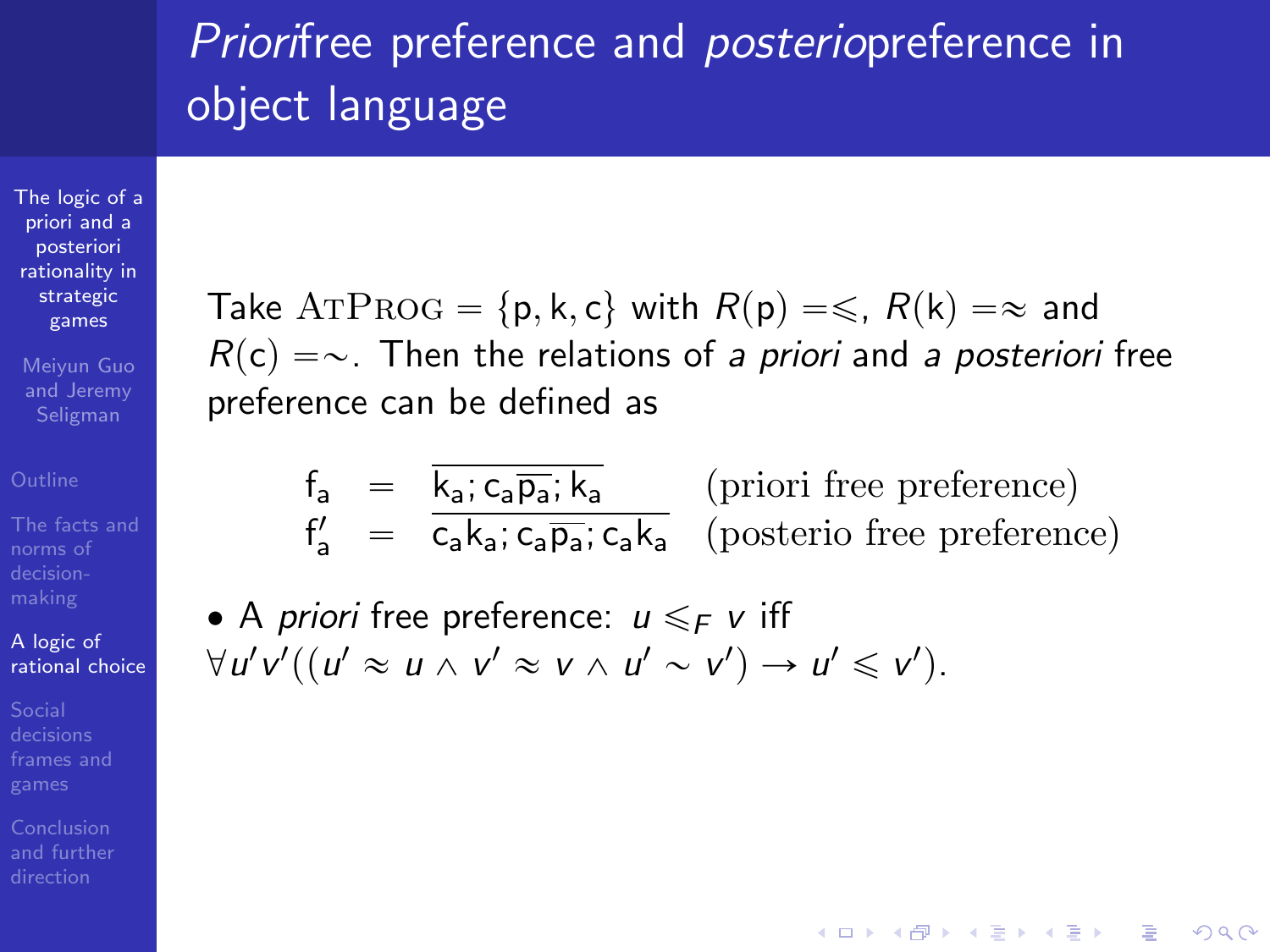## Priorifree preference and posteriopreference in object language

[The logic of a](#page-0-0) priori and a posteriori rationality in strategic games

Meiyun Guo and Jeremy Seligman

norms of

A logic of [rational choice](#page-30-0)

[frames and](#page-44-0)

Take ATPROG =  $\{p, k, c\}$  with  $R(p) = \leq R(k) = \infty$  and  $R(c) = \sim$ . Then the relations of a priori and a posteriori free preference can be defined as

$$
f_{a} = \frac{\overline{k_{a}}; c_{a} \overline{p_{a}}; \overline{k_{a}}}{c_{a} k_{a}; c_{a} \overline{p_{a}}; c_{a} k_{a}}
$$
 (priori free preference)  

$$
f'_{a} = \overline{c_{a} k_{a}}; c_{a} \overline{p_{a}}; c_{a} k_{a}
$$
 (posterio free preference)

• A priori free preference: 
$$
u \leq_F v
$$
 iff  
\n $\forall u'v'((u' \approx u \land v' \approx v \land u' \sim v') \rightarrow u' \leq v').$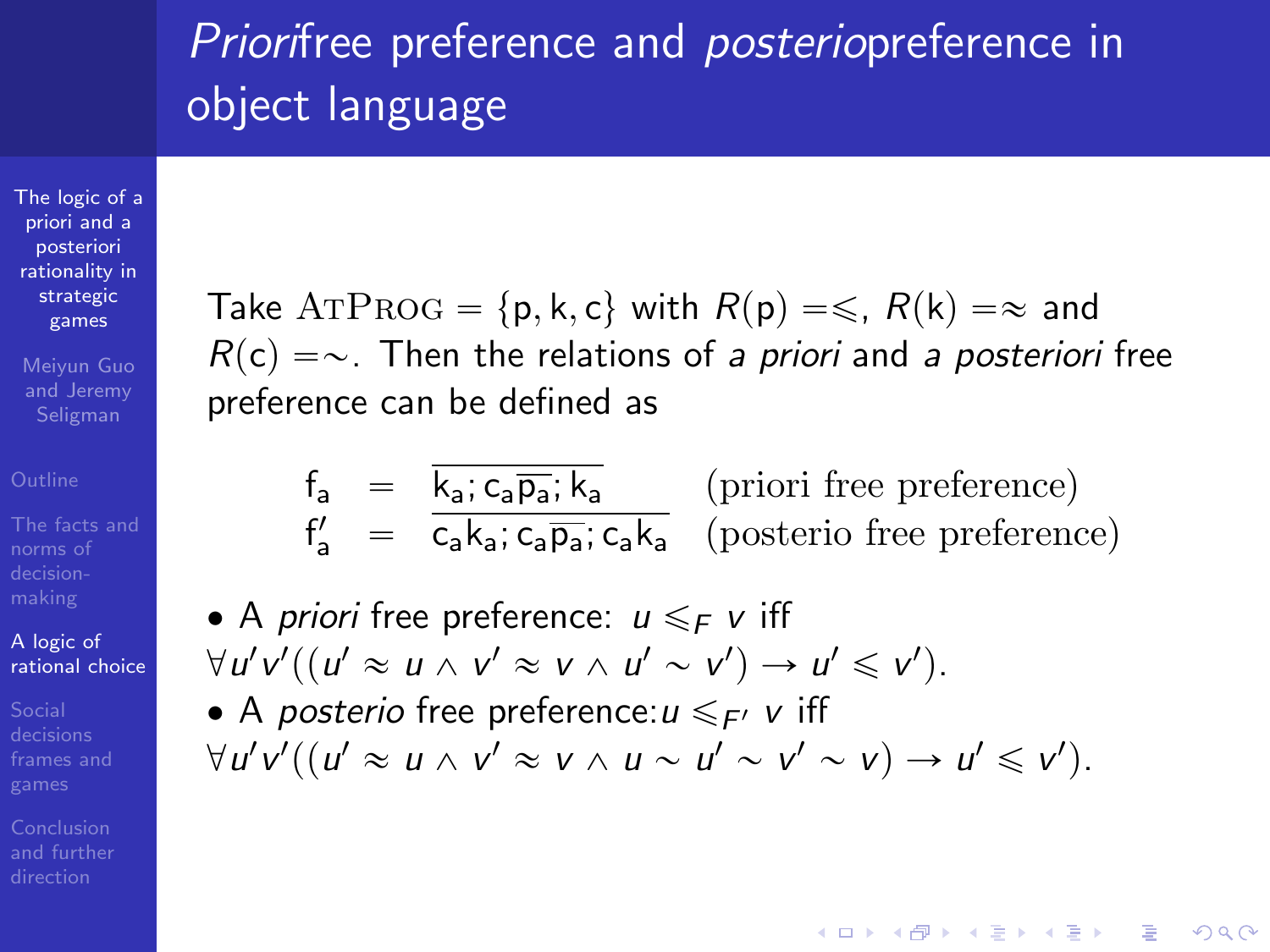## Priorifree preference and posteriopreference in object language

[The logic of a](#page-0-0) priori and a posteriori rationality in strategic games

Meiyun Guo and Jeremy Seligman

norms of

A logic of [rational choice](#page-30-0)

[frames and](#page-44-0)

Take ATPROG =  $\{p, k, c\}$  with  $R(p) = \leq R(k) = \infty$  and  $R(c) = \sim$ . Then the relations of a priori and a posteriori free preference can be defined as

$$
f_{a} = \frac{\overline{k_{a}}; c_{a} \overline{p_{a}}; \overline{k_{a}}}{c_{a} k_{a}; c_{a} \overline{p_{a}}; c_{a} k_{a}}
$$
 (priori free preference)  

$$
f'_{a} = \overline{c_{a} k_{a}; c_{a} \overline{p_{a}}; c_{a} k_{a}}
$$
 (posterio free preference)

\n- A priori free preference: 
$$
u \leq_F v
$$
 iff  $\forall u'v'((u' \approx u \land v' \approx v \land u' \sim v') \rightarrow u' \leq v')$ .
\n- A posterior free preference:  $u \leq_F v$  iff  $\forall u'v'((u' \approx u \land v' \approx v \land u \sim u' \sim v' \sim v) \rightarrow u' \leq v')$ .
\n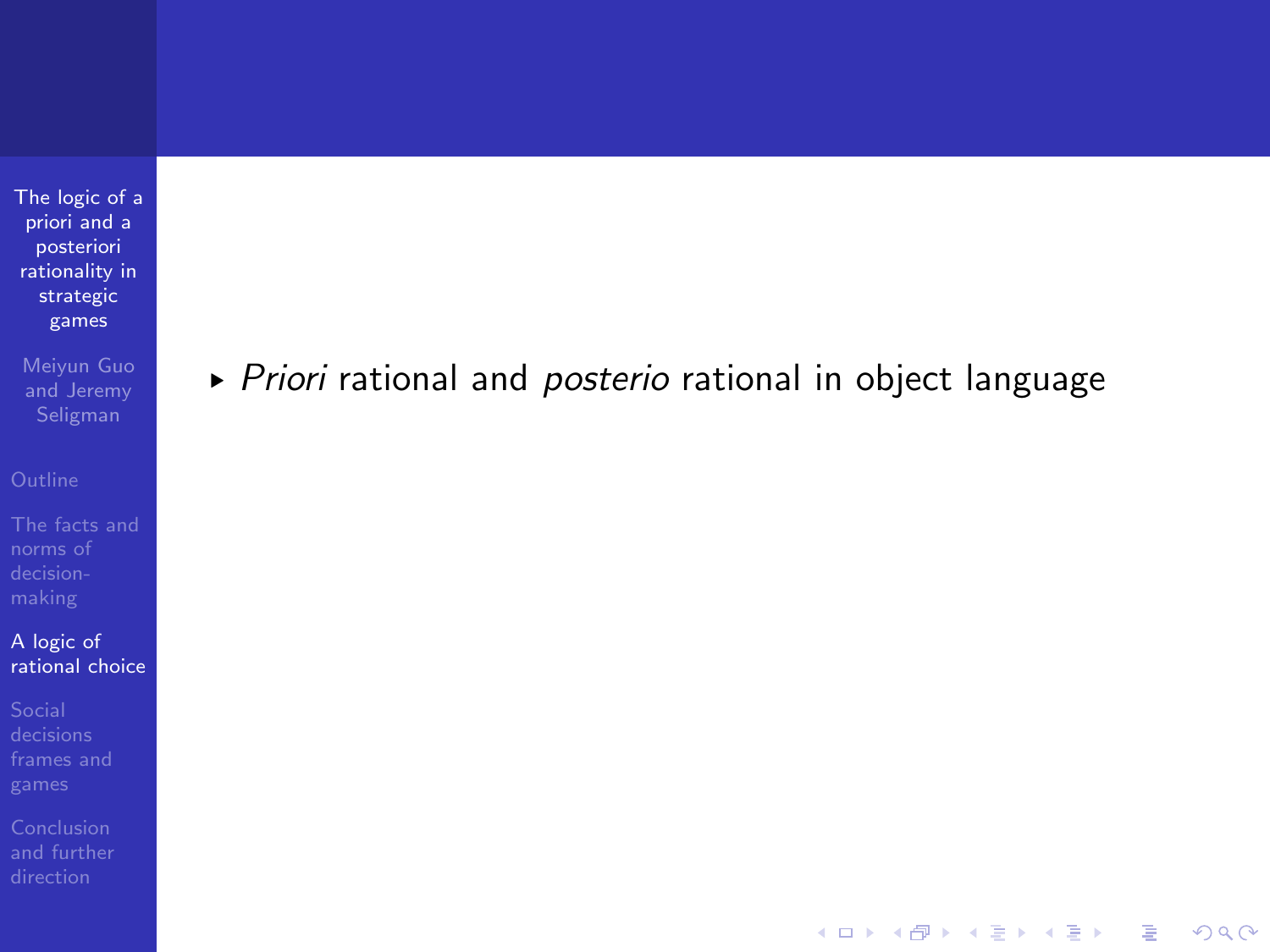Meiyun Guo and Jeremy

[The facts and](#page-5-0) norms of

A logic of [rational choice](#page-30-0)

[frames and](#page-44-0)

[and further](#page-82-0)

▶ Priori rational and posterio rational in object language

K ロ ▶ K @ ▶ K 할 > K 할 > 1 할 > 1 이익어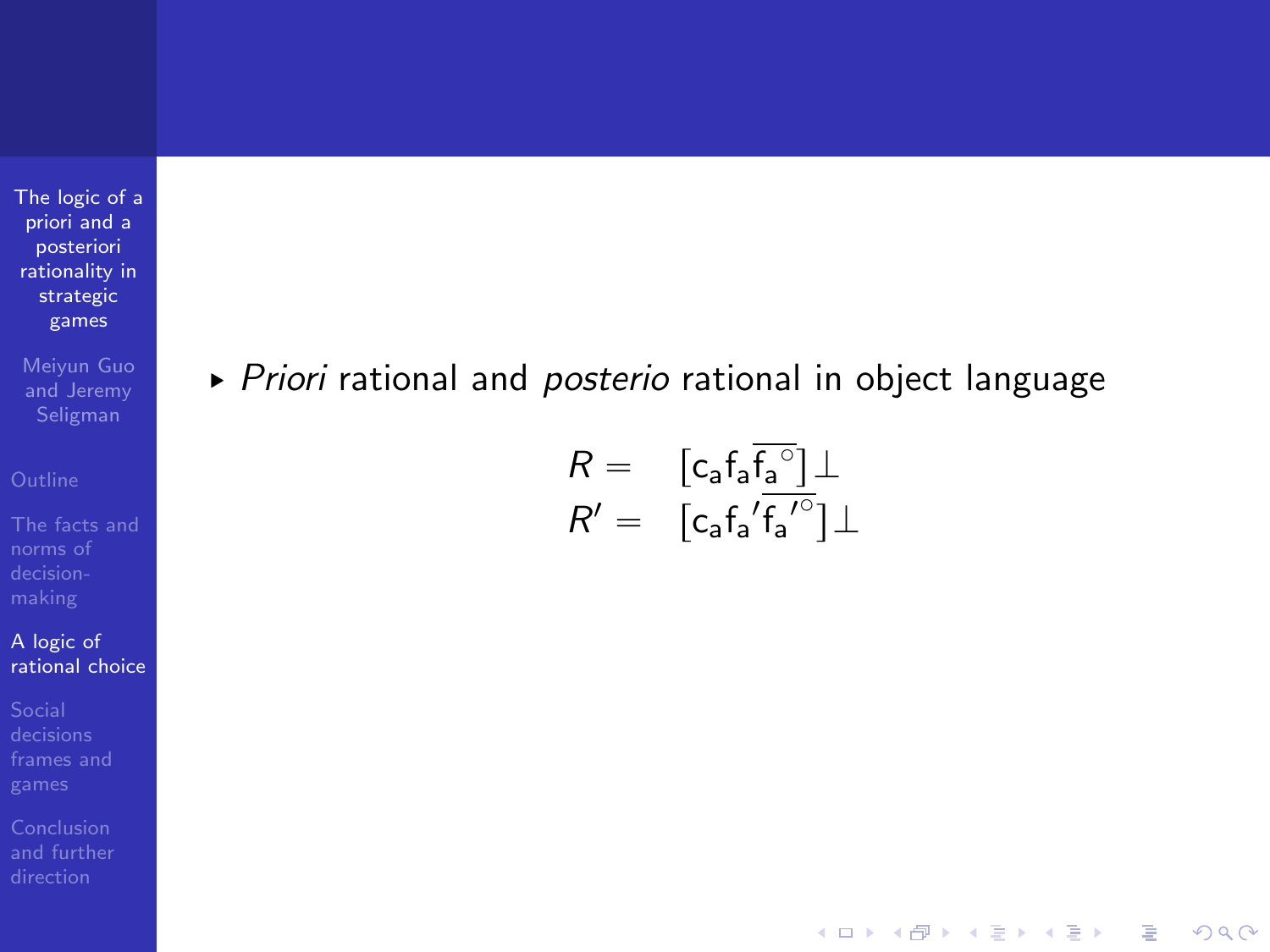Meiyun Guo and Jeremy

[The facts and](#page-5-0) norms of

A logic of [rational choice](#page-30-0)

[frames and](#page-44-0)

[and further](#page-82-0)

▶ Priori rational and posterio rational in object language

$$
\begin{array}{lll} R=&\left[c_a f_a \overline{f_a{}^{\circ}}\right] \perp \\ R'=&\left[c_a {f_a}' \overline{f_a}'^{\circ}\right] \perp \end{array}
$$

K ロ ▶ K @ ▶ K 할 > K 할 > 1 할 > 1 이익어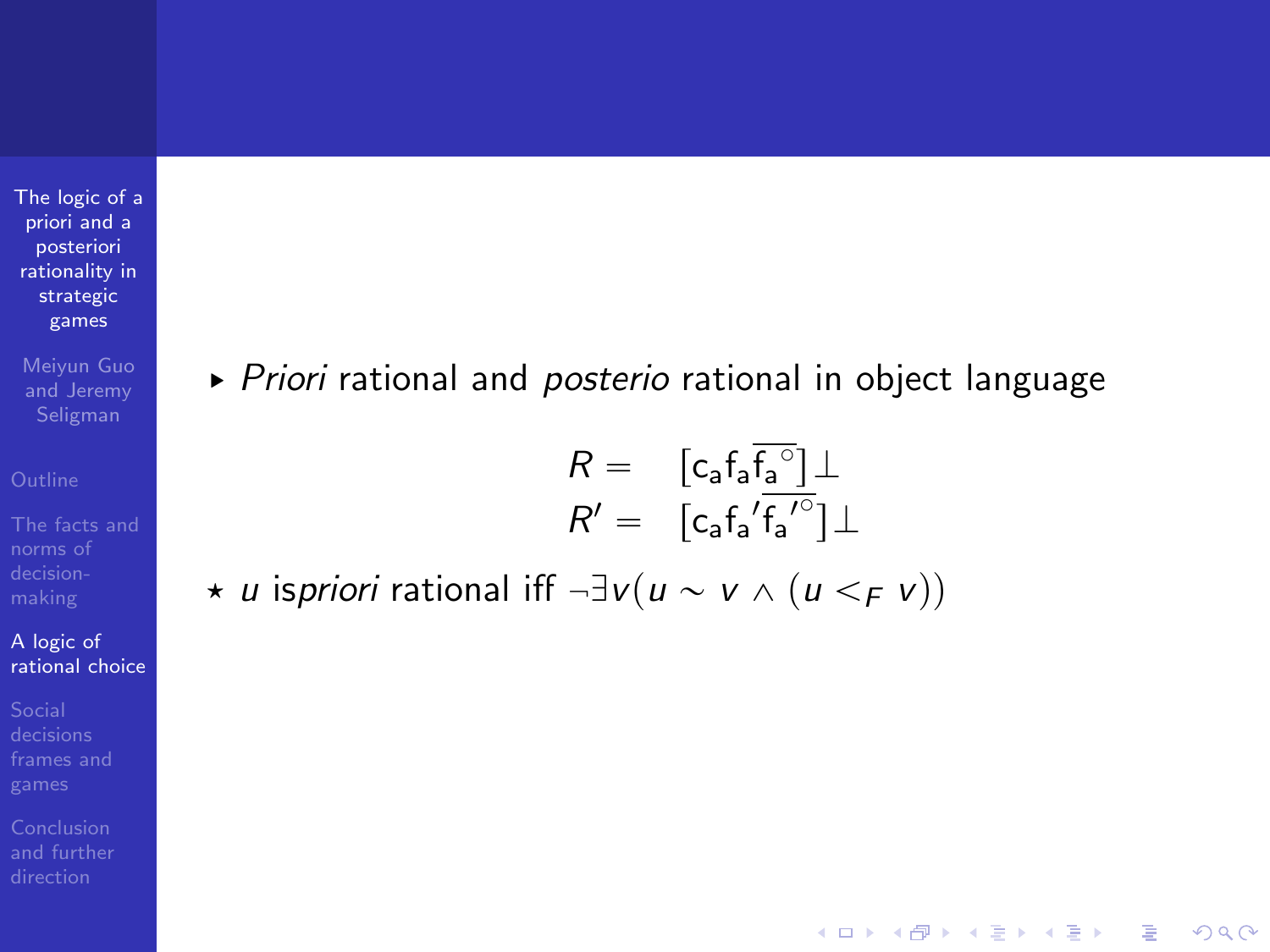Meiyun Guo and Jeremy

norms of

#### A logic of [rational choice](#page-30-0)

[frames and](#page-44-0)

[and further](#page-82-0)

▶ Priori rational and posterio rational in object language

$$
R = \begin{bmatrix} c_a f_a \overline{f_a}^{\circ} \end{bmatrix} \perp
$$

$$
R' = \begin{bmatrix} c_a f_a' \overline{f_a'}^{\circ} \end{bmatrix} \perp
$$

**KOD KARD KED KED E YORA** 

\* *u* ispriori rational iff  $\neg \exists v (u \sim v \land (u \leq_F v))$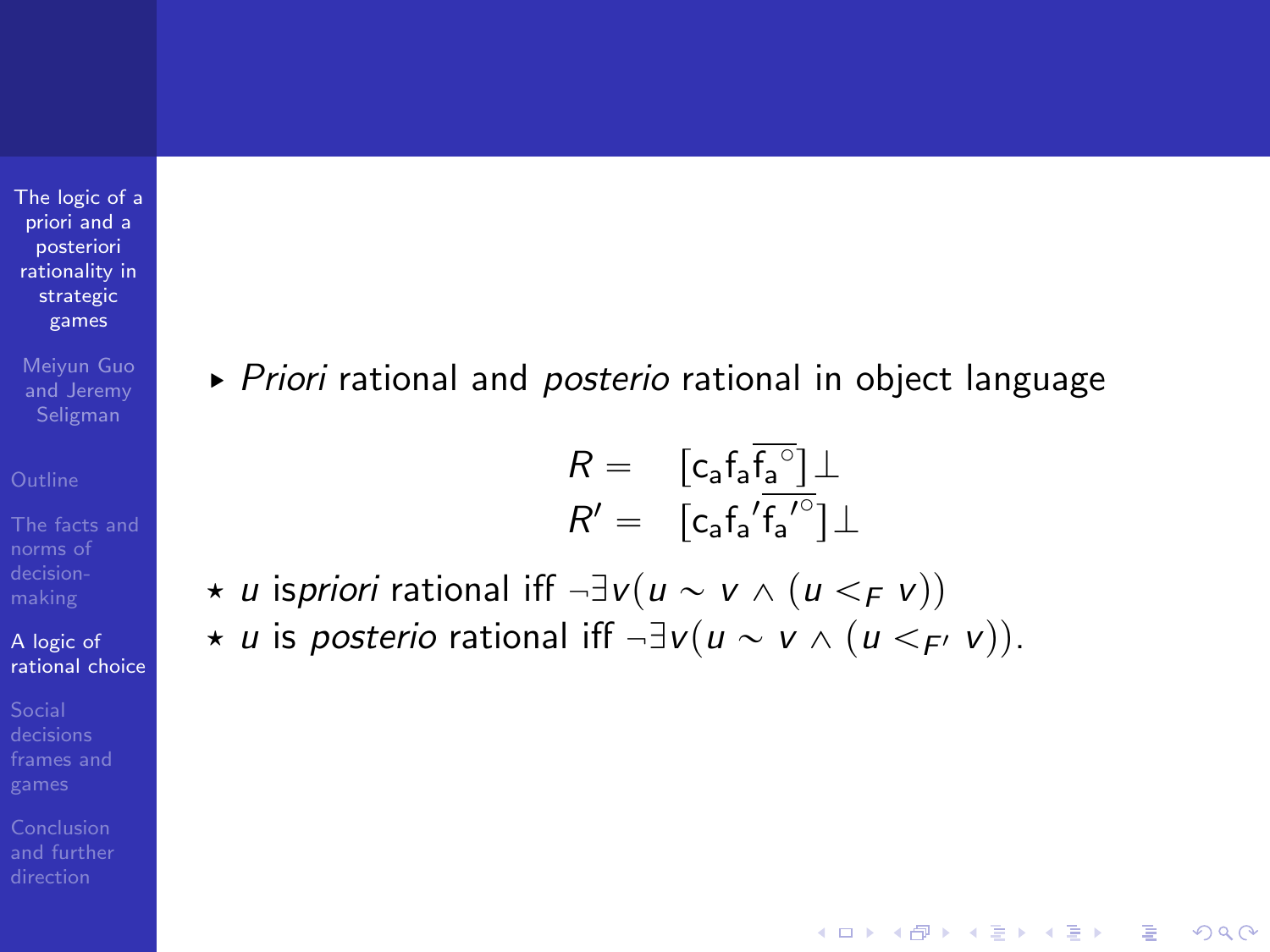Meiyun Guo and Jeremy

norms of

#### A logic of [rational choice](#page-30-0)

[frames and](#page-44-0)

<span id="page-43-0"></span>[and further](#page-82-0)

▶ Priori rational and posterio rational in object language

$$
R = \begin{bmatrix} c_a f_a \overline{f_a}^{\circ} \end{bmatrix} \perp
$$

$$
R' = \begin{bmatrix} c_a f_a' \overline{f_a'}^{\circ} \end{bmatrix} \perp
$$

**KORK STRAIN A BAR SHOP** 

\* u ispriori rational iff  $\neg \exists v (u \sim v \land (u \leq_F v))$ \* u is posterio rational iff  $\neg \exists v (u \sim v \land (u \lt F \lor v))$ .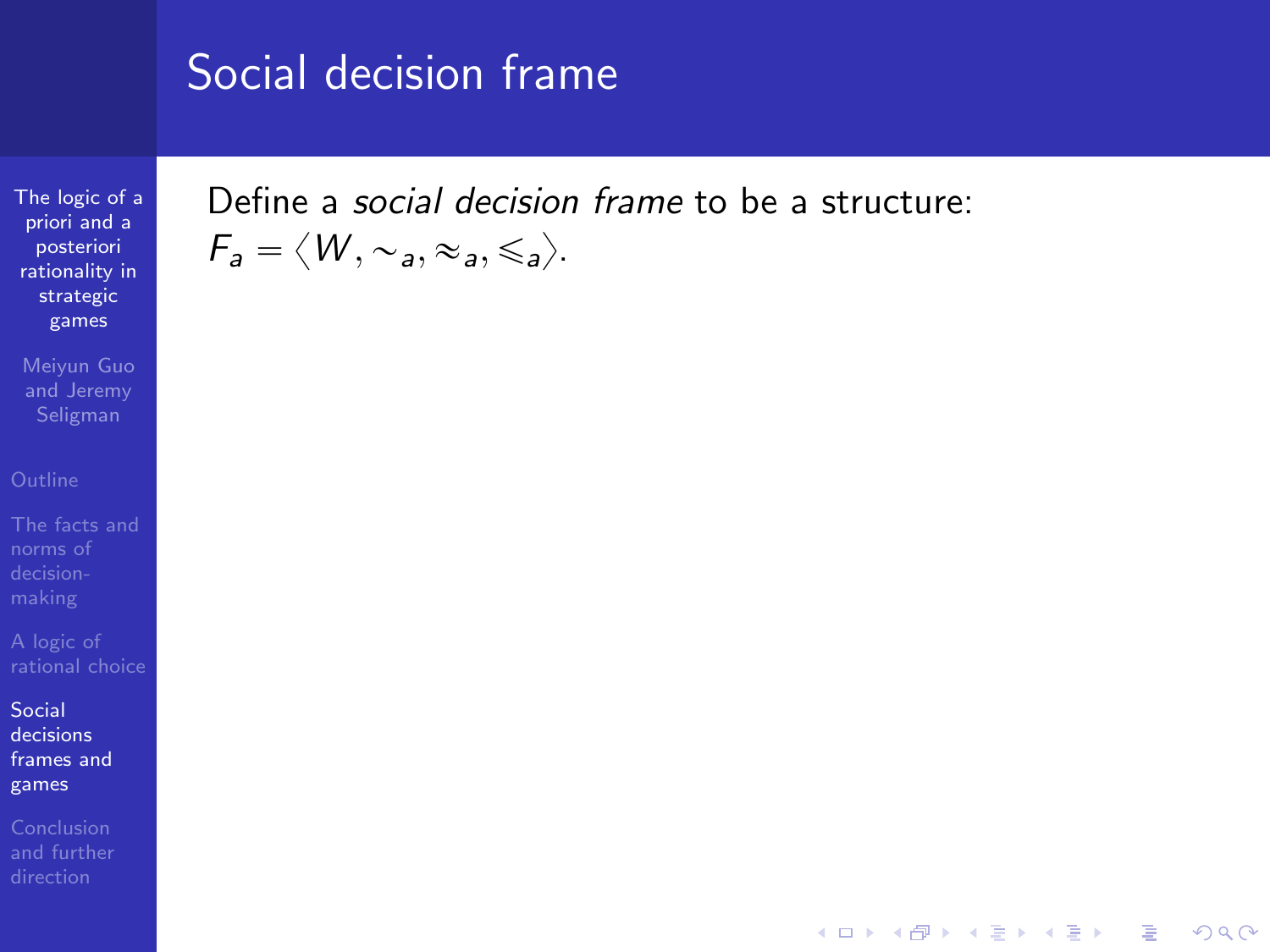[The logic of a](#page-0-0) priori and a posteriori rationality in strategic games

Meiyun Guo and Jeremy

norms of

Social decisions [frames and](#page-44-0) games

<span id="page-44-0"></span>

Define a social decision frame to be a structure:  $F_a = \langle W, \sim_a, \approx_a, \leq_a \rangle$ .

**KORK STRATER STRAKER**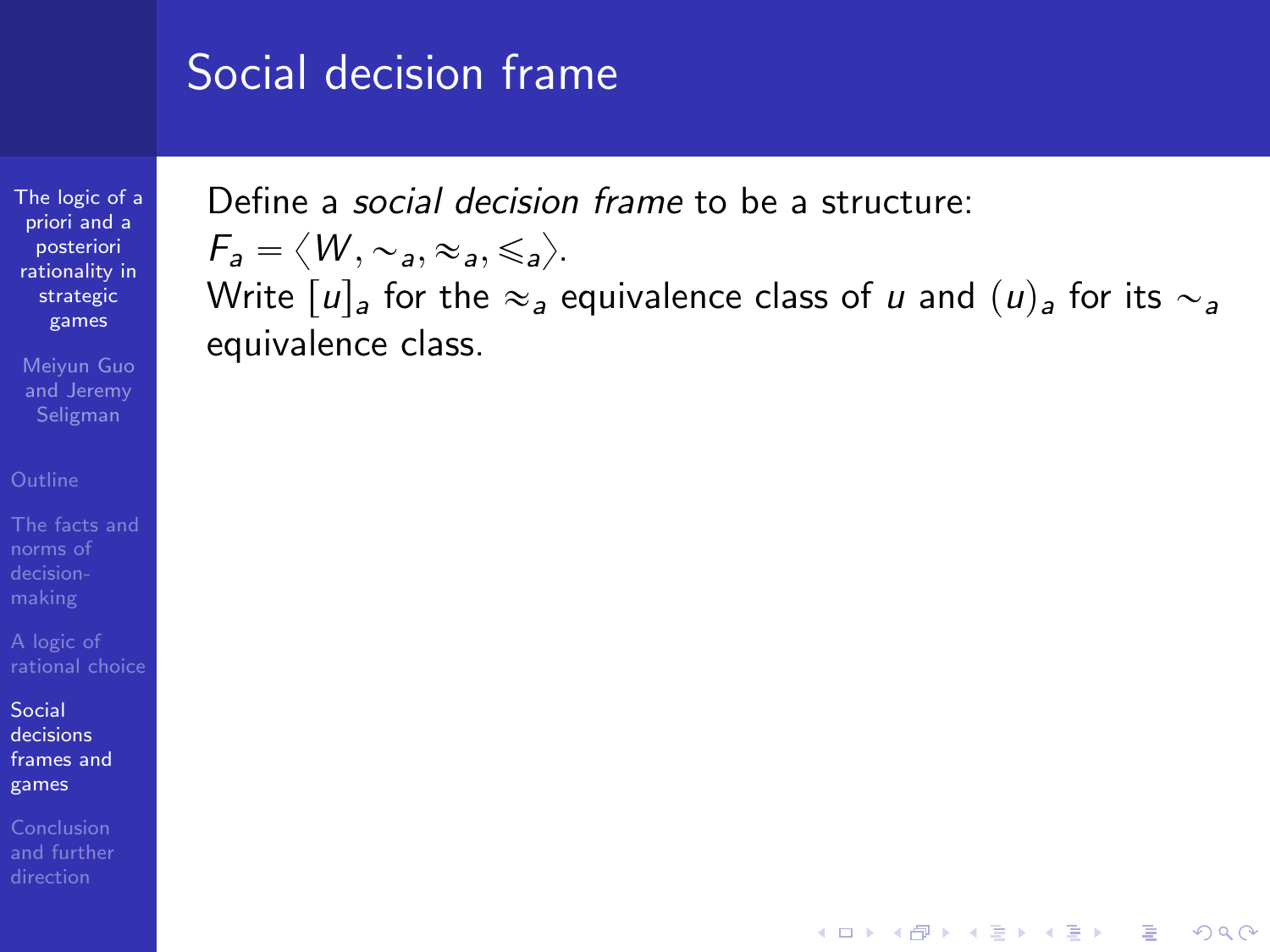[The logic of a](#page-0-0) priori and a posteriori rationality in strategic games

Meiyun Guo and Jeremy

norms of

Social decisions [frames and](#page-44-0) games

[and further](#page-82-0)

Define a social decision frame to be a structure:

$$
\mathsf{F}_a = \langle W, \sim_a, \approx_a, \leq_a \rangle.
$$

Write  $|u|_a$  for the  $\approx_a$  equivalence class of u and  $(u)_a$  for its  $\sim_a$ equivalence class.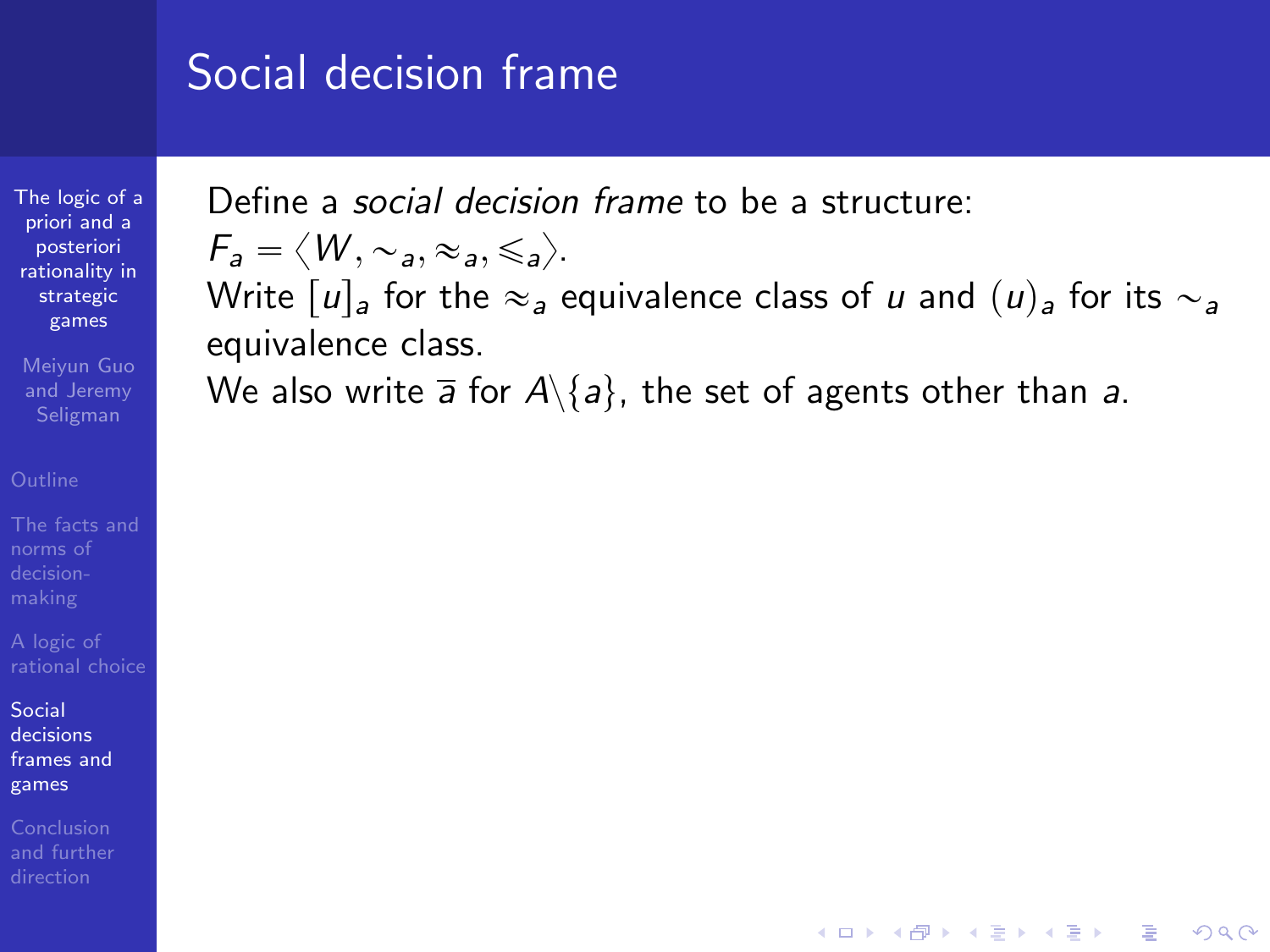[The logic of a](#page-0-0) priori and a posteriori rationality in strategic games

Meiyun Guo and Jeremy

norms of

Social decisions [frames and](#page-44-0) games

Define a social decision frame to be a structure:

$$
\mathcal{F}_a = \langle W, \sim_a, \approx_a, \leq_a \rangle.
$$

Write  $|u|_a$  for the  $\approx_a$  equivalence class of u and  $(u)_a$  for its  $\sim_a$ equivalence class.

**KOD KARD KED KED E YORA** 

We also write  $\overline{a}$  for  $A\setminus\{a\}$ , the set of agents other than a.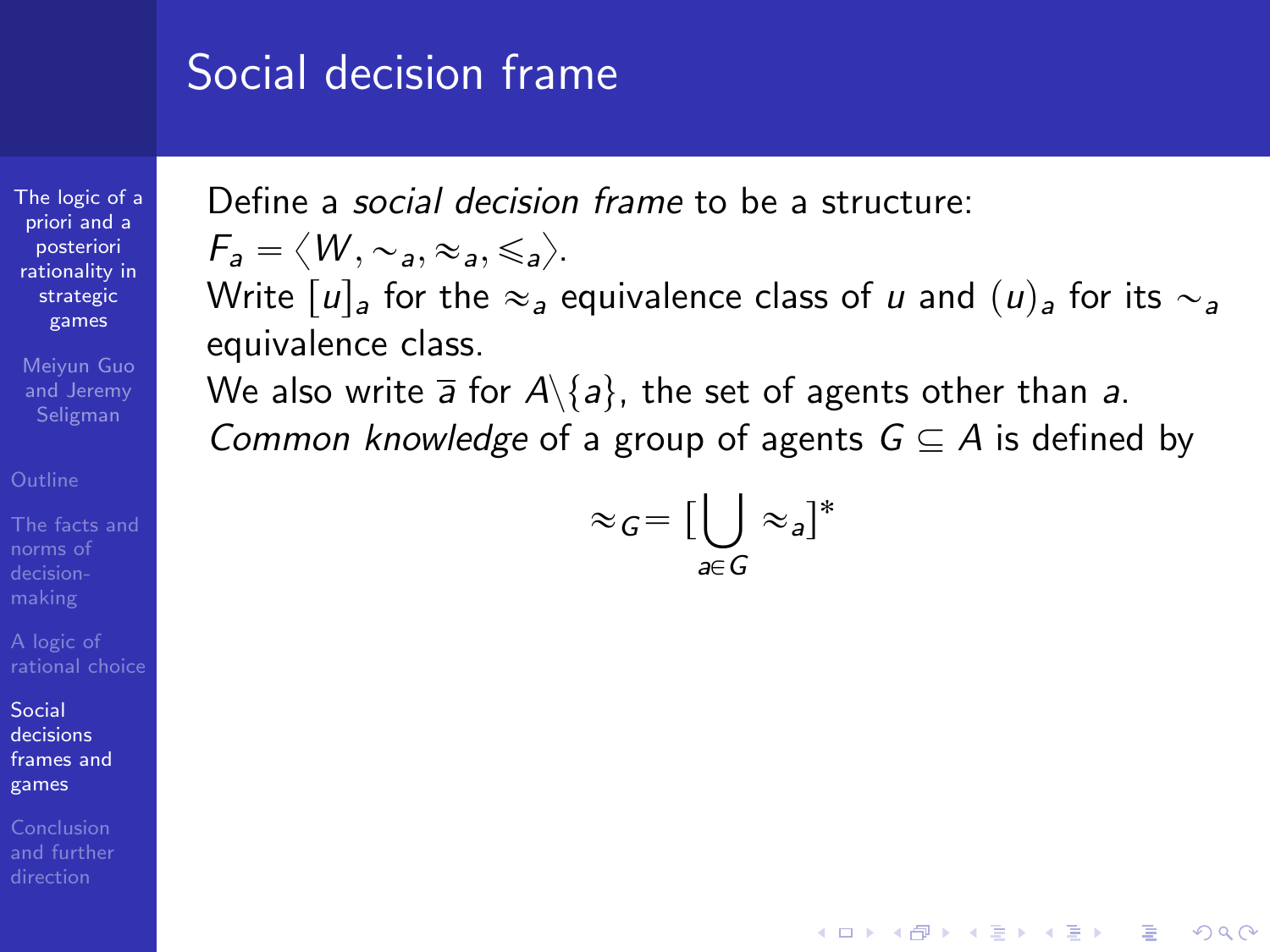[The logic of a](#page-0-0) priori and a posteriori rationality in strategic games

Meiyun Guo and Jeremy

norms of

Social decisions [frames and](#page-44-0) games

Conclusion

Define a social decision frame to be a structure:

$$
\mathcal{F}_a = \langle W, \sim_a, \approx_a, \leq_a \rangle.
$$

Write  $|u|_a$  for the  $\approx_a$  equivalence class of u and  $(u)_a$  for its  $\sim_a$ equivalence class.

We also write  $\overline{a}$  for  $A\backslash\{a\}$ , the set of agents other than a. Common knowledge of a group of agents  $G \subseteq A$  is defined by

$$
\approx_G = \big[\bigcup_{a \in G} \approx_a\big]^*
$$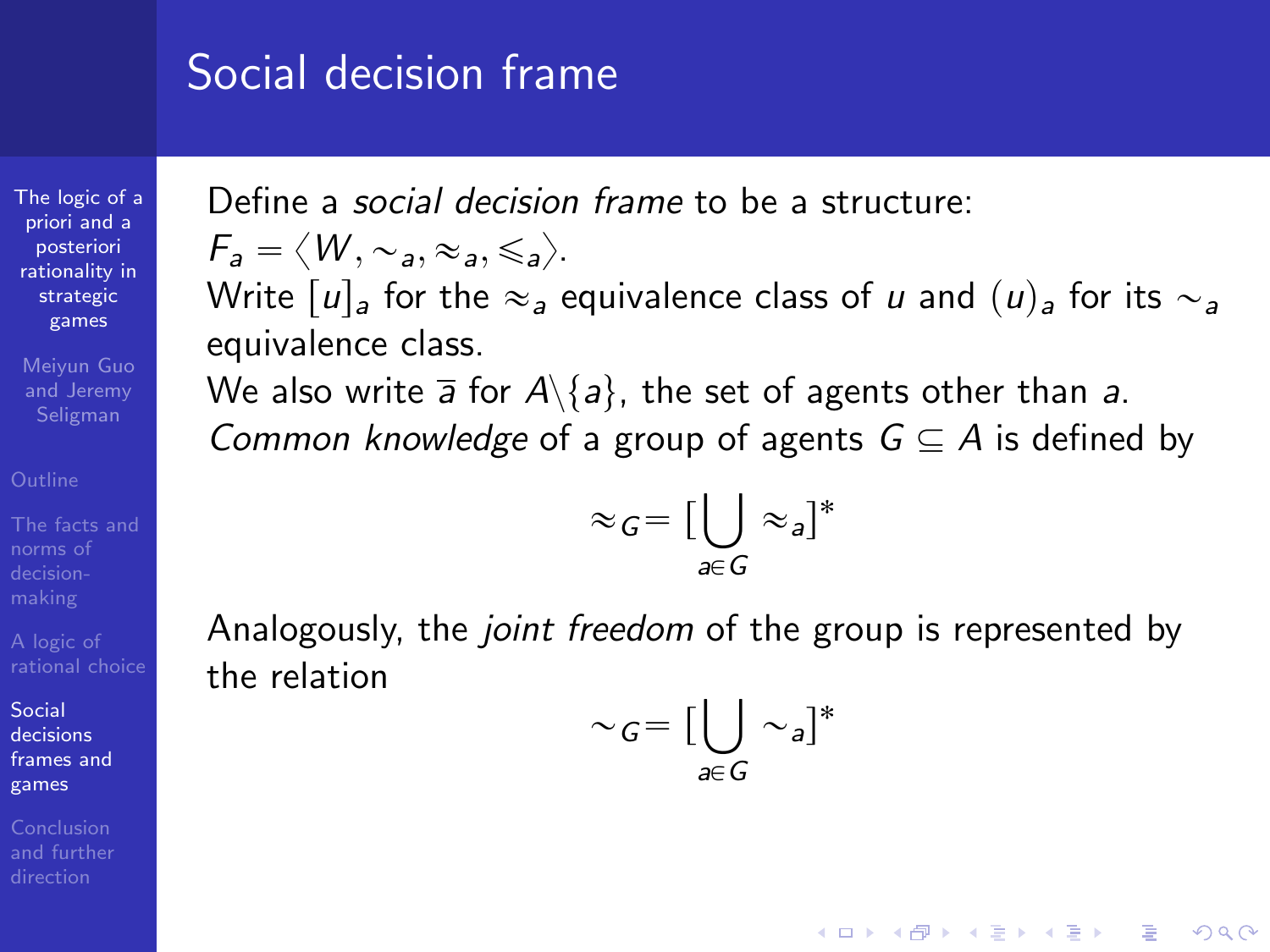[The logic of a](#page-0-0) priori and a posteriori rationality in strategic games

Meiyun Guo and Jeremy Seligman

norms of

Social decisions [frames and](#page-44-0) games

<span id="page-48-0"></span>Conclusion

Define a social decision frame to be a structure:

$$
\mathsf{F}_a = \langle W, \sim_a, \approx_a, \leq_a \rangle.
$$

Write  $|u|_a$  for the  $\approx_a$  equivalence class of u and  $(u)_a$  for its  $\sim_a$ equivalence class.

We also write  $\overline{a}$  for  $A\backslash\{a\}$ , the set of agents other than a. Common knowledge of a group of agents  $G \subseteq A$  is defined by

$$
\approx_G = \big[\bigcup_{a \in G} \approx_a\big]^*
$$

Analogously, the *joint freedom* of the group is represented by the relation

$$
\sim_G = \big[\bigcup_{a \in G} \sim_a\big]^*
$$

**KORK ERKER ADE YOUR**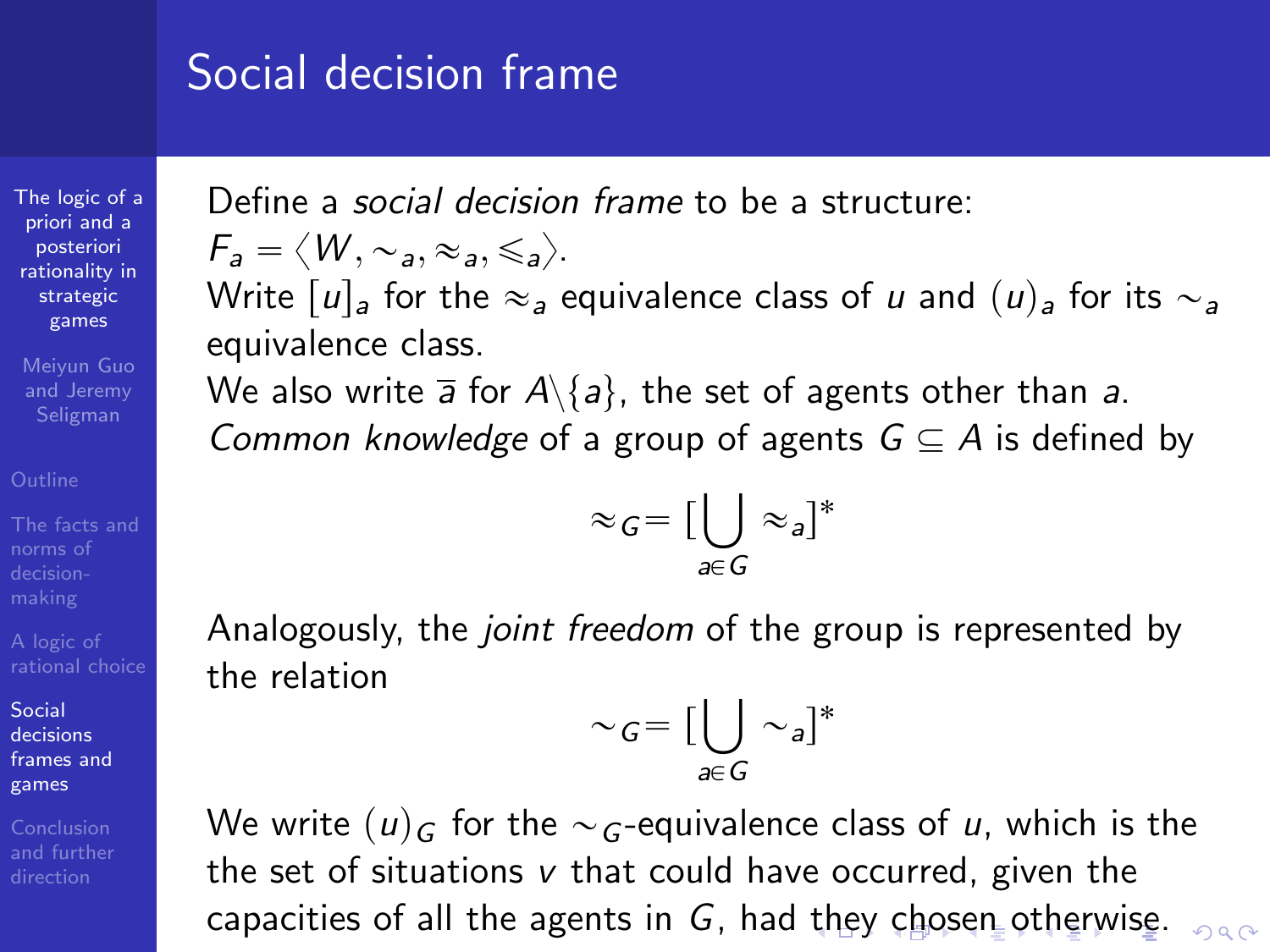[The logic of a](#page-0-0) priori and a posteriori rationality in strategic games

Meiyun Guo and Jeremy Seligman

norms of

Social decisions [frames and](#page-44-0) games

<span id="page-49-0"></span>

Define a social decision frame to be a structure:

$$
\mathsf{F}_a = \langle W, \sim_a, \approx_a, \leq_a \rangle.
$$

Write  $|u|_a$  for the  $\approx_a$  equivalence class of u and  $(u)_a$  for its  $\sim_a$ equivalence class.

We also write  $\overline{a}$  for  $A\backslash\{a\}$ , the set of agents other than a. Common knowledge of a group of agents  $G \subseteq A$  is defined by

$$
\approx_G = \big[\bigcup_{a \in G} \approx_a\big]^*
$$

Analogously, the *joint freedom* of the group is represented by the relation

$$
\sim_G = \big[\bigcup_{a \in G} \sim_a\big]^*
$$

We write  $(u)_{G}$  for the  $\sim_{G}$ -equivalence class of u, which is the the set of situations  $v$  that could have occurred, given the capacities of all [th](#page-48-0)e agents in G, had th[ey](#page-50-0) [c](#page-43-0)[h](#page-44-0)[o](#page-49-0)[s](#page-50-0)[e](#page-44-0)[n](#page-44-0) [o](#page-82-0)[th](#page-43-0)e[r](#page-81-0)[w](#page-82-0)[is](#page-0-0)[e.](#page-90-0)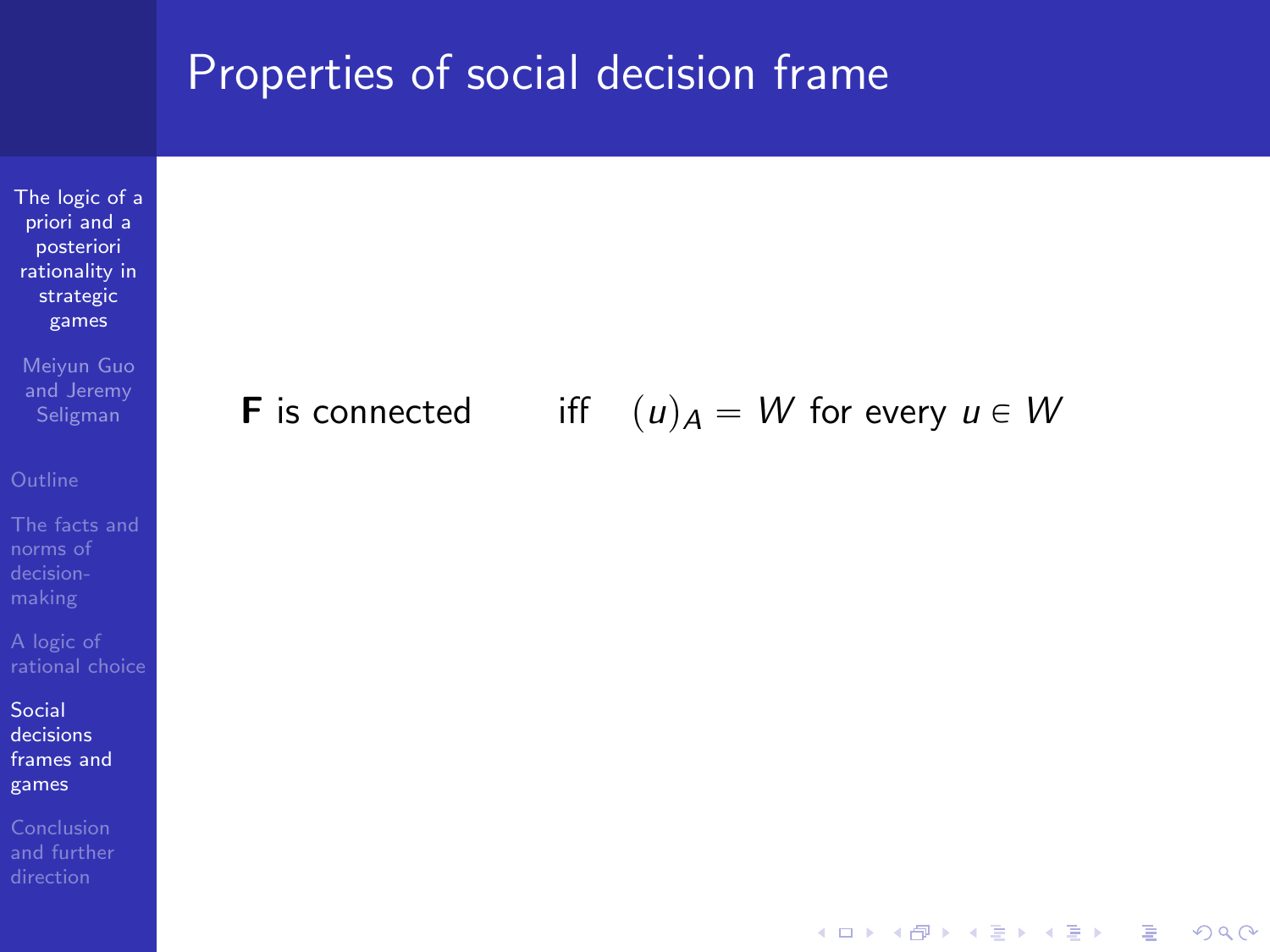

 $\mathbf{E} = \mathbf{A} \oplus \mathbf{A} + \mathbf{A} \oplus \mathbf{A} + \mathbf{A} \oplus \mathbf{A} + \mathbf{A} \oplus \mathbf{A} + \mathbf{A} \oplus \mathbf{A} + \mathbf{A} \oplus \mathbf{A} + \mathbf{A} \oplus \mathbf{A} + \mathbf{A} \oplus \mathbf{A} + \mathbf{A} \oplus \mathbf{A} + \mathbf{A} \oplus \mathbf{A} + \mathbf{A} \oplus \mathbf{A} + \mathbf{A} \oplus \mathbf{A} + \mathbf{A} \oplus \mathbf{A} + \mathbf{A$ 

 $QQ$ 

Social decisions [frames and](#page-44-0) games

<span id="page-50-0"></span>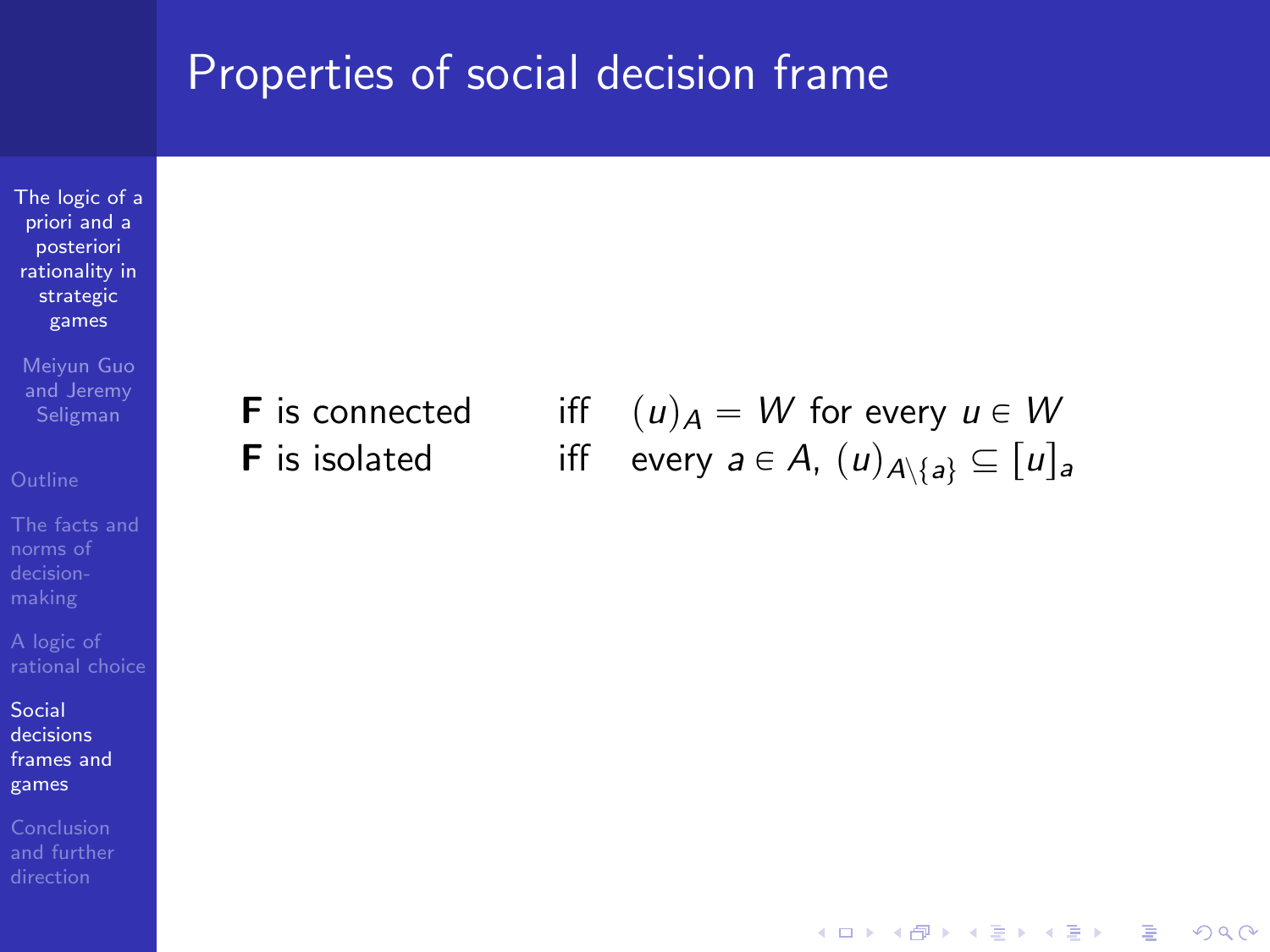[The logic of a](#page-0-0) priori and a posteriori rationality in strategic games

Meiyun Guo and Jeremy

norms of

Social decisions [frames and](#page-44-0) games

**F** is connected iff  $(u)_A = W$  for every  $u \in W$ **F** is isolated iff every  $a \in A$ ,  $(u)_{A \setminus \{a\}} \subseteq [u]_a$ 

 $\mathbf{E} = \mathbf{A} \oplus \mathbf{A} + \mathbf{A} \oplus \mathbf{A} + \mathbf{A} \oplus \mathbf{A} + \mathbf{A} \oplus \mathbf{A} + \mathbf{A} \oplus \mathbf{A} + \mathbf{A} \oplus \mathbf{A} + \mathbf{A} \oplus \mathbf{A} + \mathbf{A} \oplus \mathbf{A} + \mathbf{A} \oplus \mathbf{A} + \mathbf{A} \oplus \mathbf{A} + \mathbf{A} \oplus \mathbf{A} + \mathbf{A} \oplus \mathbf{A} + \mathbf{A} \oplus \mathbf{A} + \mathbf{A$ 

 $2Q$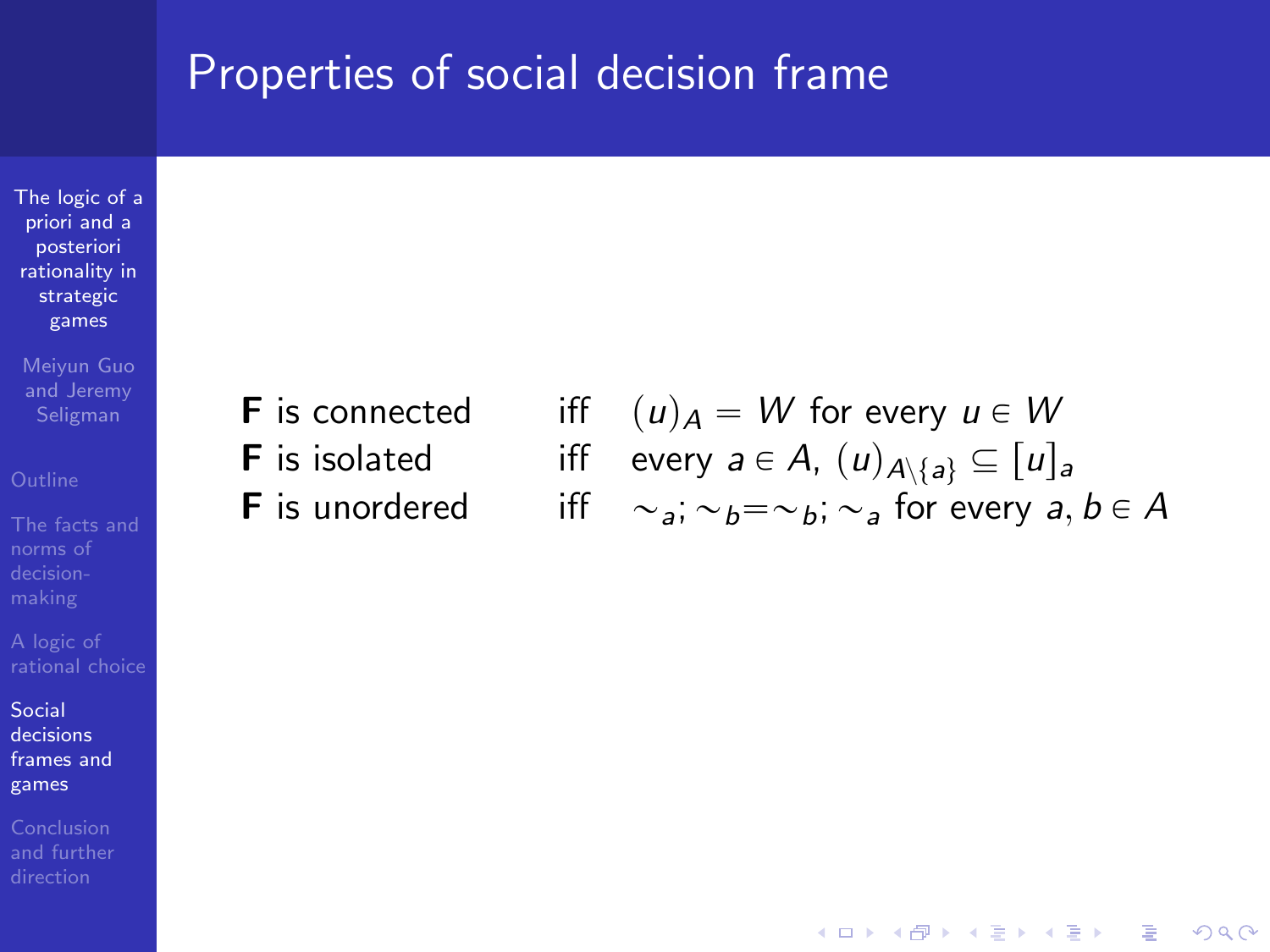[The logic of a](#page-0-0) priori and a posteriori rationality in strategic games

Meiyun Guo and Jeremy

norms of

Social decisions [frames and](#page-44-0) games

- 
- **F** is connected iff  $(u)_A = W$  for every  $u \in W$ **F** is isolated iff every  $a \in A$ ,  $(u)_{A \setminus \{a\}} \subseteq [u]_a$ **F** is unordered iff  $\sim_{a}$ ;  $\sim_{b}=\sim_{b}$ ;  $\sim_{a}$  for every  $a, b \in A$

 $2Q$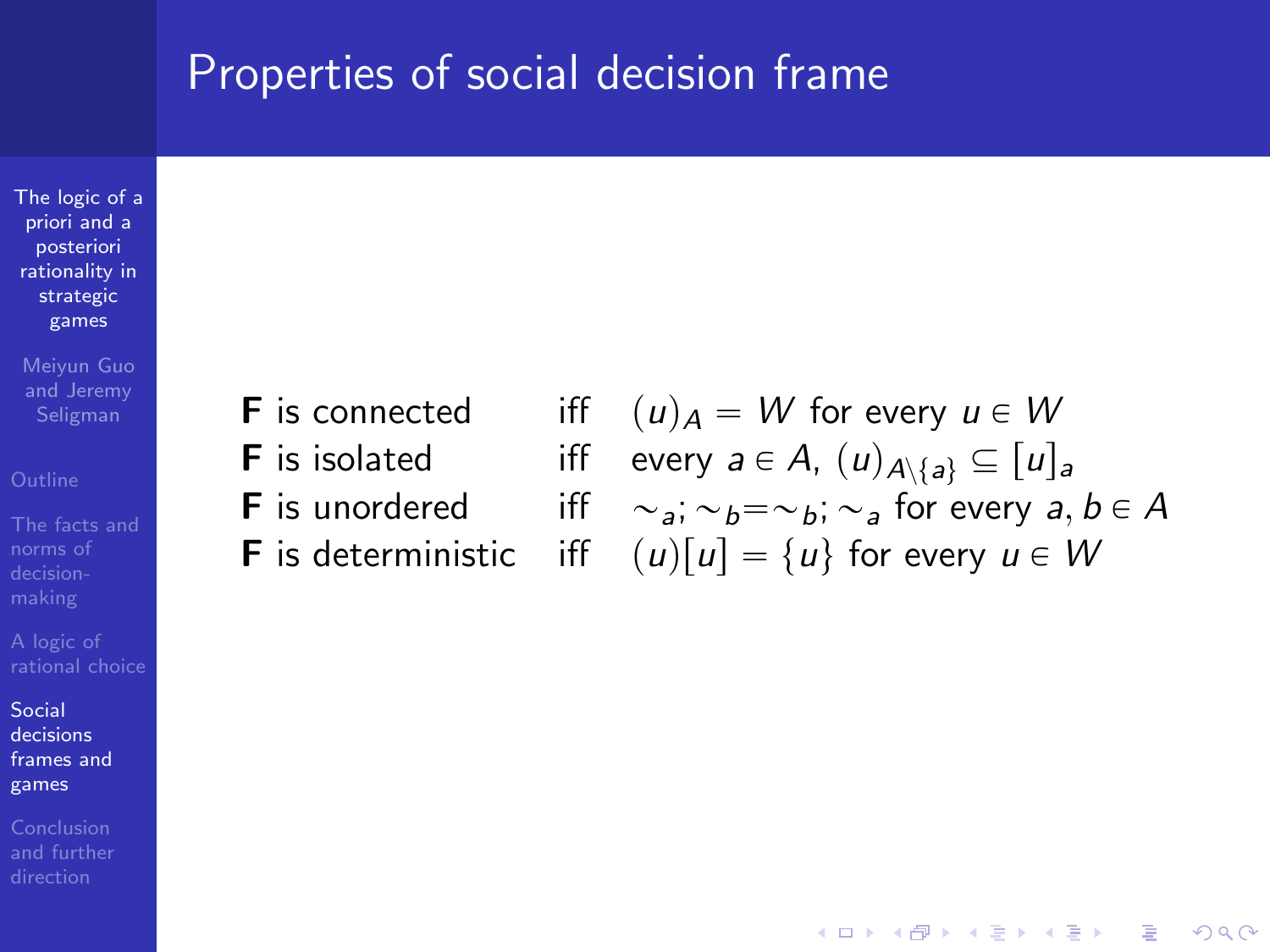[The logic of a](#page-0-0) priori and a posteriori rationality in strategic games

Meiyun Guo and Jeremy

Social decisions [frames and](#page-44-0) games

Conclusion

- 
- 
- 
- 

**F** is connected iff  $(u)_A = W$  for every  $u \in W$ **F** is isolated iff every  $a \in A$ ,  $(u)_{A \setminus \{a\}} \subseteq [u]_a$ **F** is unordered iff  $\sim_a$ ;  $\sim_b = \sim_b$ ;  $\sim_a$  for every  $a, b \in A$ **F** is deterministic iff  $(u)[u] = {u}$  for every  $u \in W$ 

 $\mathbf{E} = \mathbf{A} \oplus \mathbf{A} + \mathbf{A} \oplus \mathbf{A} + \mathbf{A} \oplus \mathbf{A} + \mathbf{A} \oplus \mathbf{A} + \mathbf{A} \oplus \mathbf{A} + \mathbf{A} \oplus \mathbf{A} + \mathbf{A} \oplus \mathbf{A} + \mathbf{A} \oplus \mathbf{A} + \mathbf{A} \oplus \mathbf{A} + \mathbf{A} \oplus \mathbf{A} + \mathbf{A} \oplus \mathbf{A} + \mathbf{A} \oplus \mathbf{A} + \mathbf{A} \oplus \mathbf{A} + \mathbf{A$ 

 $\Omega$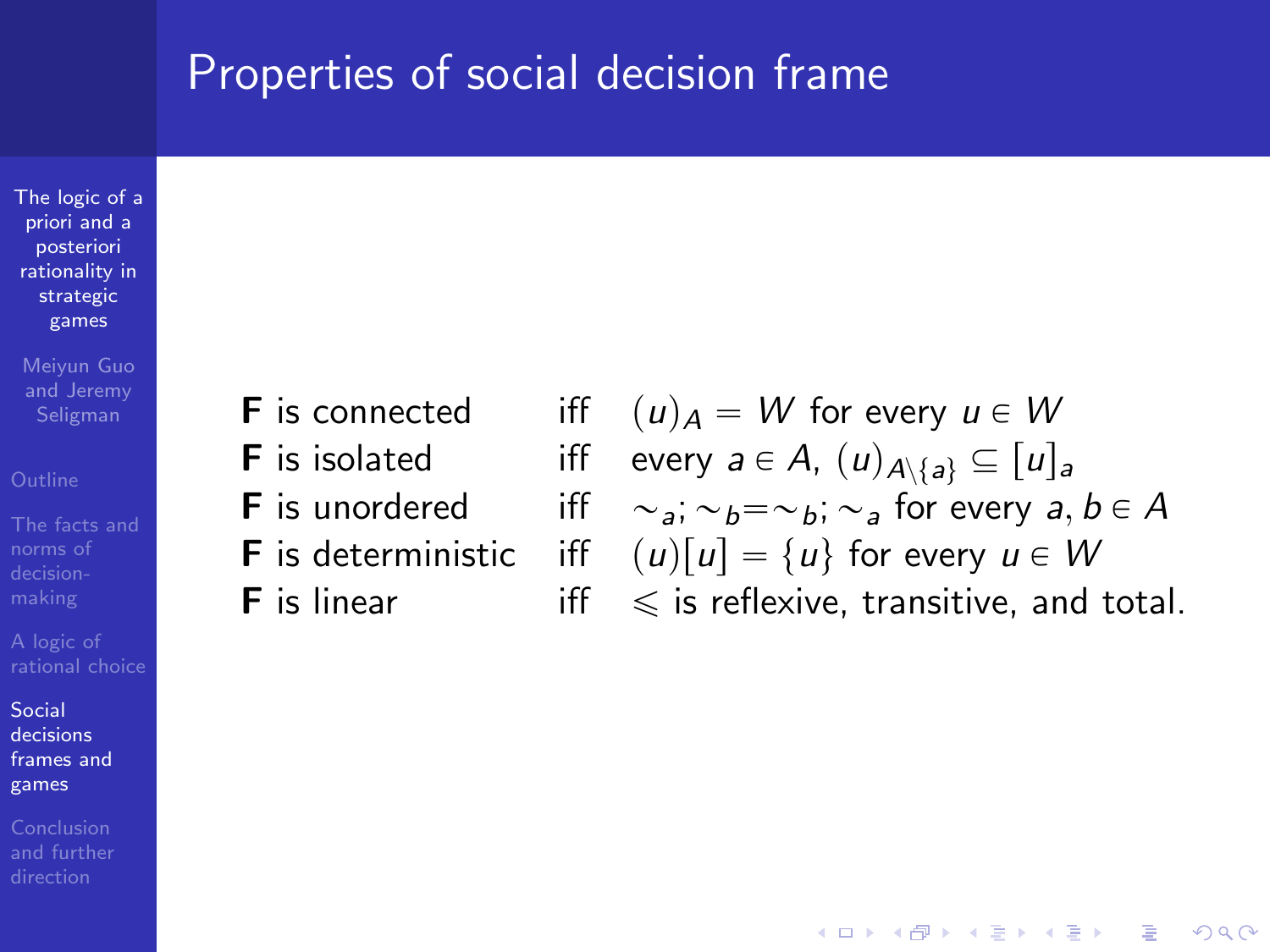[The logic of a](#page-0-0) priori and a posteriori rationality in strategic games

Meiyun Guo and Jeremy

Social decisions [frames and](#page-44-0) games

Conclusion

- 
- 
- 
- 
- 

**F** is connected iff  $(u)_A = W$  for every  $u \in W$ **F** is isolated iff every  $a \in A$ ,  $(u)_{A \setminus \{a\}} \subseteq [u]_a$ **F** is unordered iff  $\sim_a$ ;  $\sim_b = \sim_b$ ;  $\sim_a$  for every  $a, b \in A$ **F** is deterministic iff  $(u)[u] = \{u\}$  for every  $u \in W$ **F** is linear iff  $\leq$  is reflexive, transitive, and total.

 $\mathbf{E} = \mathbf{A} \oplus \mathbf{A} + \mathbf{A} \oplus \mathbf{A} + \mathbf{A} \oplus \mathbf{A} + \mathbf{A} \oplus \mathbf{A} + \mathbf{A} \oplus \mathbf{A} + \mathbf{A} \oplus \mathbf{A} + \mathbf{A} \oplus \mathbf{A} + \mathbf{A} \oplus \mathbf{A} + \mathbf{A} \oplus \mathbf{A} + \mathbf{A} \oplus \mathbf{A} + \mathbf{A} \oplus \mathbf{A} + \mathbf{A} \oplus \mathbf{A} + \mathbf{A} \oplus \mathbf{A} + \mathbf{A$ 

 $\Omega$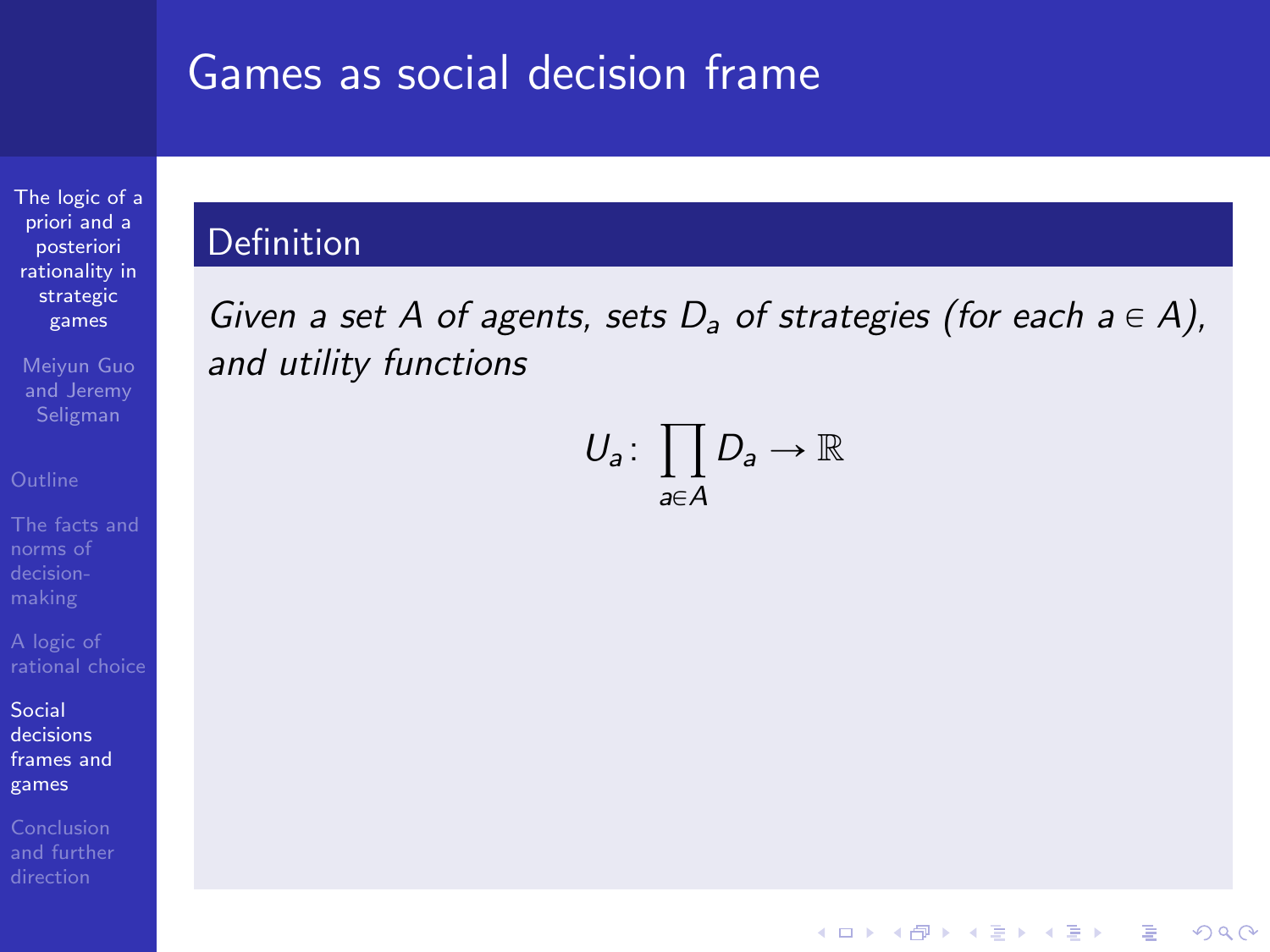[The logic of a](#page-0-0) priori and a posteriori rationality in strategic games

Meiyun Guo and Jeremy

norms of

Social decisions [frames and](#page-44-0) games

### Definition

Given a set A of agents, sets  $D_a$  of strategies (for each  $a \in A$ ), and utility functions

> $U_a\colon \prod D_a \to \mathbb{R}$ ź  $a \in A$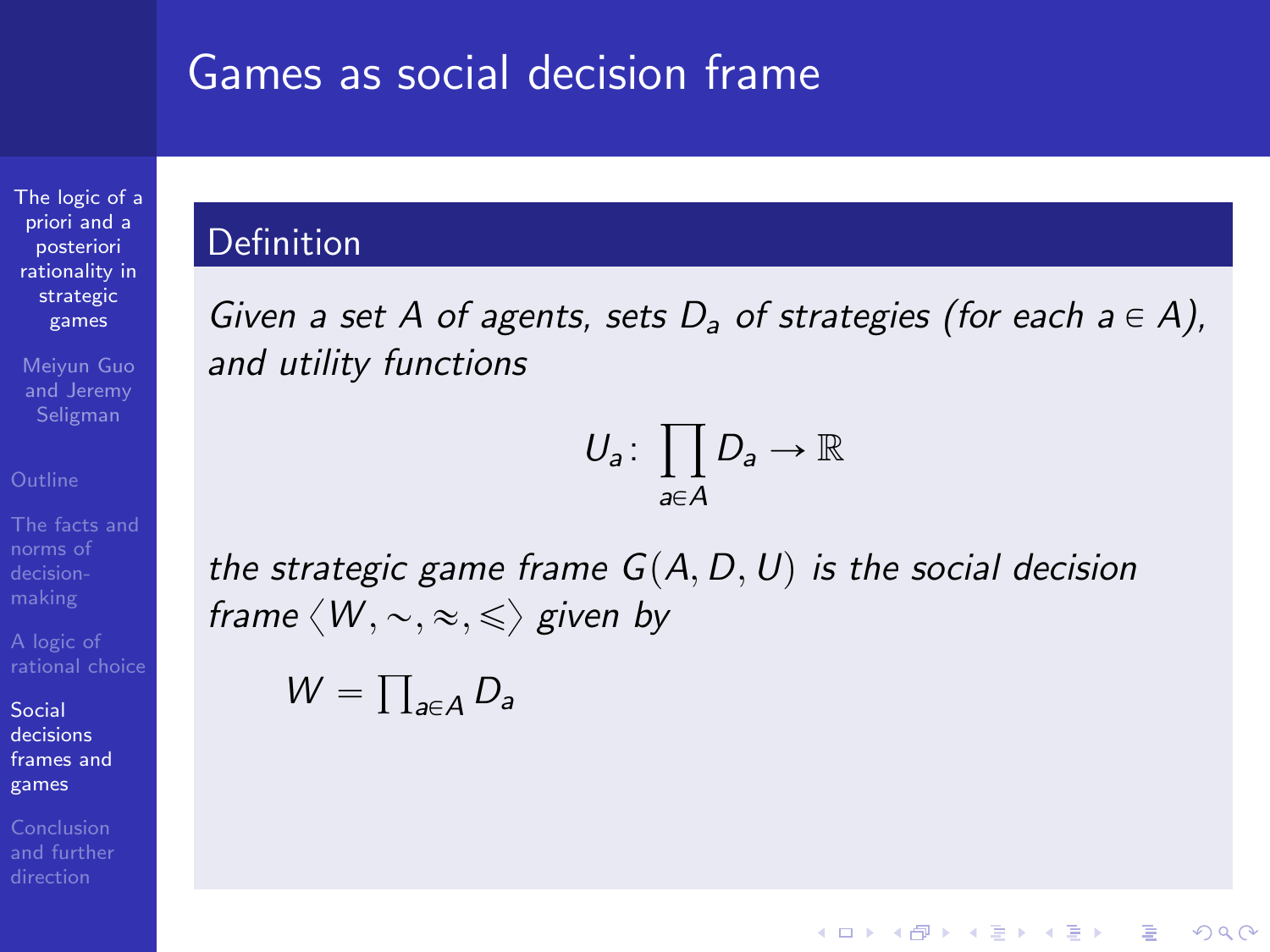[The logic of a](#page-0-0) priori and a posteriori rationality in strategic games

Meiyun Guo and Jeremy

norms of

Social decisions [frames and](#page-44-0) games

Conclusion [and further](#page-82-0)

### Definition

Given a set A of agents, sets  $D_a$  of strategies (for each  $a \in A$ ), and utility functions

$$
U_a\colon \prod_{a\in A} D_a \to \mathbb{R}
$$

**KOD KARD KED KED E YORA** 

$$
W=\prod_{a\in A}D_a
$$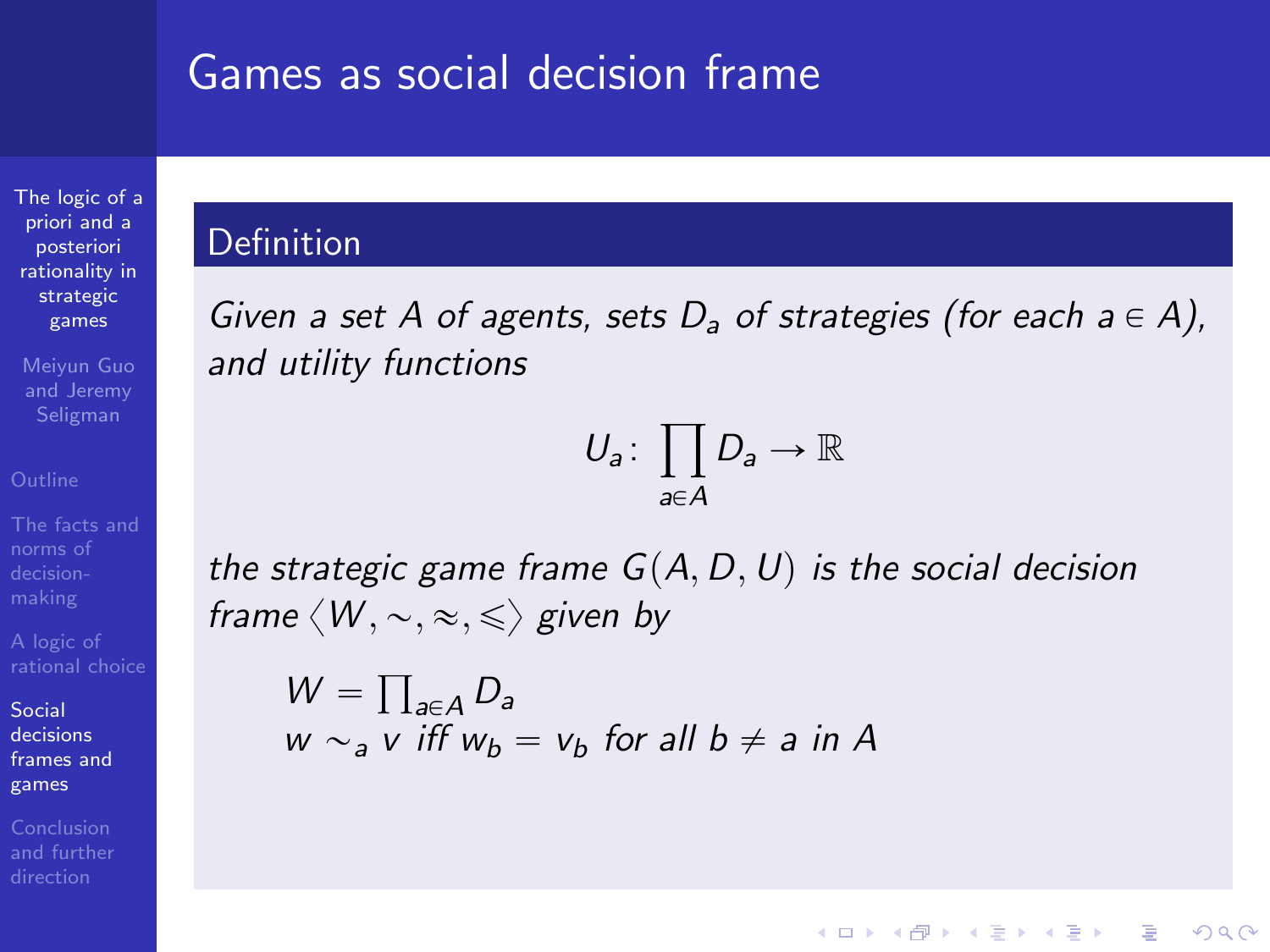[The logic of a](#page-0-0) priori and a posteriori rationality in strategic games

Meiyun Guo and Jeremy

norms of

Social decisions [frames and](#page-44-0) games

Conclusion [and further](#page-82-0)

### Definition

Given a set A of agents, sets  $D_a$  of strategies (for each  $a \in A$ ), and utility functions

$$
U_a\colon \prod_{a\in A} D_a \to \mathbb{R}
$$

**KOD KARD KED KED E YORA** 

$$
W = \prod_{a \in A} D_a
$$
  
 
$$
w \sim_a v \text{ iff } w_b = v_b \text{ for all } b \neq a \text{ in } A
$$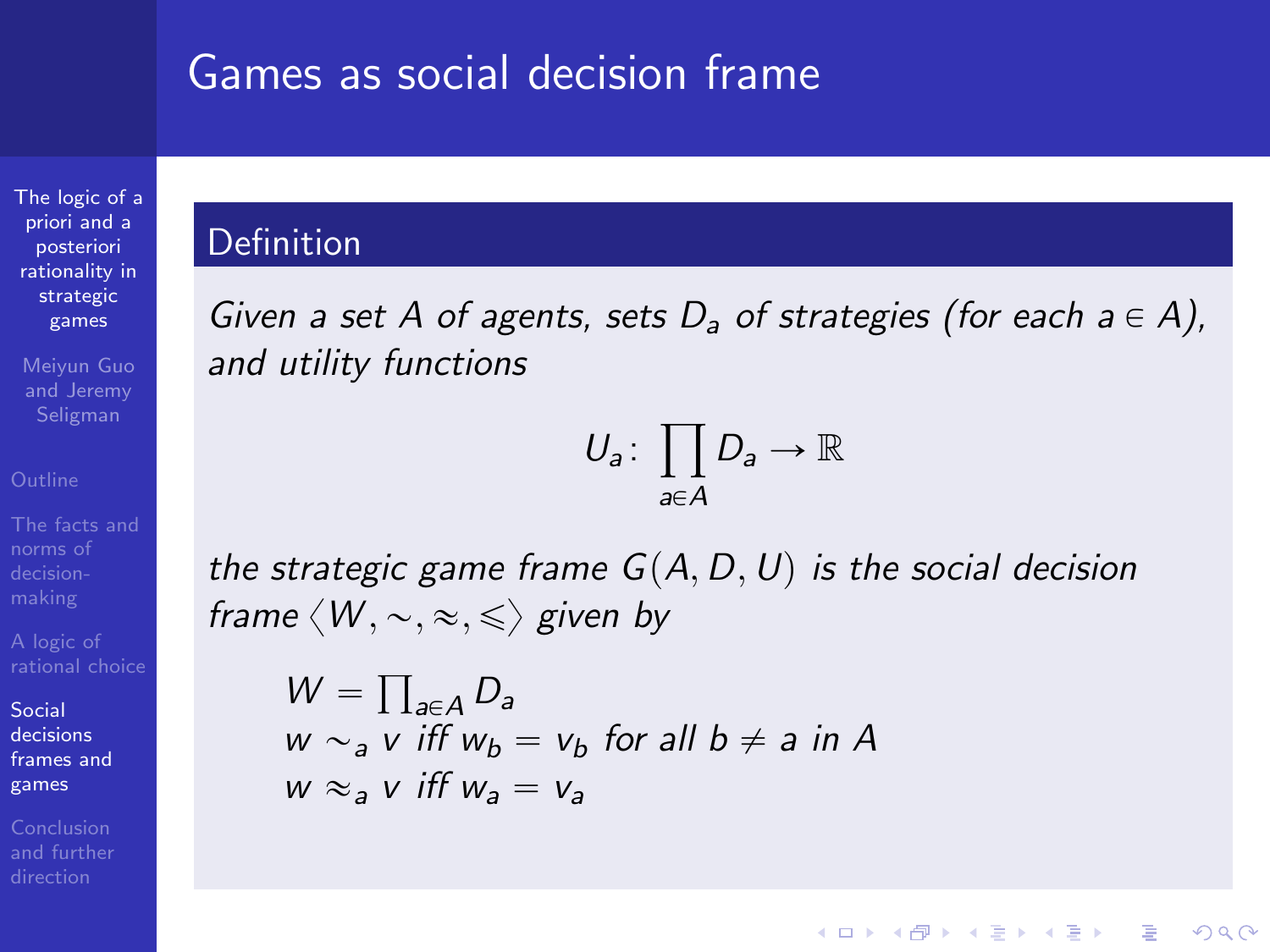[The logic of a](#page-0-0) priori and a posteriori rationality in strategic games

Meiyun Guo and Jeremy

norms of

Social decisions [frames and](#page-44-0) games

[and further](#page-82-0)

### Definition

Given a set A of agents, sets  $D_a$  of strategies (for each  $a \in A$ ), and utility functions

$$
U_a\colon \prod_{a\in A} D_a \to \mathbb{R}
$$

**KOD KARD KED KED E YORA** 

$$
W = \prod_{a \in A} D_a
$$
  
 
$$
w \sim_a v \text{ iff } w_b = v_b \text{ for all } b \neq a \text{ in } A
$$
  
 
$$
w \approx_a v \text{ iff } w_a = v_a
$$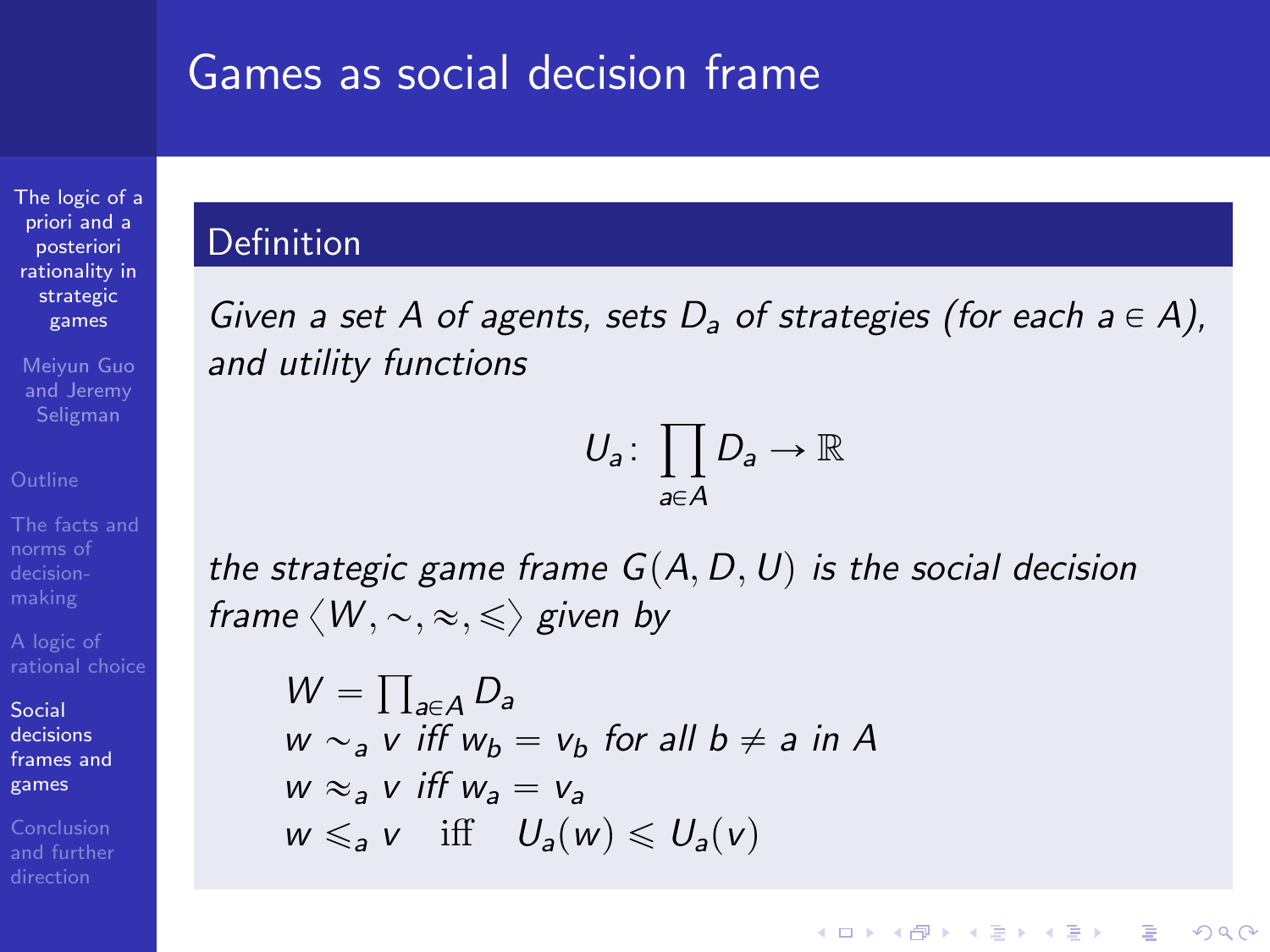[The logic of a](#page-0-0) priori and a posteriori rationality in strategic games

Meiyun Guo and Jeremy

norms of

Social decisions [frames and](#page-44-0) games

[and further](#page-82-0)

### Definition

Given a set A of agents, sets  $D_a$  of strategies (for each  $a \in A$ ), and utility functions

$$
U_a\colon \prod_{a\in A} D_a \to \mathbb{R}
$$

**KOD KARD KED KED E YORA** 

$$
W = \prod_{a \in A} D_a
$$
  
\n
$$
w \sim_a v \text{ iff } w_b = v_b \text{ for all } b \neq a \text{ in } A
$$
  
\n
$$
w \approx_a v \text{ iff } w_a = v_a
$$
  
\n
$$
w \leq_a v \text{ iff } U_a(w) \leq U_a(v)
$$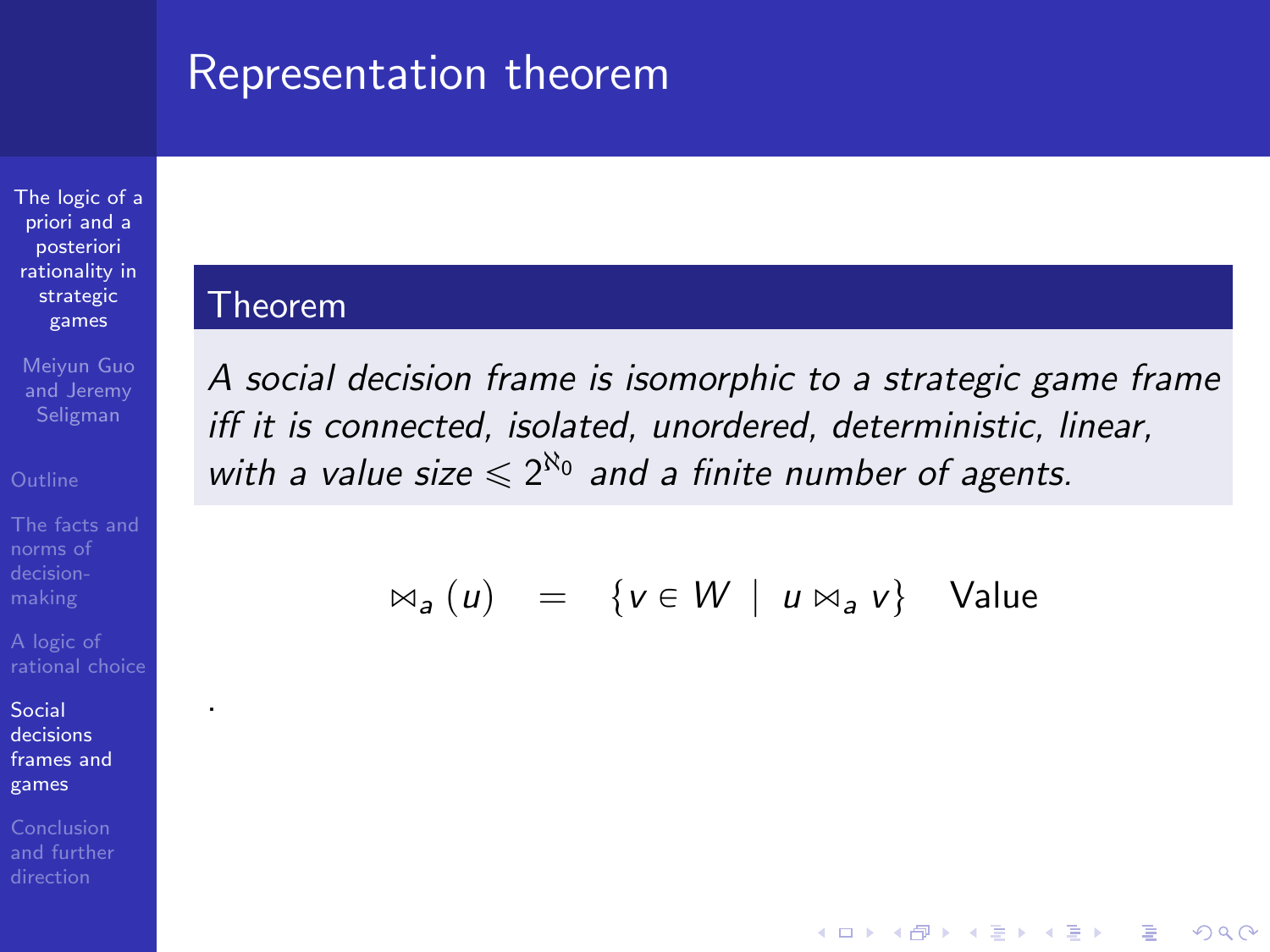## Representation theorem

[The logic of a](#page-0-0) priori and a posteriori rationality in strategic games

Meiyun Guo and Jeremy

[The facts and](#page-5-0) norms of

.

Social decisions [frames and](#page-44-0) games

#### Theorem

A social decision frame is isomorphic to a strategic game frame iff it is connected, isolated, unordered, deterministic, linear, with a value size  $\leq 2^{\aleph_0}$  and a finite number of agents.

$$
\bowtie_a (u) = \{ v \in W \mid u \bowtie_a v \} \quad \text{Value}
$$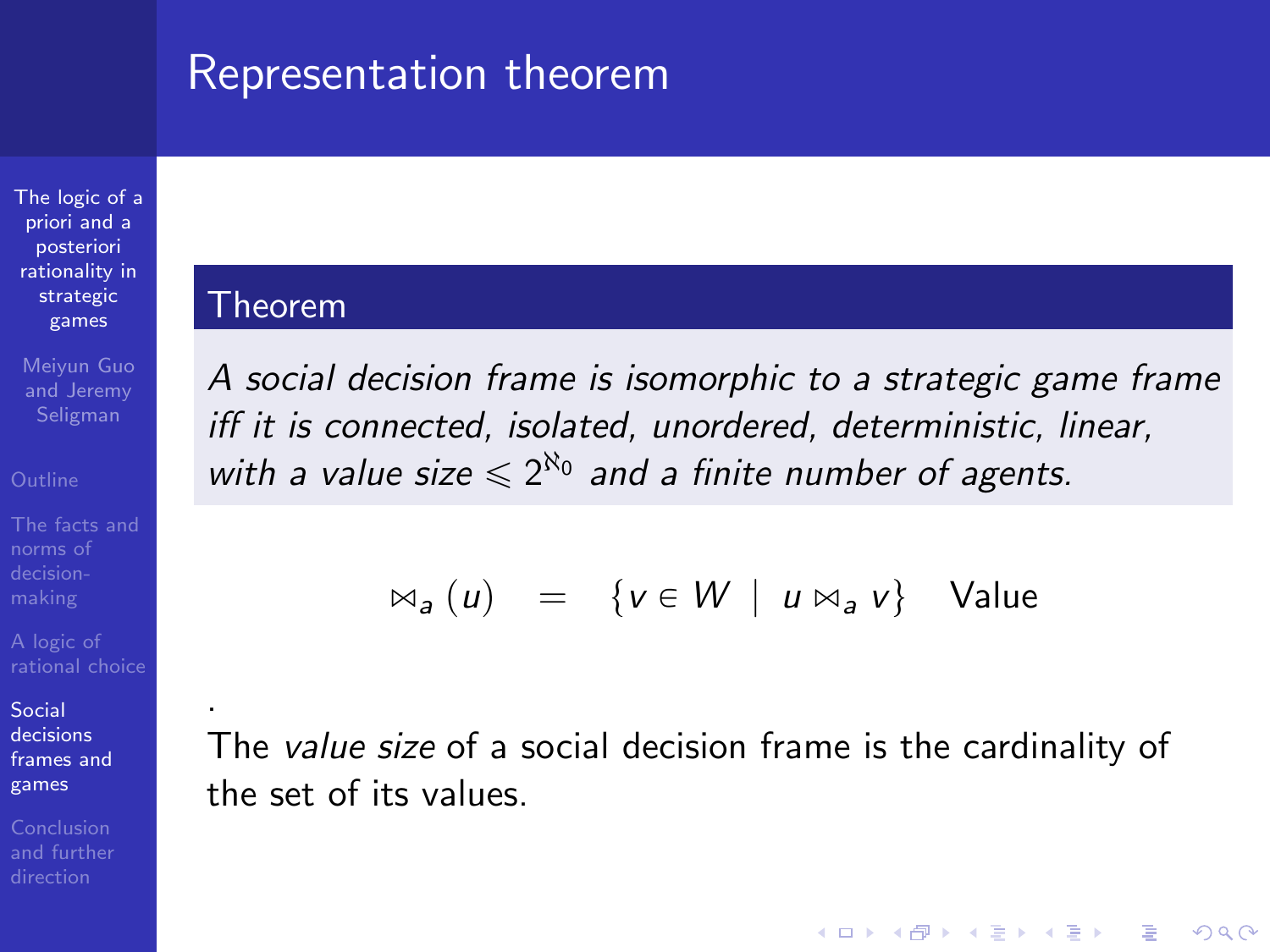## Representation theorem

[The logic of a](#page-0-0) priori and a posteriori rationality in strategic games

Meiyun Guo and Jeremy Seligman

.

Social decisions [frames and](#page-44-0) games

<span id="page-61-0"></span>

#### Theorem

A social decision frame is isomorphic to a strategic game frame iff it is connected, isolated, unordered, deterministic, linear, with a value size  $\leq 2^{\aleph_0}$  and a finite number of agents.

$$
\bowtie_a (u) = \{ v \in W \mid u \bowtie_a v \} \quad \text{Value}
$$

The value size of a social decision frame is the cardinality of the set of its values.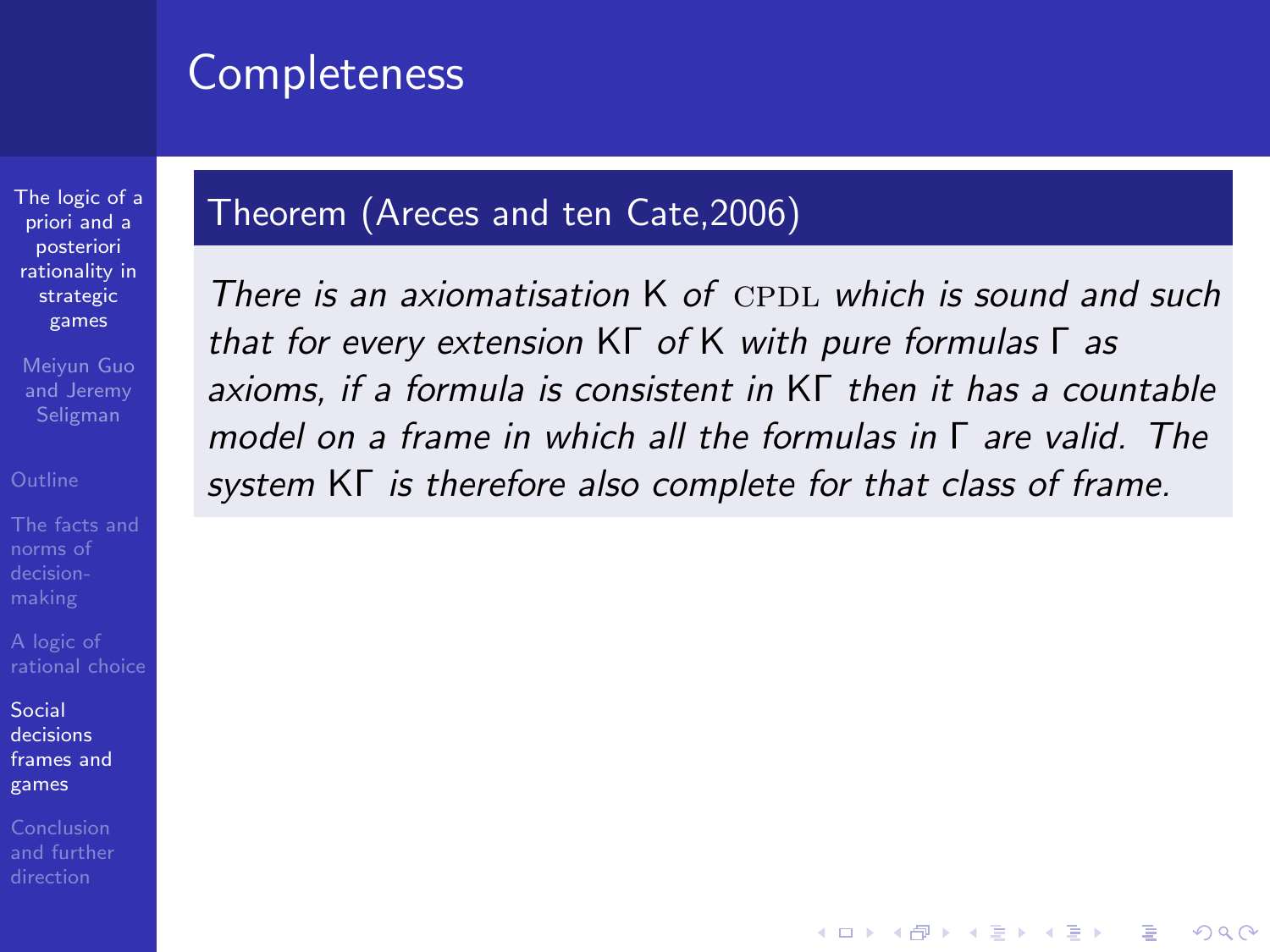## **Completeness**

## Theorem (Areces and ten Cate,2006)

games Meiyun Guo and Jeremy Seligman

[The logic of a](#page-0-0) priori and a posteriori rationality in strategic

A logic of

Social decisions [frames and](#page-44-0) games

<span id="page-62-0"></span>

There is an axiomatisation  $K$  of CPDL which is sound and such that for every extension KΓ of K with pure formulas Γ as axioms, if a formula is consistent in KΓ then it has a countable model on a frame in which all the formulas in Γ are valid. The system KΓ is therefore also complete for that class of frame.

**KORK STRATER STRAKER**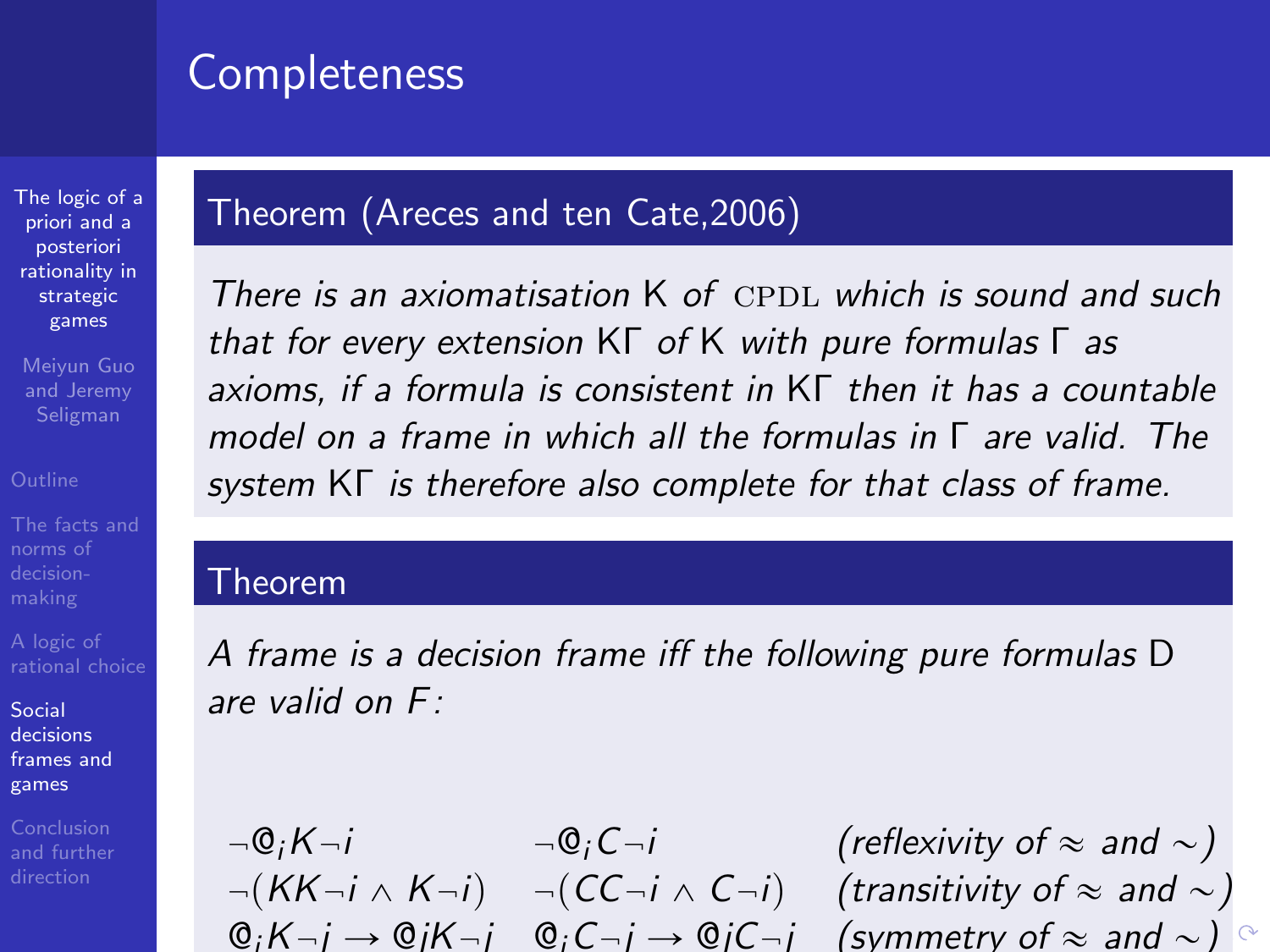## **Completeness**

## Theorem (Areces and ten Cate,2006)

strategic games Meiyun Guo and Jeremy

[The logic of a](#page-0-0) priori and a posteriori rationality in

norms of

A logic of

Social decisions [frames and](#page-44-0) games

<span id="page-63-0"></span>Conclusion [and further](#page-82-0)

There is an axiomatisation  $K$  of CPDL which is sound and such that for every extension KΓ of K with pure formulas Γ as axioms, if a formula is consistent in KΓ then it has a countable model on a frame in which all the formulas in Γ are valid. The system KΓ is therefore also complete for that class of frame.

#### Theorem

A frame is a decision frame iff the following pure formulas D are valid on  $F^+$ 

 $\neg \mathbb{Q}_i K - i$   $\neg \mathbb{Q}_i C - i$  (reflexivity of  $\approx$  and  $\sim$ )  $p(AK - i \wedge K - i)$   $p(C-C - i \wedge C - i)$  (transitivity of  $\approx$  and  $\sim$ )  $\mathbb{Q}_i K - j \to \mathbb{Q}_i K - j$  $\mathbb{Q}_i K - j \to \mathbb{Q}_i K - j$  $\mathbb{Q}_i K - j \to \mathbb{Q}_i K - j$   $\mathbb{Q}_i C - j \to \mathbb{Q}_i C - j$  [\(](#page-62-0)[sy](#page-64-0)mm[e](#page-64-0)[tr](#page-43-0)[y](#page-44-0) [o](#page-82-0)[f](#page-43-0)  $\approx$  [an](#page-0-0)[d](#page-90-0)  $\sim$ )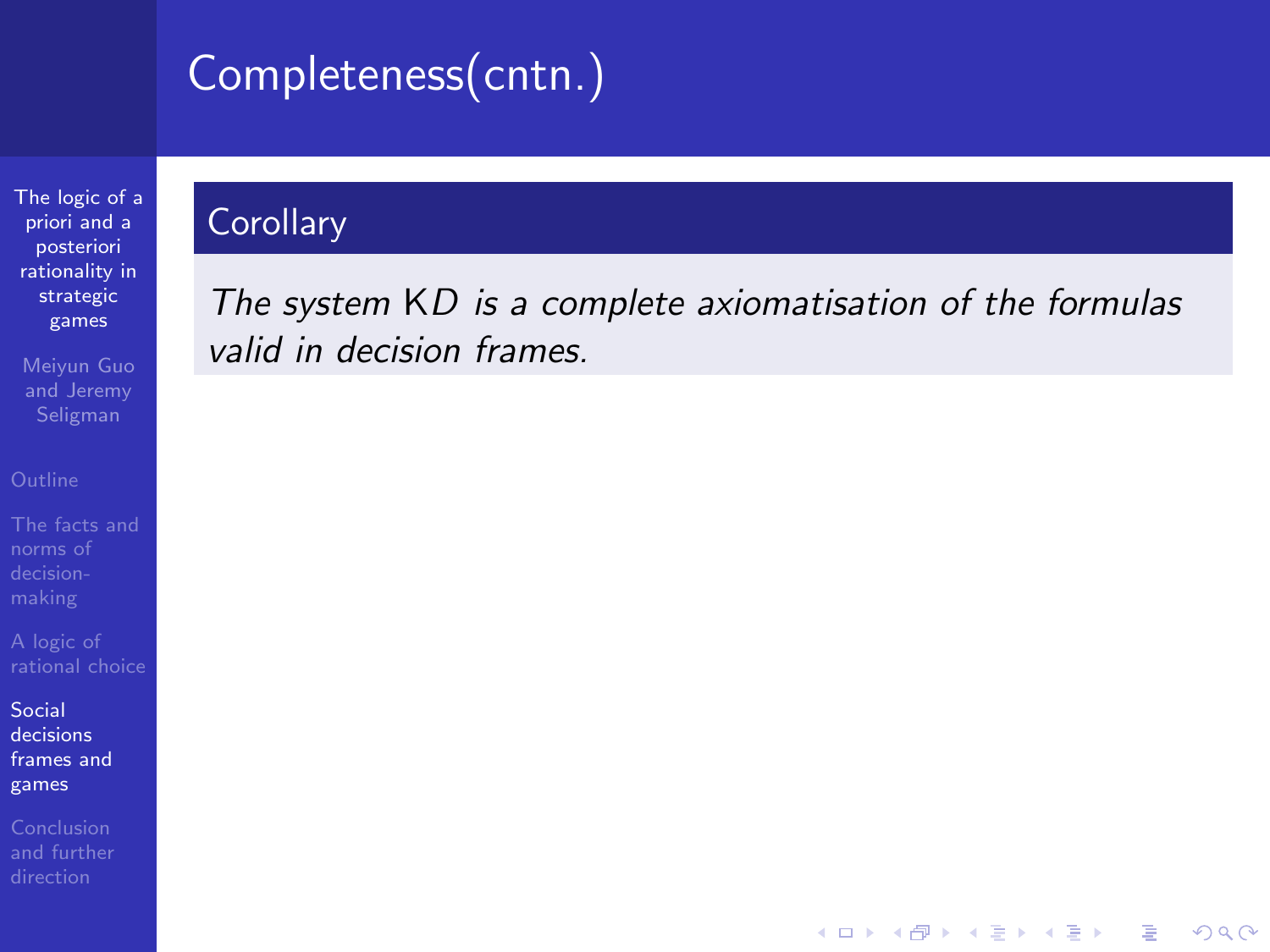# Completeness(cntn.)

[The logic of a](#page-0-0) priori and a posteriori rationality in strategic games

Meiyun Guo and Jeremy

norms of

Social decisions [frames and](#page-44-0) games

<span id="page-64-0"></span>

### **Corollary**

The system KD is a complete axiomatisation of the formulas valid in decision frames.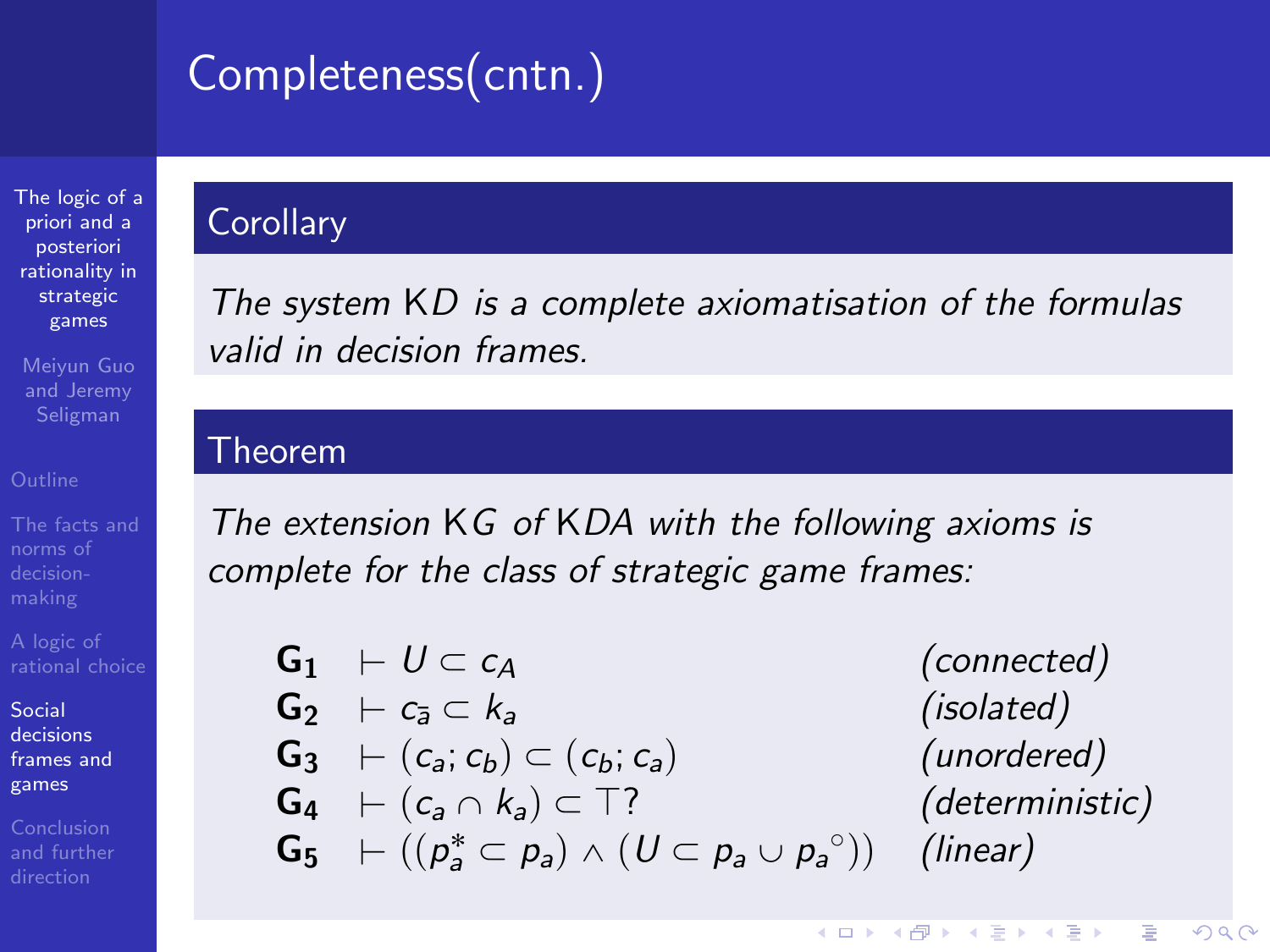# Completeness(cntn.)

[The logic of a](#page-0-0) priori and a posteriori rationality in strategic games

Meiyun Guo and Jeremy Seligman

norms of

A logic of

Social decisions [frames and](#page-44-0) games

Conclusion

## **Corollary**

The system KD is a complete axiomatisation of the formulas valid in decision frames.

#### Theorem

The extension KG of KDA with the following axioms is complete for the class of strategic game frames:

 $G_1 + U \subset c_A$  (connected)  $G_2 \vdash c_3 \subset k_a$  (isolated)  $G_3 \vdash (c_a; c_b) \subset (c_b; c_a)$  (unordered)  $G_4 \vdash (c_a \cap k_a) \subset \top$ ? (deterministic)  $\mathsf{G}_5 \;\;\vdash ((p^*_a \subset p_a) \wedge (U \subset p_a \cup p_a)$ 

(linear)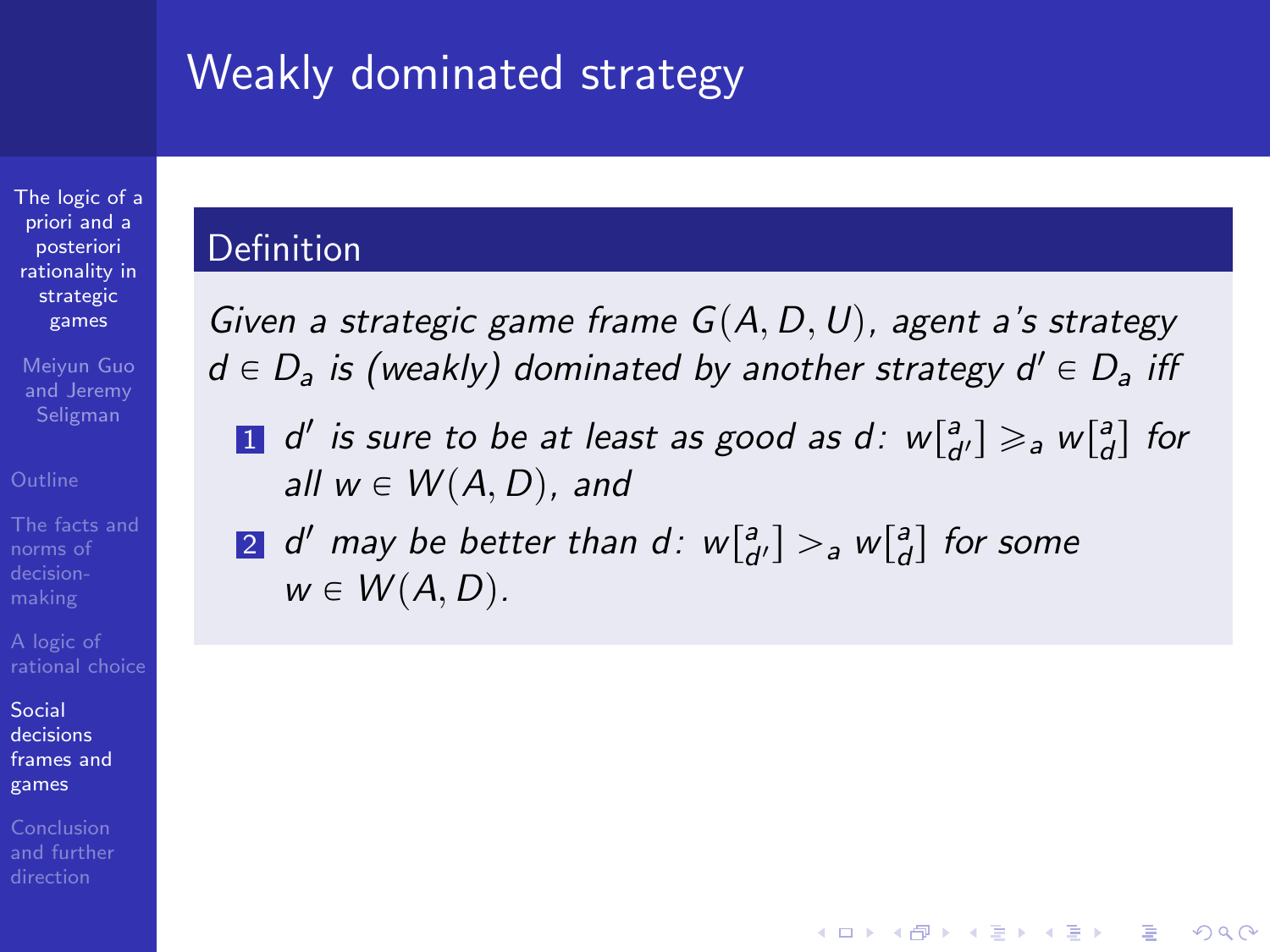## Weakly dominated strategy

[The logic of a](#page-0-0) priori and a posteriori rationality in strategic games

Meiyun Guo and Jeremy Seligman

[The facts and](#page-5-0) norms of

Social decisions [frames and](#page-44-0) games

#### Definition

Given a strategic game frame  $G(A, D, U)$ , agent a's strategy  $d \in D_a$  is (weakly) dominated by another strategy  $d' \in D_a$  iff

**1** d' is sure to be at least as good as d:  $w[\frac{a}{d'}] \geq a w[\frac{a}{d}]$  for all  $w \in W(A, D)$ , and

**KORK STRAIN A BAR SHOP** 

 $2^{\text{-}}$  d' may be better than d $: \ w{\small [}^{\mathsf{a}}_{d'}] >_{\mathsf{a}} \! w{\small [}^{\mathsf{a}}_{d} \text{]}$  for some  $w \in W(A, D)$ .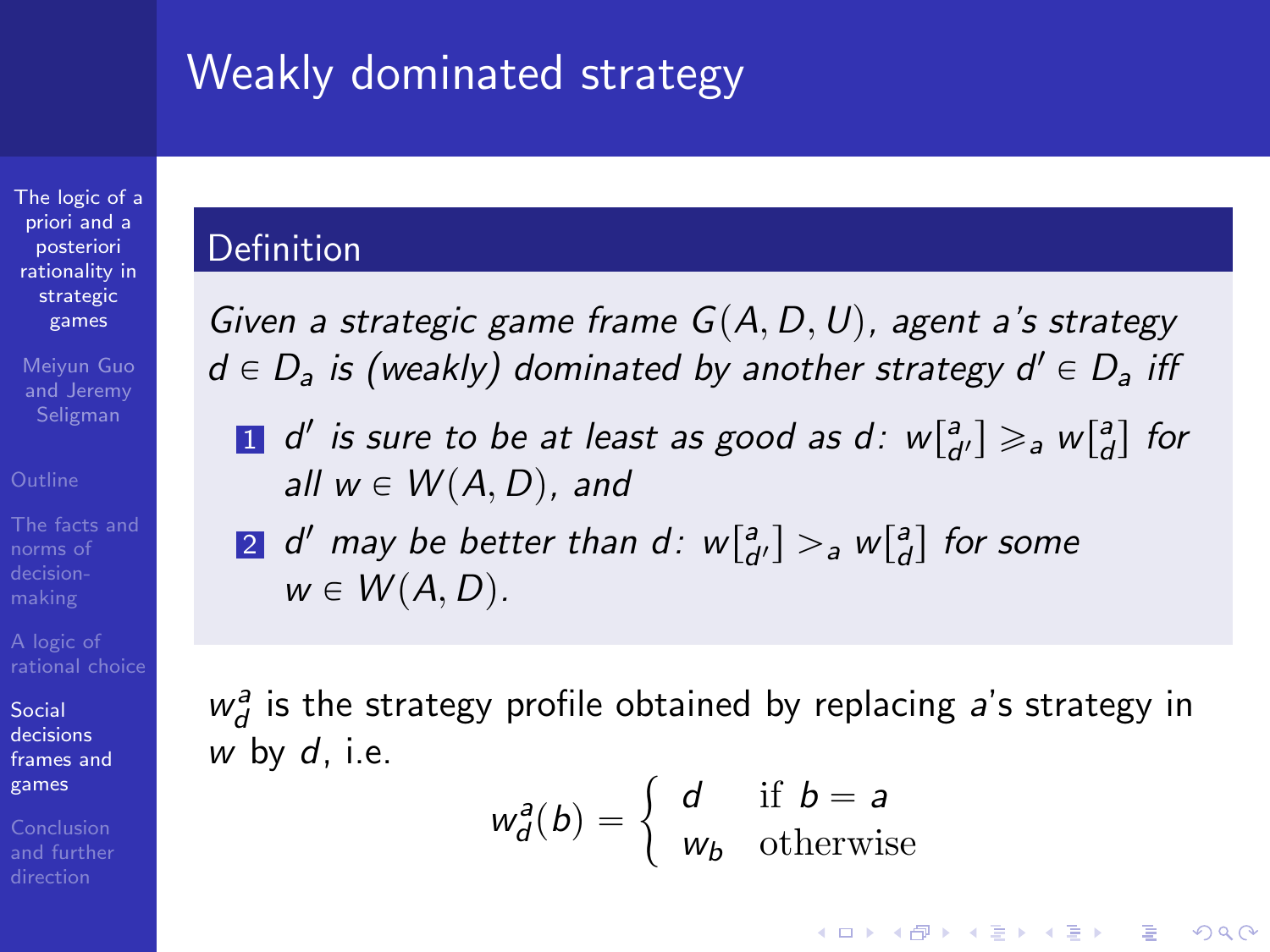## Weakly dominated strategy

[The logic of a](#page-0-0) priori and a posteriori rationality in strategic games

Meiyun Guo and Jeremy Seligman

norms of

Social decisions [frames and](#page-44-0) games

Conclusion

#### Definition

Given a strategic game frame  $G(A, D, U)$ , agent a's strategy  $d \in D_a$  is (weakly) dominated by another strategy  $d' \in D_a$  iff

**1** d' is sure to be at least as good as d:  $w[\frac{a}{d'}] \geq a w[\frac{a}{d}]$  for all  $w \in W(A, D)$ , and

 $2^{\text{-}}$  d' may be better than d $: \ w{\small [}^{\mathsf{a}}_{d'}] >_{\mathsf{a}} \! w{\small [}^{\mathsf{a}}_{d} \text{]}$  for some  $w \in W(A, D)$ .

 $w_d^a$  is the strategy profile obtained by replacing a's strategy in w by  $d$ , i.e.

$$
w_d^a(b) = \begin{cases} d & \text{if } b = a \\ w_b & \text{otherwise} \end{cases}
$$

**KORK STRAIN A BAR SHOP**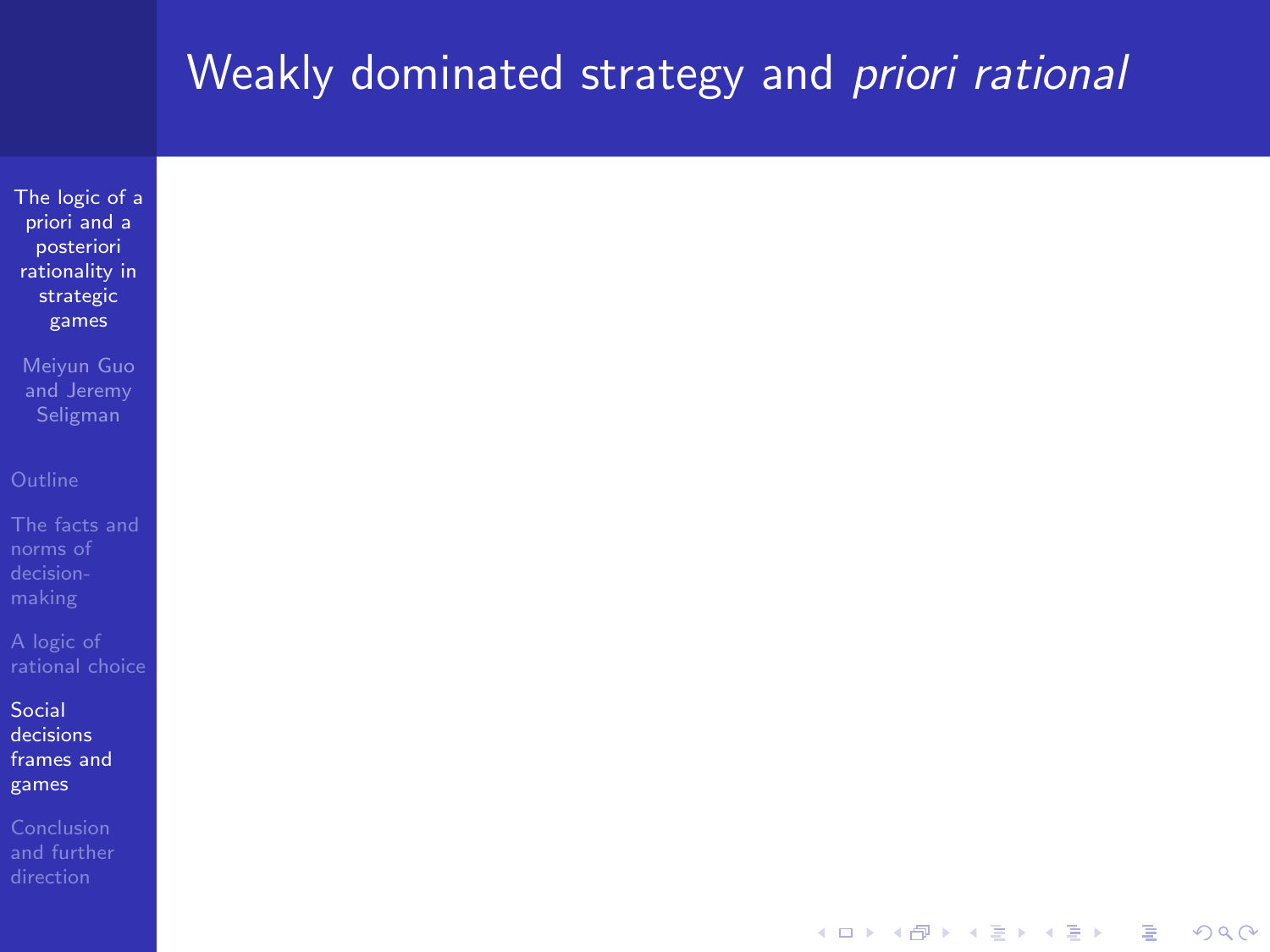## Weakly dominated strategy and *priori rational*

| The logic of a  |
|-----------------|
| priori and a    |
| posteriori      |
| rationality in  |
| strategic       |
| games           |
|                 |
| Meiyun Guo      |
| and Jeremy      |
| Seligman        |
|                 |
|                 |
| Outline         |
|                 |
| The facts and   |
| norms of        |
| decision-       |
| making          |
|                 |
| A logic of      |
| rational choice |
|                 |
| Social          |
| decisions       |
| frames and      |
| games           |
| Conclusion      |
| and further     |
| direction       |
|                 |
|                 |
|                 |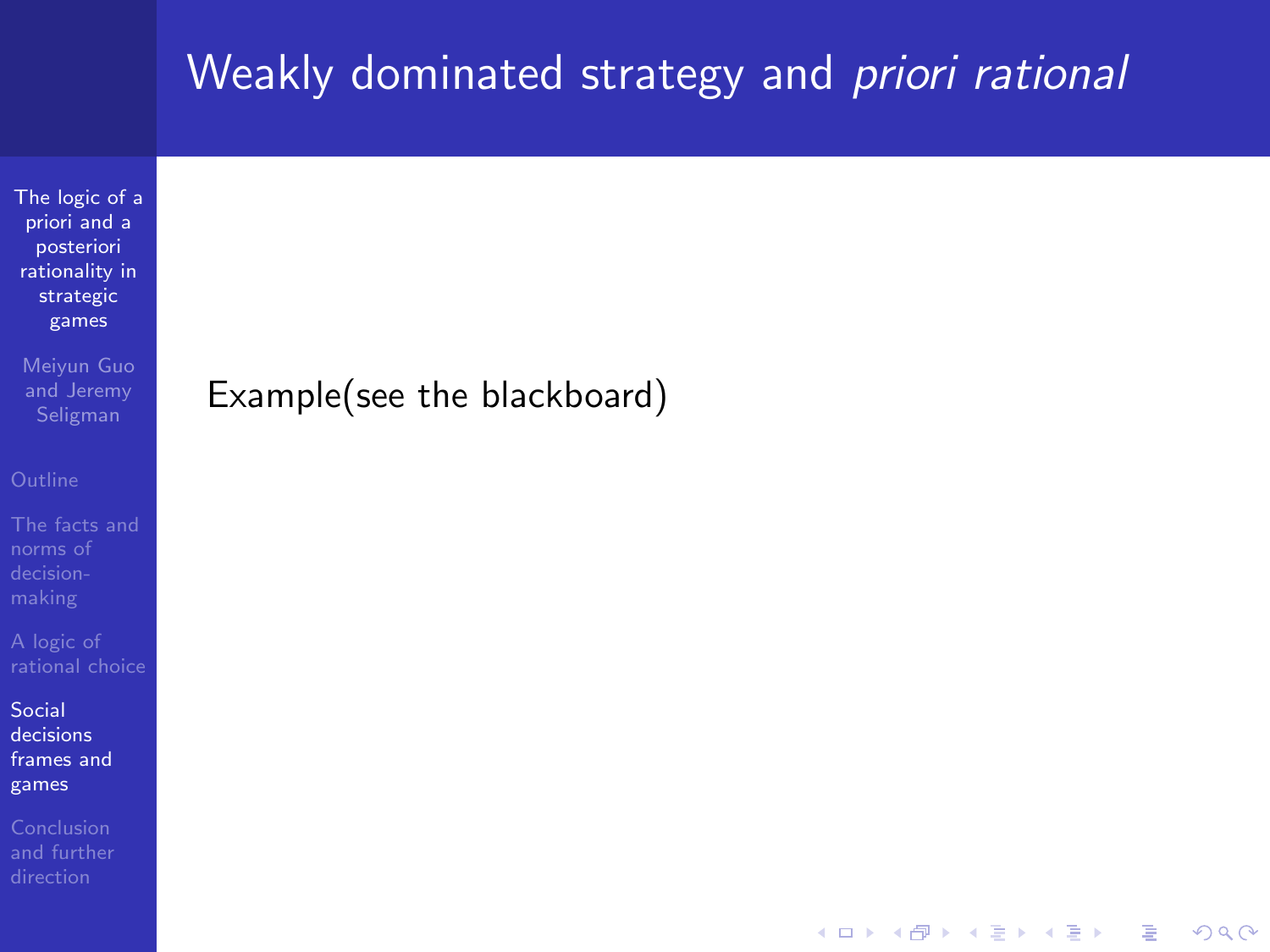## Weakly dominated strategy and *priori rational*

 $\mathbf{E} = \mathbf{A} \oplus \mathbf{A} + \mathbf{A} \oplus \mathbf{A} + \mathbf{A} \oplus \mathbf{A} + \mathbf{A} \oplus \mathbf{A} + \mathbf{A} \oplus \mathbf{A} + \mathbf{A} \oplus \mathbf{A} + \mathbf{A} \oplus \mathbf{A} + \mathbf{A} \oplus \mathbf{A} + \mathbf{A} \oplus \mathbf{A} + \mathbf{A} \oplus \mathbf{A} + \mathbf{A} \oplus \mathbf{A} + \mathbf{A} \oplus \mathbf{A} + \mathbf{A} \oplus \mathbf{A} + \mathbf{A$ 

 $QQ$ 

[The logic of a](#page-0-0) priori and a posteriori rationality in strategic games

Meiyun Guo and Jeremy

norms of

Social decisions [frames and](#page-44-0) games

### Example(see the blackboard)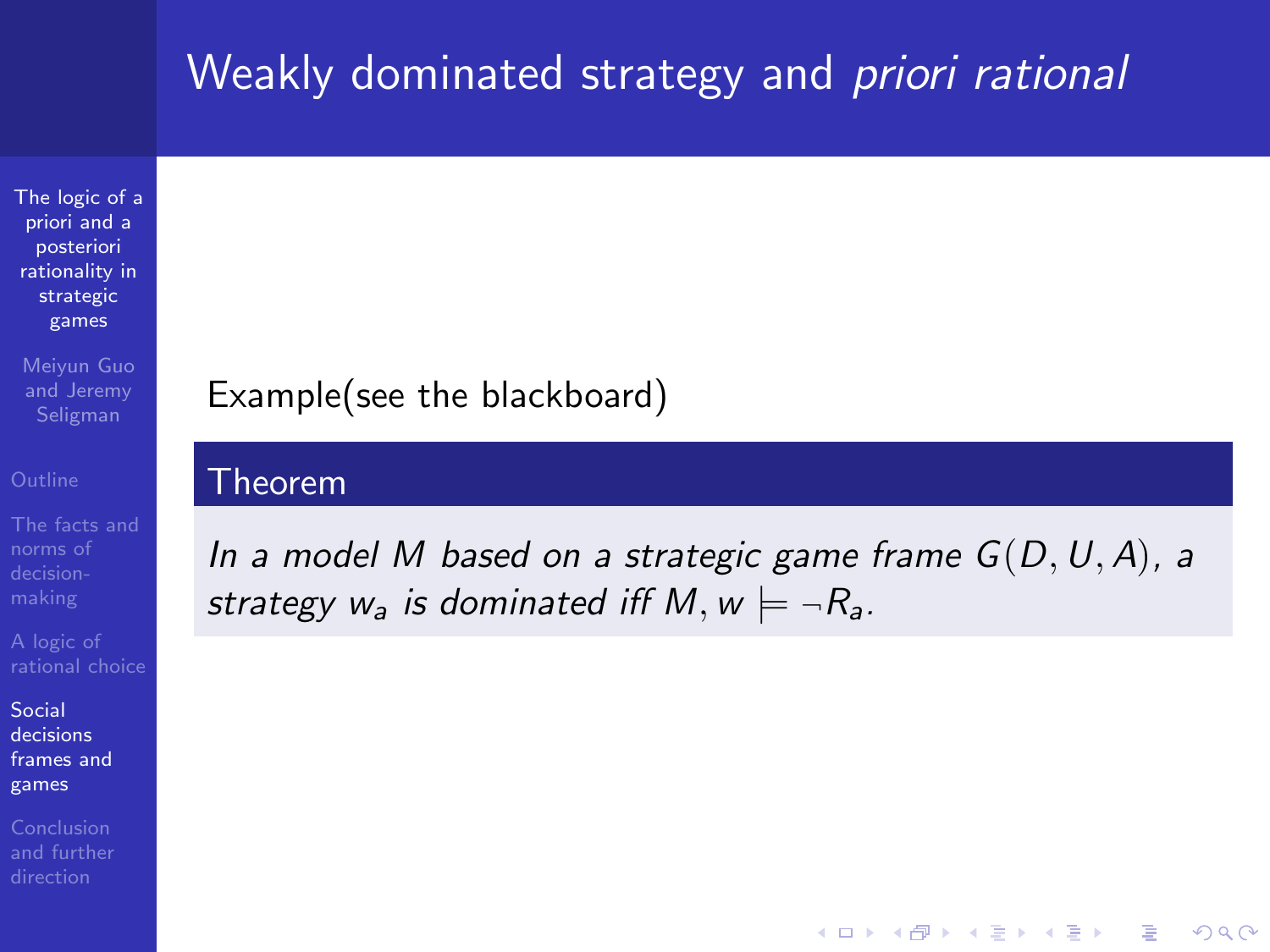## Weakly dominated strategy and *priori rational*

[The logic of a](#page-0-0) priori and a posteriori rationality in strategic games

Meiyun Guo and Jeremy Seligman

norms of

Social decisions [frames and](#page-44-0) games

## Example(see the blackboard)

#### Theorem

In a model M based on a strategic game frame  $G(D, U, A)$ , a strategy  $w_a$  is dominated iff M,  $w \models \neg R_a$ .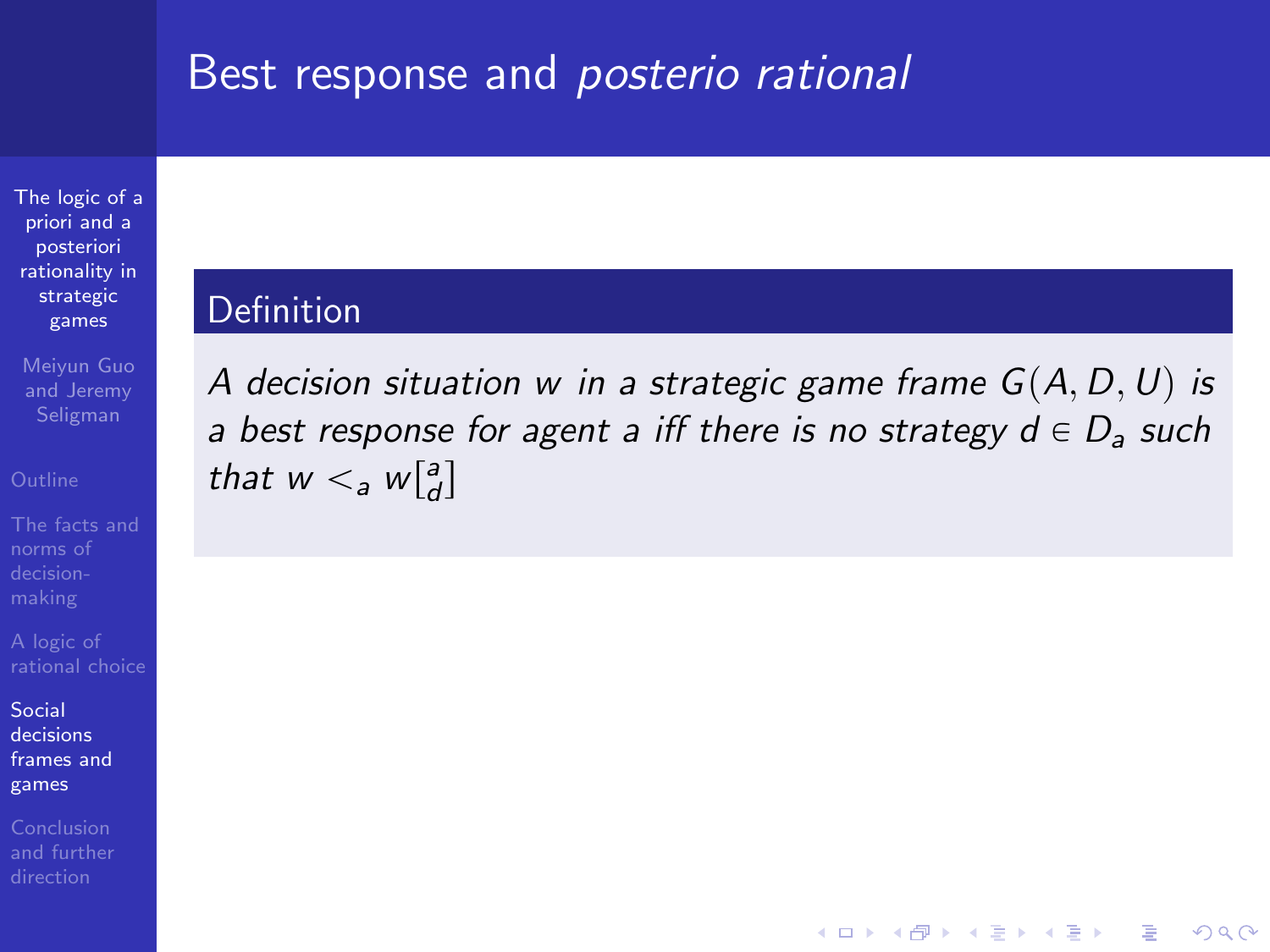## Best response and posterio rational

[The logic of a](#page-0-0) priori and a posteriori rationality in strategic games

Meiyun Guo and Jeremy

norms of

Social decisions [frames and](#page-44-0) games

#### Definition

A decision situation w in a strategic game frame  $G(A, D, U)$  is a best response for agent a iff there is no strategy  $d \in D_a$  such that  $w <_a w\begin{bmatrix} a \\ d \end{bmatrix}$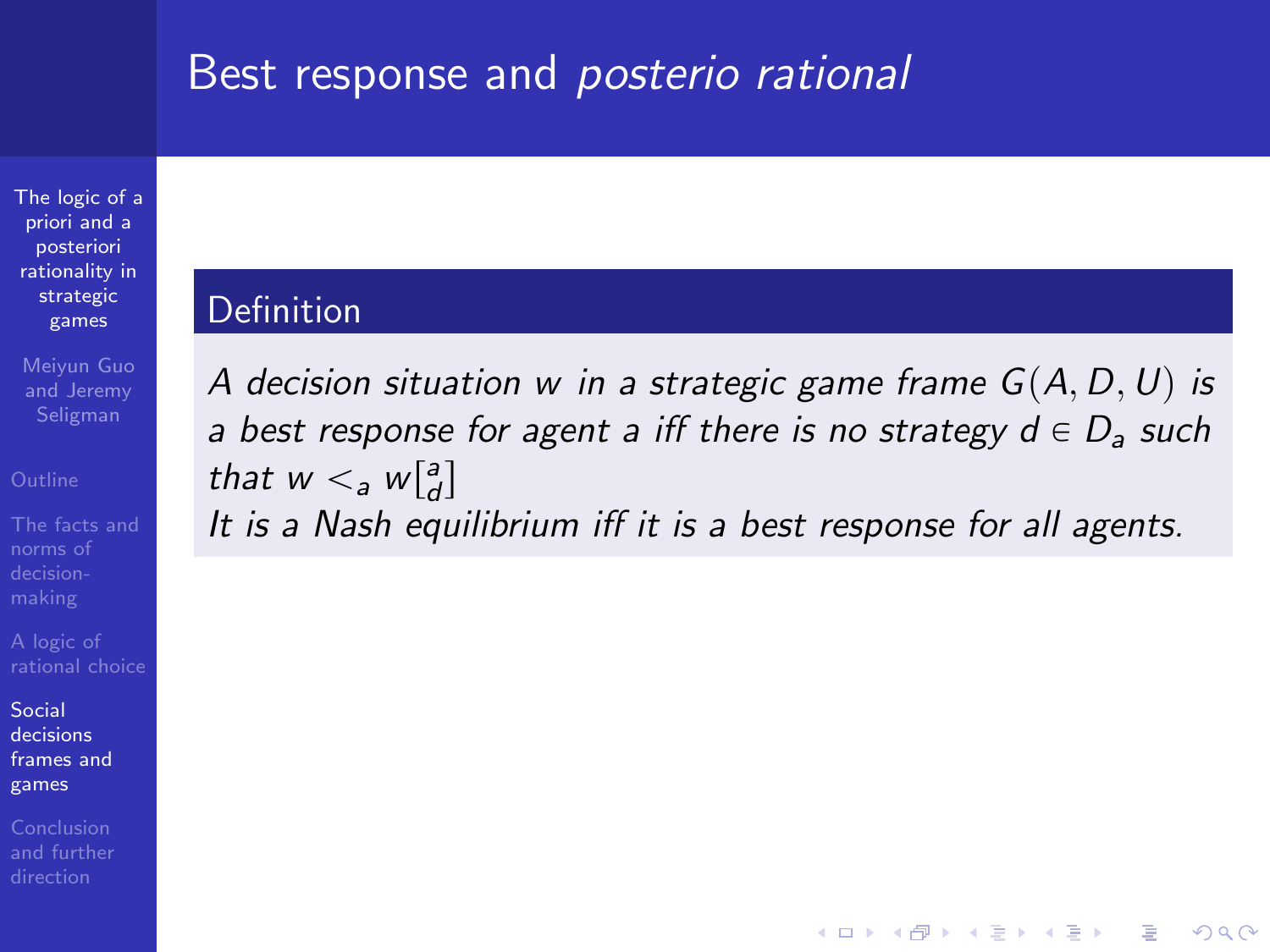### Best response and posterio rational

[The logic of a](#page-0-0) priori and a posteriori rationality in strategic games

Meiyun Guo and Jeremy

norms of

Social decisions [frames and](#page-44-0) games

Conclusion

### Definition

A decision situation w in a strategic game frame  $G(A, D, U)$  is a best response for agent a iff there is no strategy  $d \in D_a$  such that  $w <_a w\begin{bmatrix} a \\ d \end{bmatrix}$ 

It is a Nash equilibrium iff it is a best response for all agents.

**KOD KARD KED KED E YORA**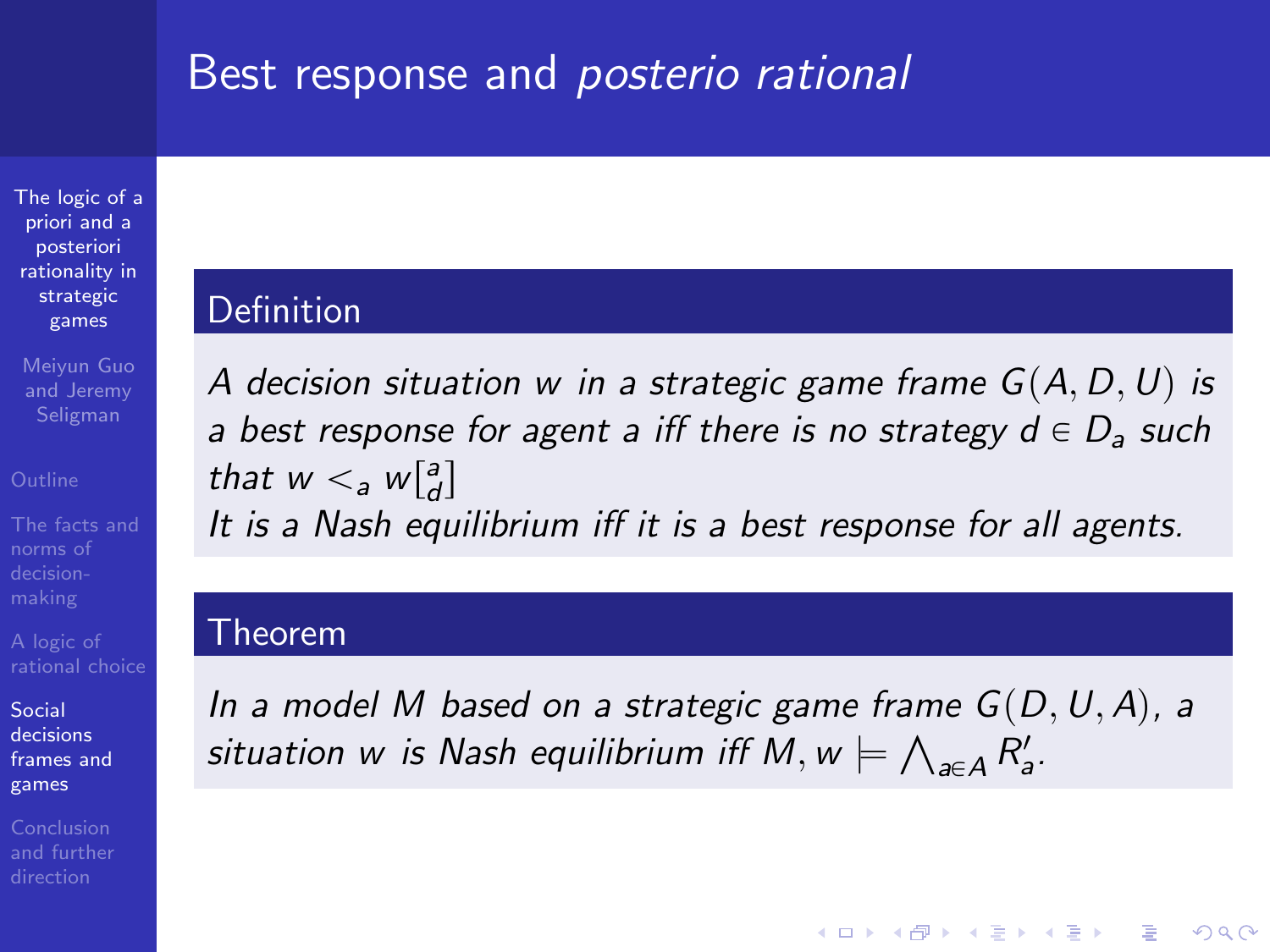### Best response and posterio rational

[The logic of a](#page-0-0) priori and a posteriori rationality in strategic games

Meiyun Guo and Jeremy Seligman

norms of

Social decisions [frames and](#page-44-0) games

Conclusion

### Definition

A decision situation w in a strategic game frame  $G(A, D, U)$  is a best response for agent a iff there is no strategy  $d \in D_a$  such that  $w <_a w\begin{bmatrix} a \\ d \end{bmatrix}$ 

It is a Nash equilibrium iff it is a best response for all agents.

### Theorem

In a model M based on a strategic game frame  $G(D, U, A)$ , a In a model M based on a strategic game frame G(D)<br>situation w is Nash equilibrium iff M, w  $\models \bigwedge_{a \in A} R'_a$ .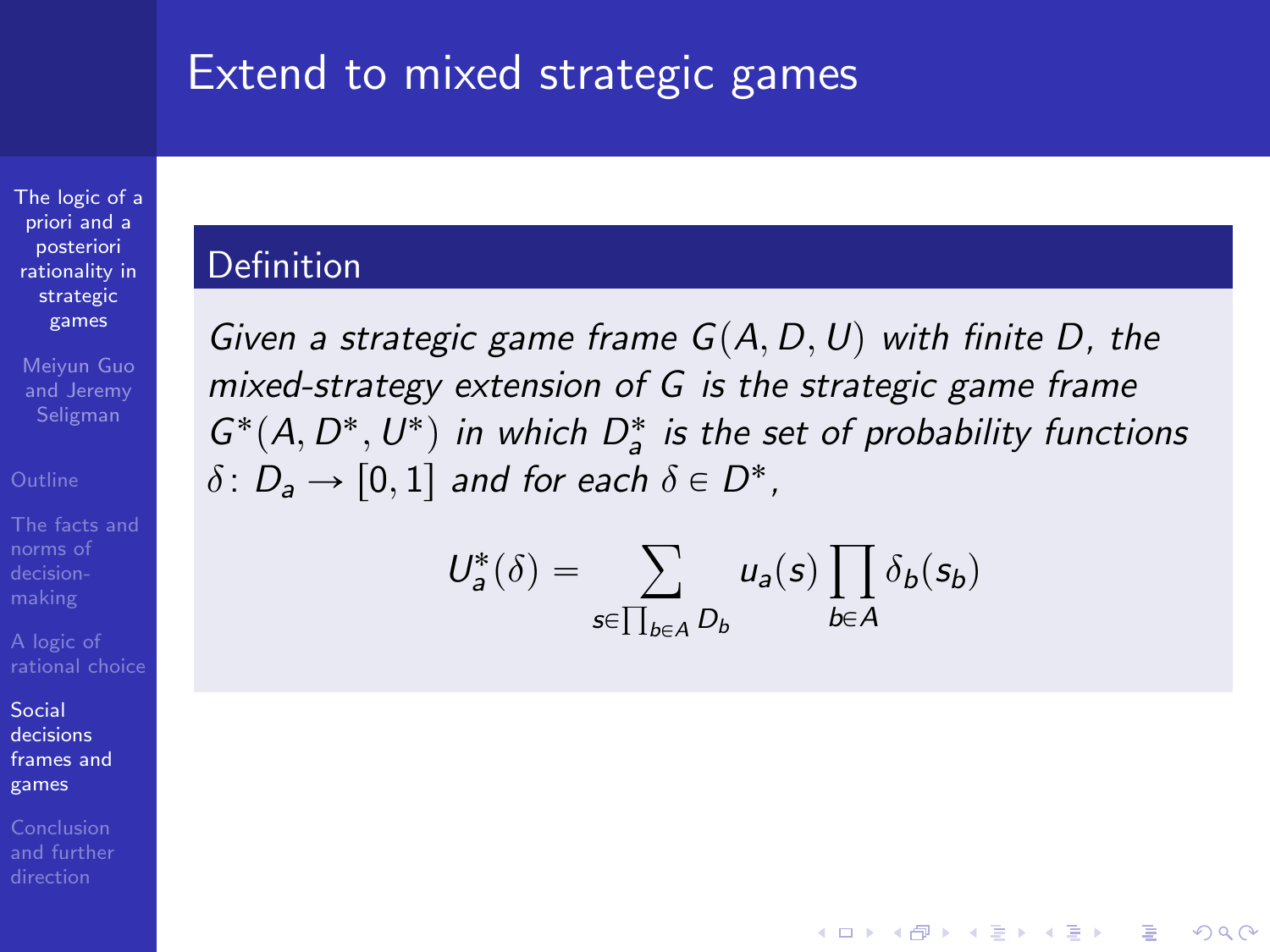### Extend to mixed strategic games

[The logic of a](#page-0-0) priori and a posteriori rationality in strategic games

Meiyun Guo and Jeremy Seligman

norms of

Social decisions [frames and](#page-44-0) games

Conclusion [and further](#page-82-0)

### Definition

Given a strategic game frame  $G(A, D, U)$  with finite D, the mixed-strategy extension of G is the strategic game frame  $G^*(A, D^*, U^*)$  in which  $D^*_a$  is the set of probability functions  $\delta\colon D_{\mathsf{a}}\to [0,1]$  and for each  $\delta\in D^*$ ,

$$
U_a^*(\delta) = \sum_{s \in \prod_{b \in A} D_b} u_a(s) \prod_{b \in A} \delta_b(s_b)
$$

**KORK STRAIN A BAR SHOP**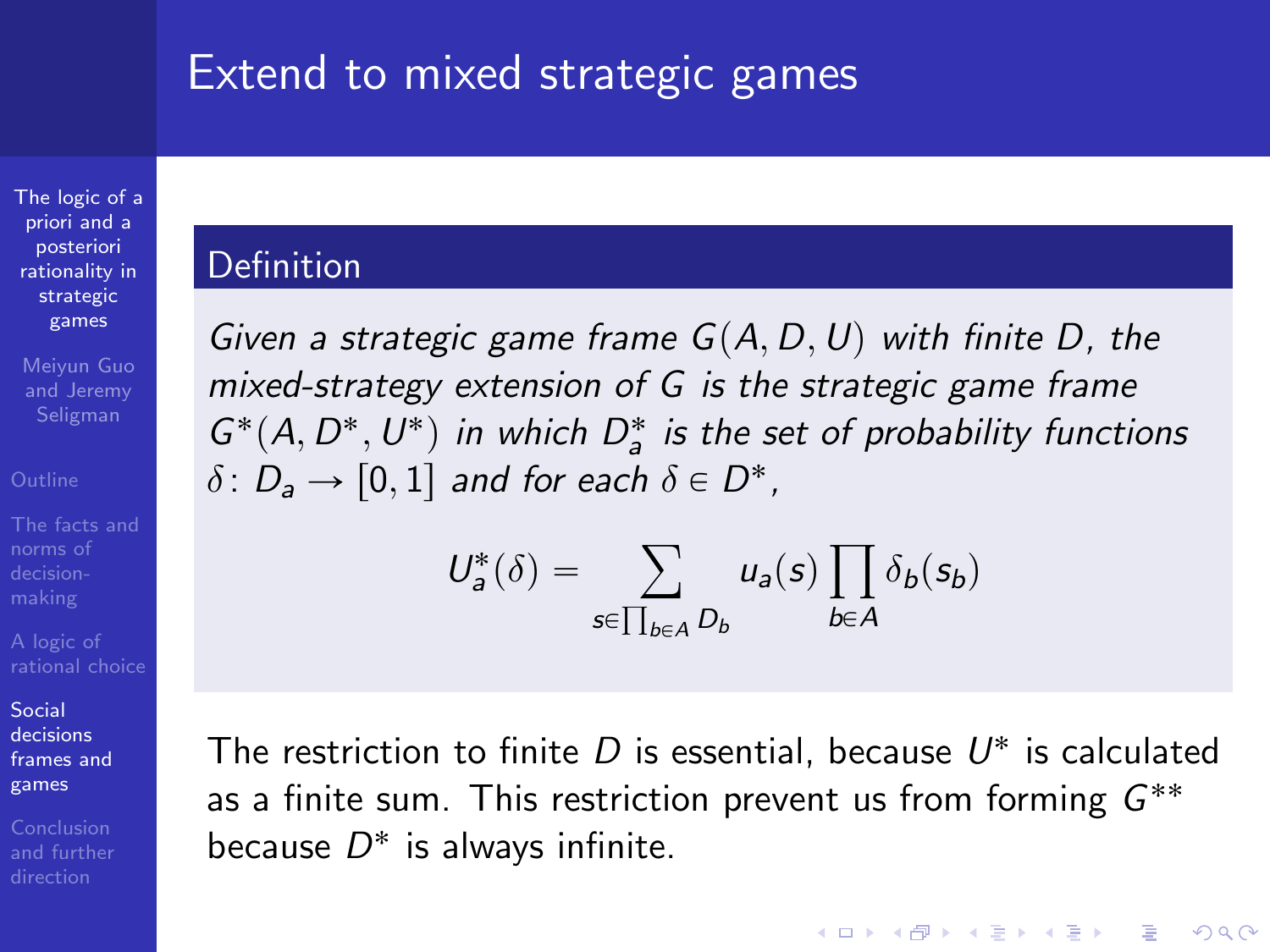### Extend to mixed strategic games

[The logic of a](#page-0-0) priori and a posteriori rationality in strategic games

Meiyun Guo and Jeremy Seligman

norms of

Social decisions [frames and](#page-44-0) games

### Definition

Given a strategic game frame  $G(A, D, U)$  with finite D, the mixed-strategy extension of G is the strategic game frame  $G^*(A, D^*, U^*)$  in which  $D^*_a$  is the set of probability functions  $\delta\colon D_{\mathsf{a}}\to [0,1]$  and for each  $\delta\in D^*$ ,

$$
U_a^*(\delta) = \sum_{s \in \prod_{b \in A} D_b} u_a(s) \prod_{b \in A} \delta_b(s_b)
$$

The restriction to finite  $D$  is essential, because  $U^*$  is calculated as a finite sum. This restriction prevent us from forming  $G^{**}$ because  $D^*$  is always infinite.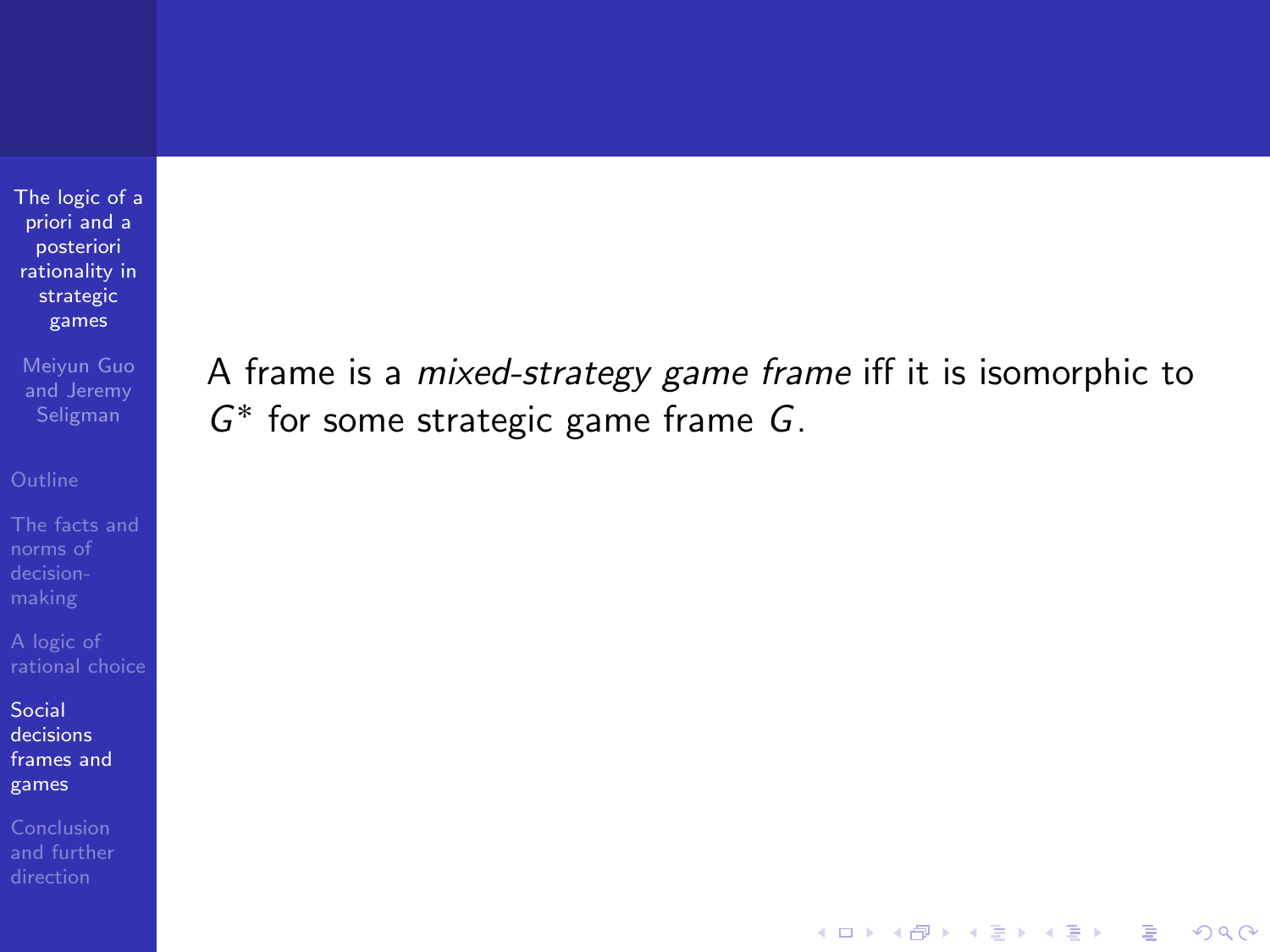[The logic of a](#page-0-0) priori and a posteriori rationality in strategic games

Meiyun Guo and Jeremy

norms of

Social decisions [frames and](#page-44-0) games

A frame is a mixed-strategy game frame iff it is isomorphic to G ˚ for some strategic game frame G.

**KOD KARD KED KED E YORA**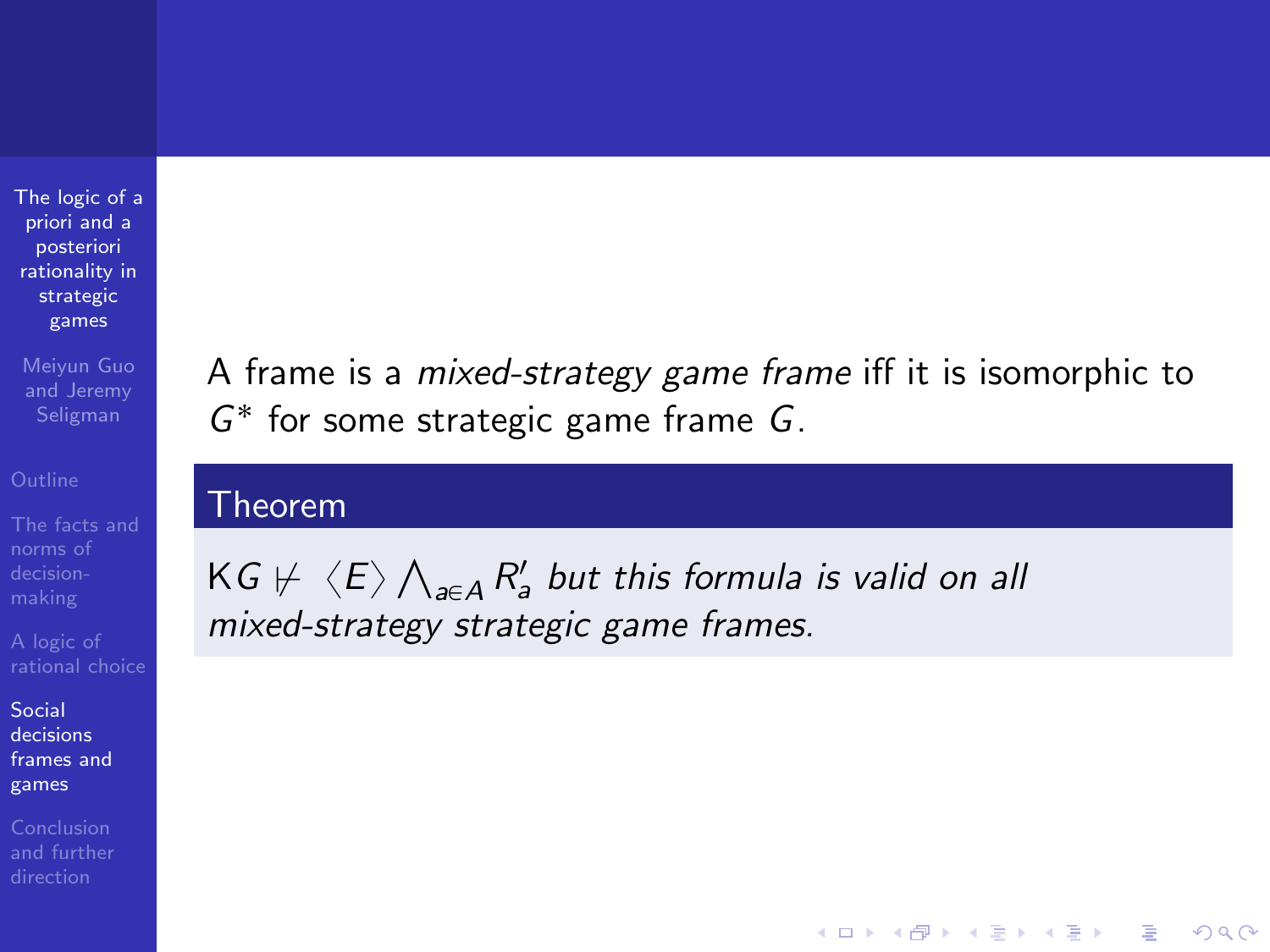[The logic of a](#page-0-0) priori and a posteriori rationality in strategic games

Meiyun Guo and Jeremy

norms of

Social decisions [frames and](#page-44-0) games

Conclusion

A frame is a mixed-strategy game frame iff it is isomorphic to G ˚ for some strategic game frame G.

**KORK STRATER STRAKER** 

### Theorem

KG  $\nvdash\langle E\rangle$ Ź  $_{a\in A}\,R^\prime_a$  but this formula is valid on all mixed-strategy strategic game frames.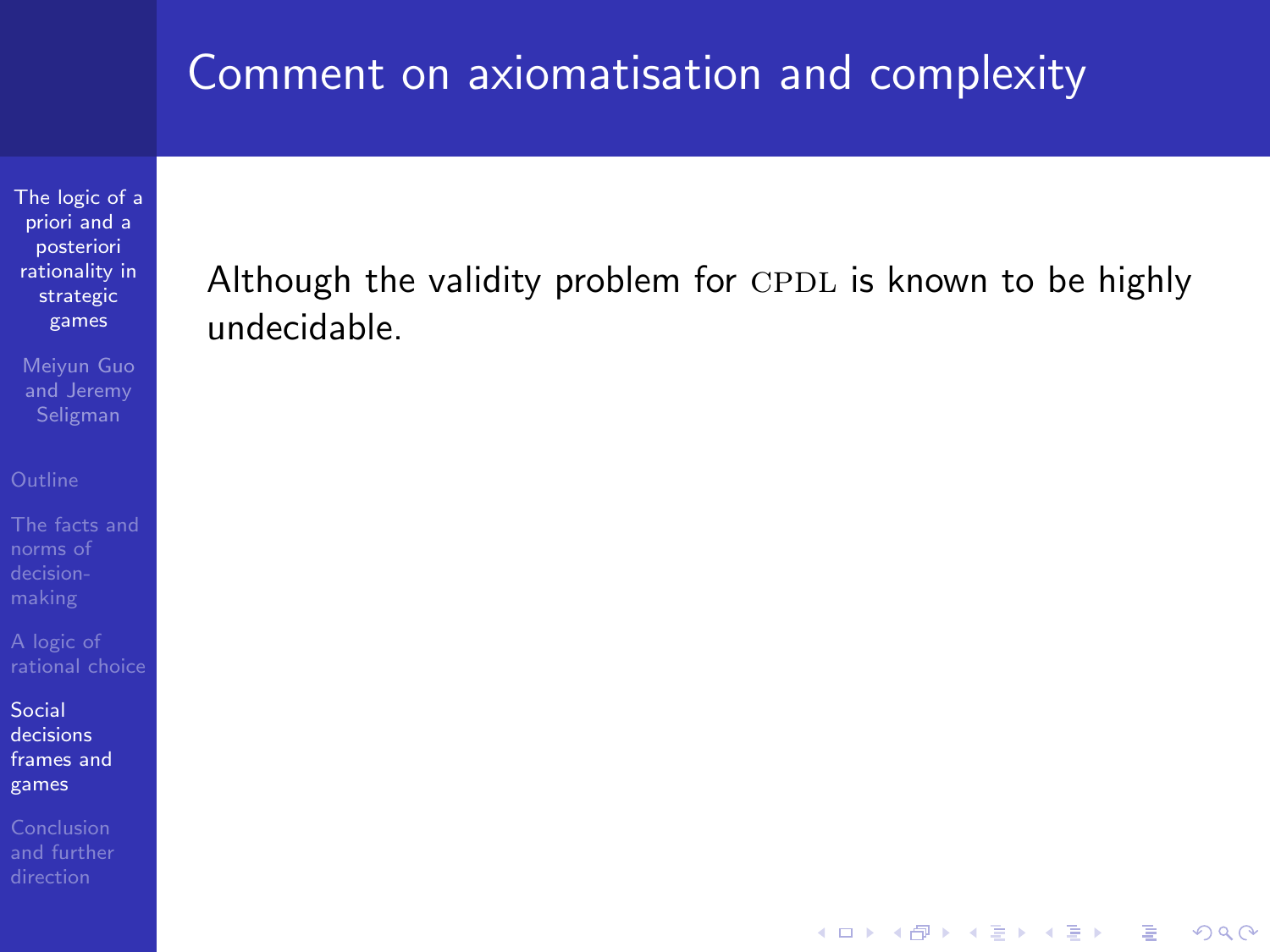[The logic of a](#page-0-0) priori and a posteriori rationality in strategic games

Meiyun Guo and Jeremy

norms of

Social decisions [frames and](#page-44-0) games

### Although the validity problem for  $\text{CPDL}$  is known to be highly undecidable.

K ロ ▶ K @ ▶ K 할 > K 할 > 1 할 > 1 이익어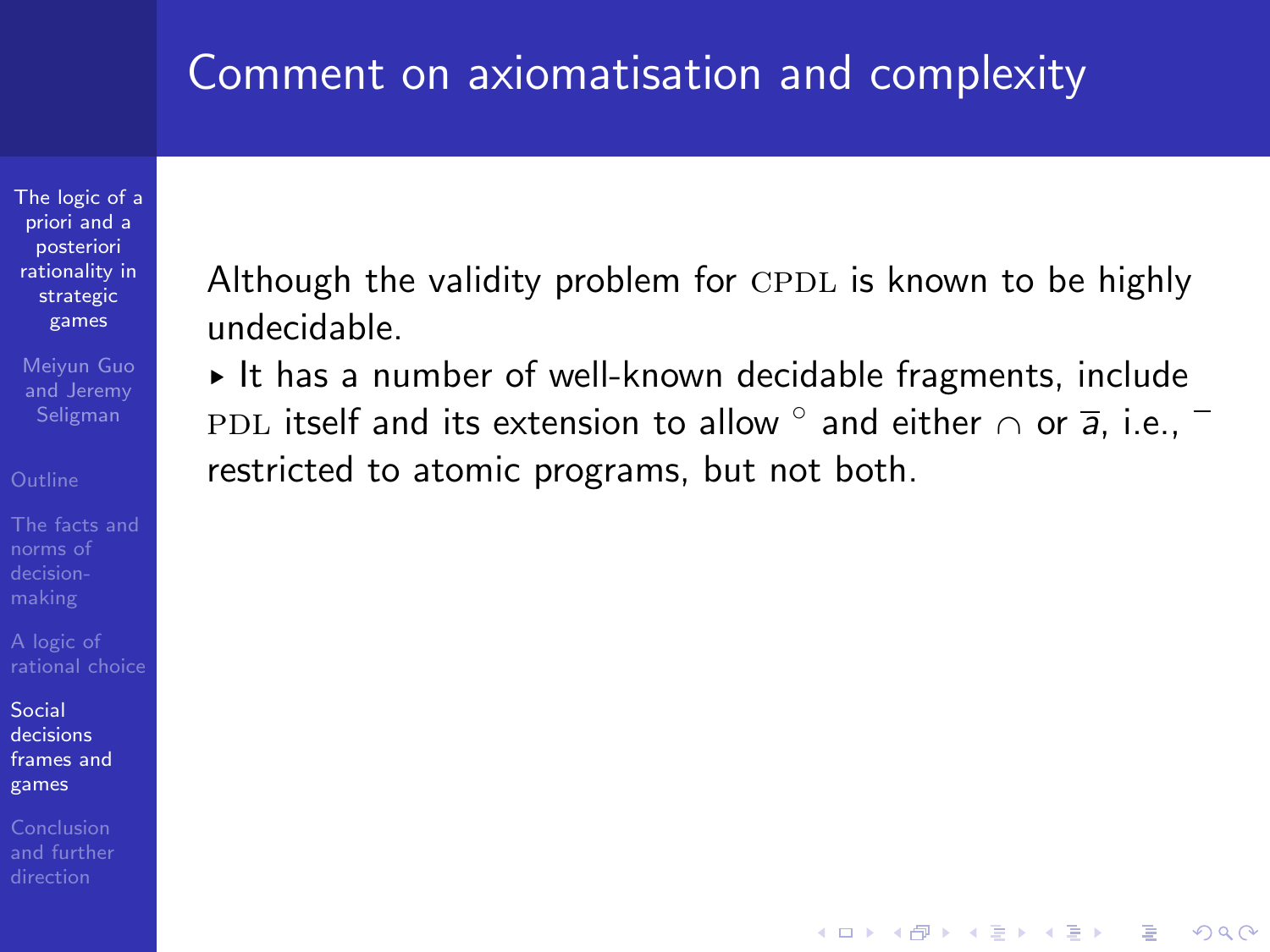[The logic of a](#page-0-0) priori and a posteriori rationality in strategic games

Meiyun Guo and Jeremy Seligman

Social decisions [frames and](#page-44-0) games

Conclusion

Although the validity problem for  $\text{CPDL}$  is known to be highly undecidable.

► It has a number of well-known decidable fragments, include <code>PDL</code> itself and its extension to allow  $^{\circ}$  and either  $\cap$  or  $\overline{\mathsf{a}},$  i.e., restricted to atomic programs, but not both.

**KORK STRATER STRAKER**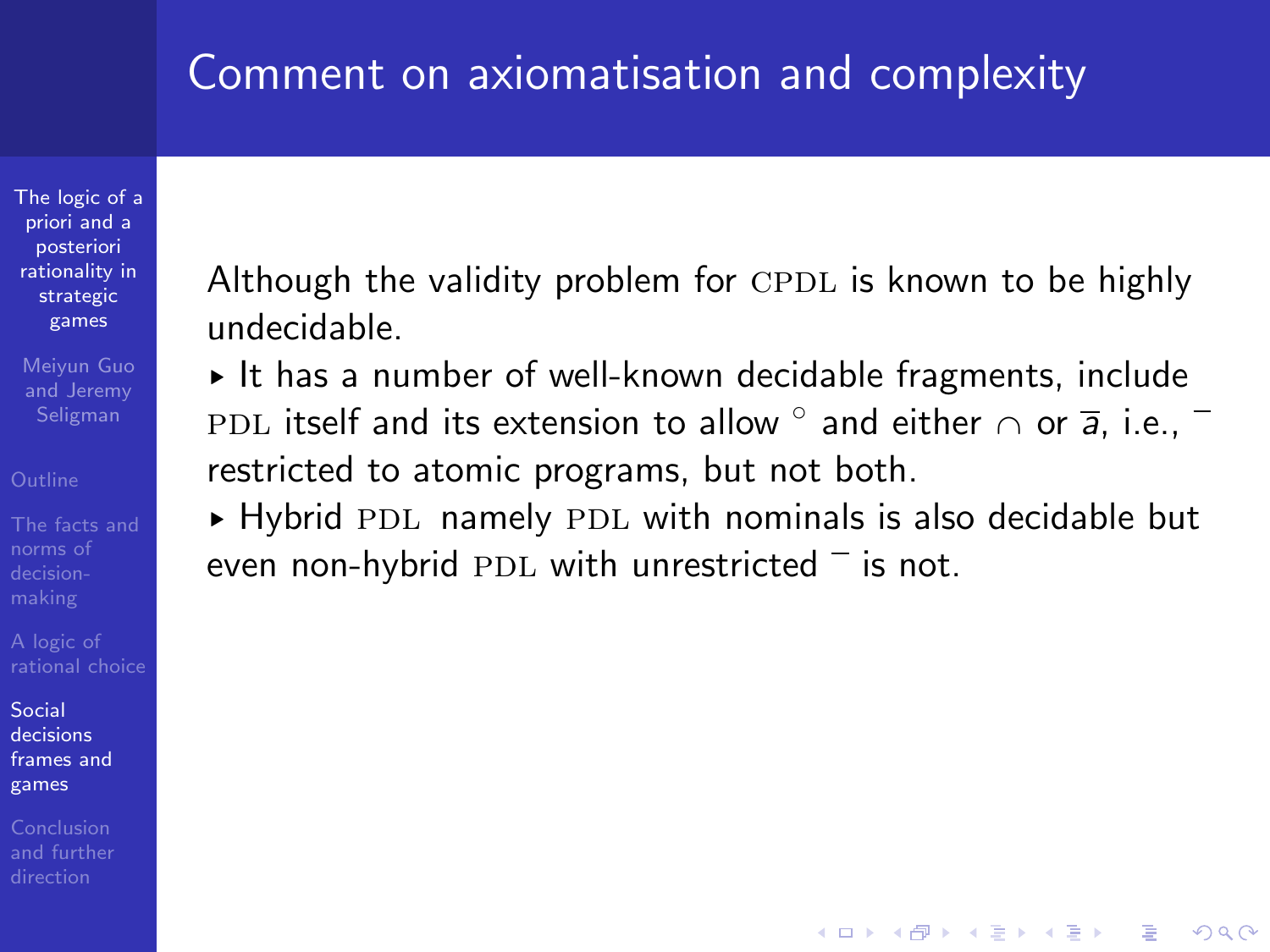[The logic of a](#page-0-0) priori and a posteriori rationality in strategic games

Meiyun Guo and Jeremy Seligman

Social decisions [frames and](#page-44-0) games

Conclusion

Although the validity problem for  $\text{CPDL}$  is known to be highly undecidable.

§ It has a number of well-known decidable fragments, include <code>PDL</code> itself and its extension to allow  $^{\circ}$  and either  $\cap$  or  $\overline{\mathsf{a}},$  i.e., restricted to atomic programs, but not both.

 $\triangleright$  Hybrid PDL namely PDL with nominals is also decidable but even non-hybrid PDL with unrestricted  $\overline{\phantom{a}}$  is not.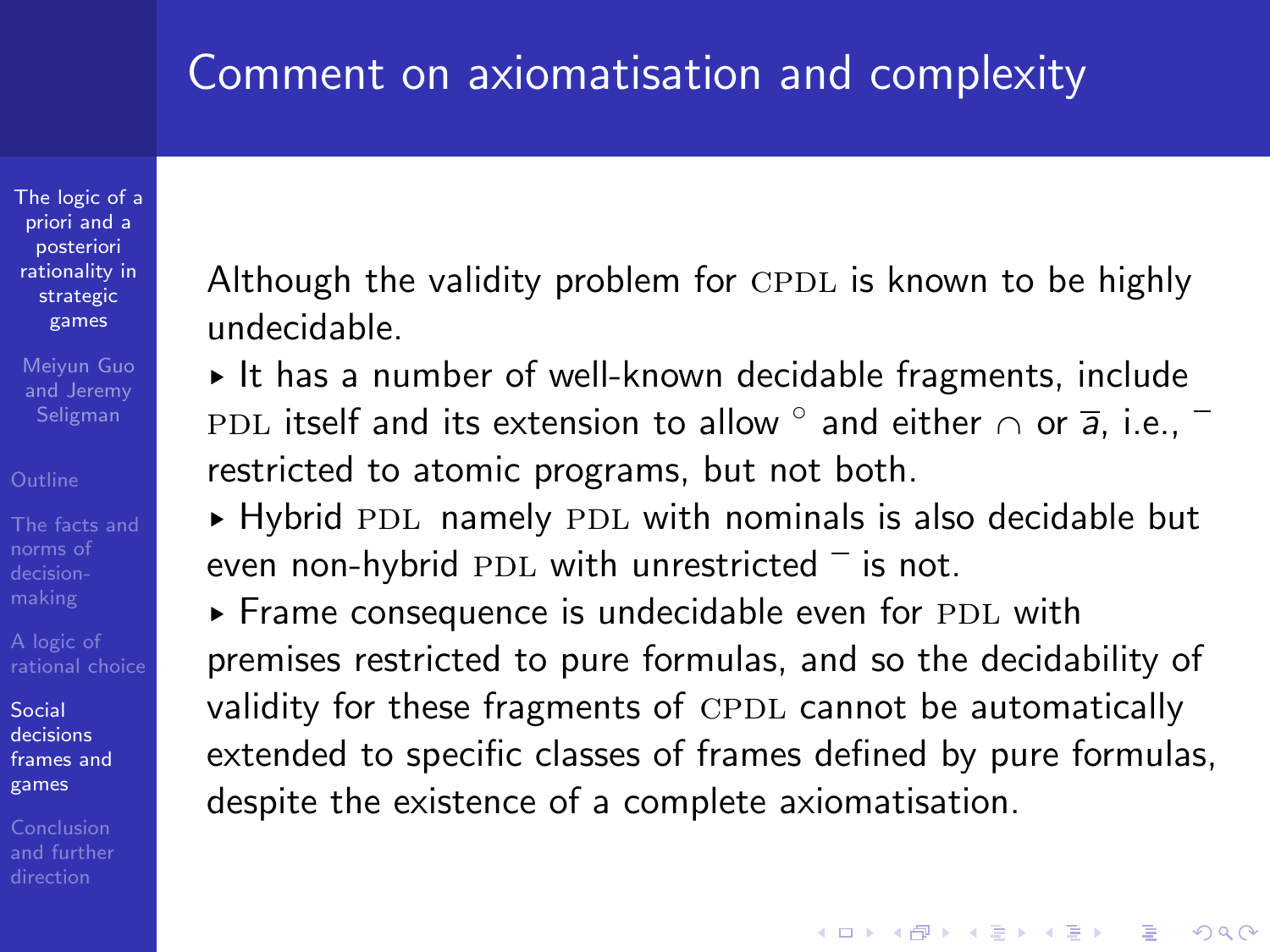[The logic of a](#page-0-0) priori and a posteriori rationality in strategic games

Meiyun Guo and Jeremy Seligman

Social decisions [frames and](#page-44-0) games

Although the validity problem for  $\text{CPDL}$  is known to be highly undecidable.

§ It has a number of well-known decidable fragments, include <code>PDL</code> itself and its extension to allow  $^{\circ}$  and either  $\cap$  or  $\overline{\mathsf{a}},$  i.e., restricted to atomic programs, but not both.

 $\triangleright$  Hybrid PDL namely PDL with nominals is also decidable but even non-hybrid PDL with unrestricted  $\overline{\phantom{a}}$  is not.

 $\triangleright$  Frame consequence is undecidable even for PDL with premises restricted to pure formulas, and so the decidability of validity for these fragments of CPDL cannot be automatically extended to specific classes of frames defined by pure formulas, despite the existence of a complete axiomatisation.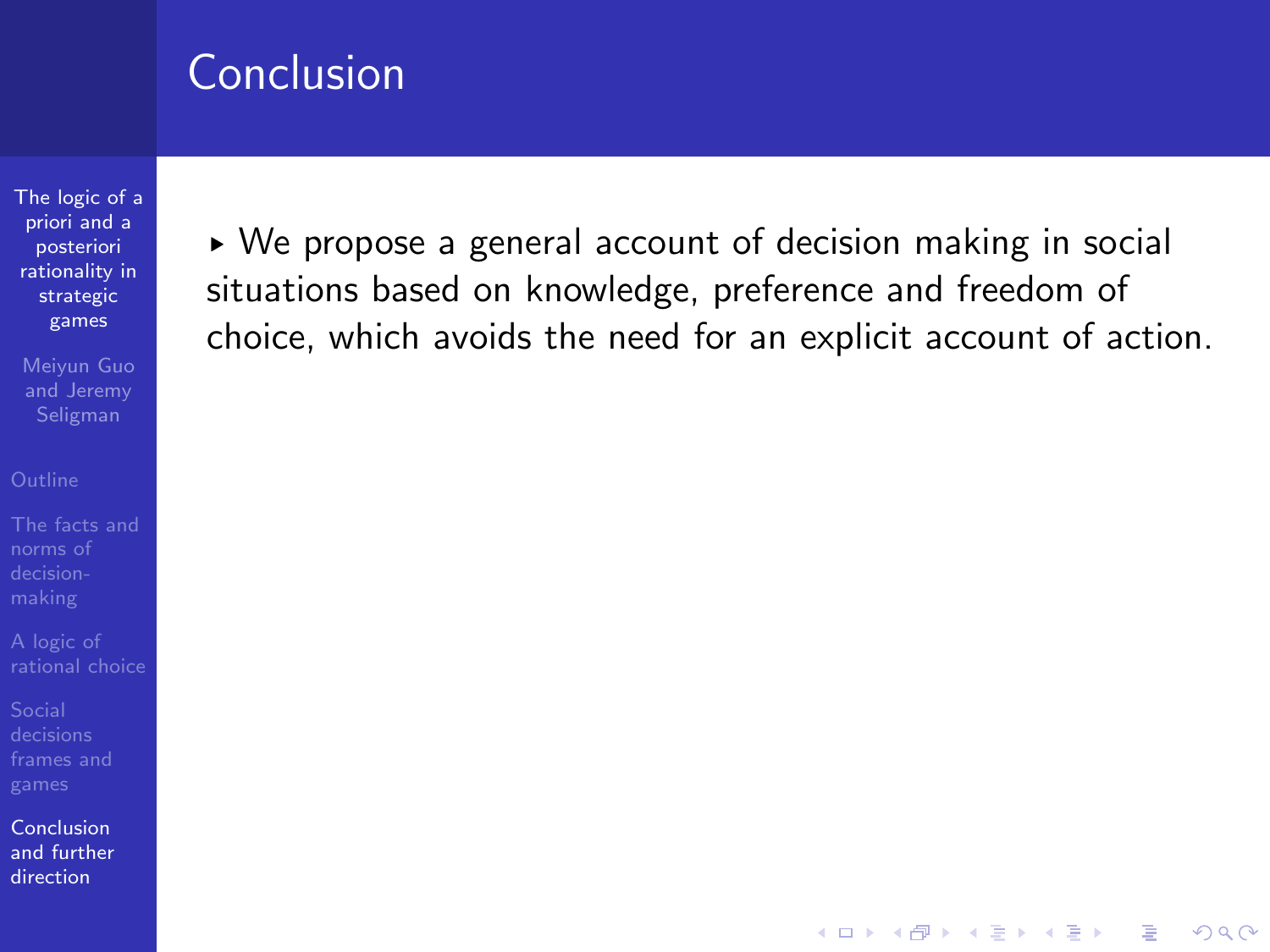[The logic of a](#page-0-0) priori and a posteriori rationality in strategic games

Meiyun Guo and Jeremy

norms of

<span id="page-82-0"></span>Conclusion [and further](#page-82-0) direction

► We propose a general account of decision making in social situations based on knowledge, preference and freedom of choice, which avoids the need for an explicit account of action.

**KORK ERKER ER AGA**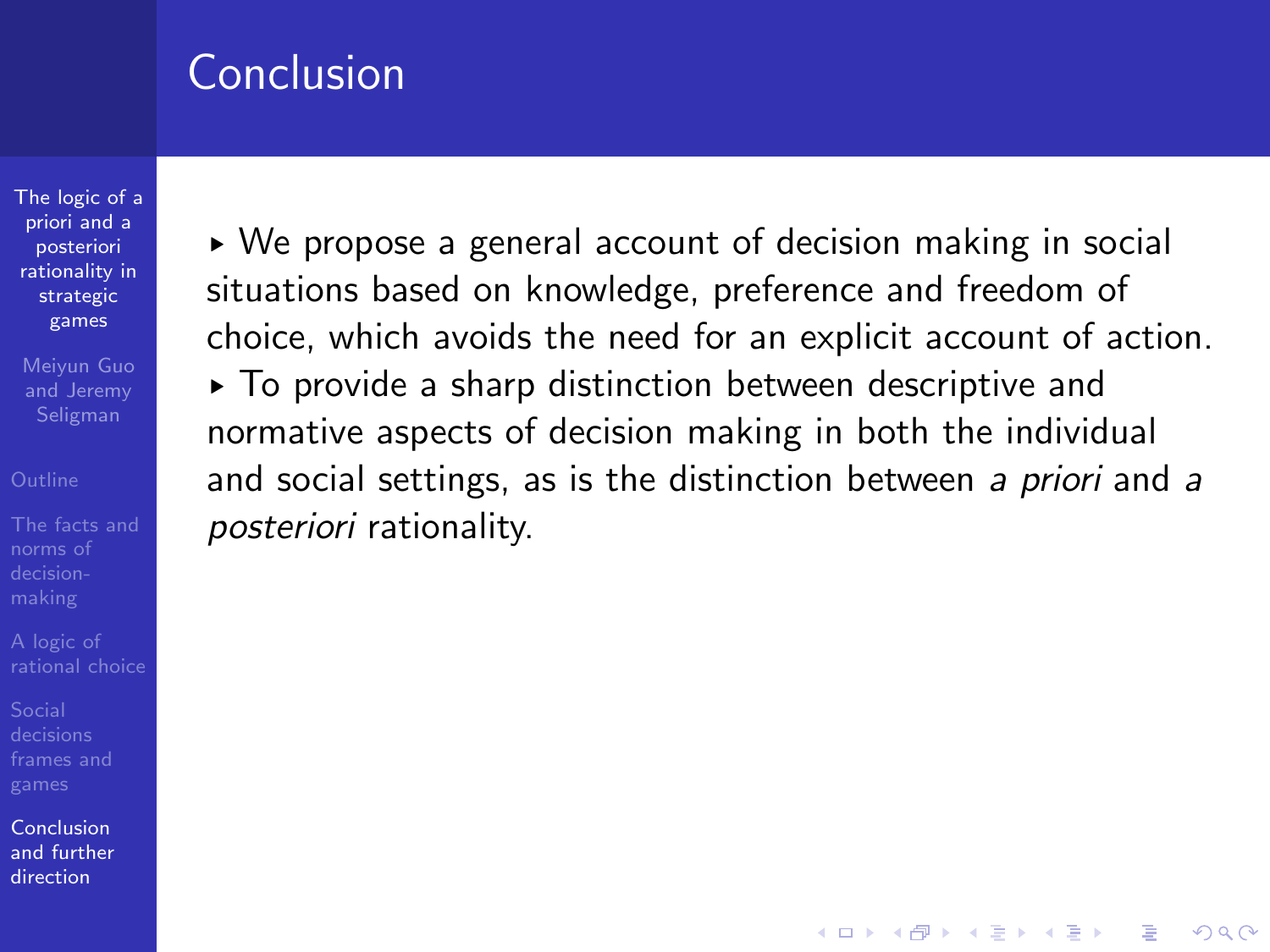[The logic of a](#page-0-0) priori and a posteriori rationality in strategic games

Meiyun Guo and Jeremy Seligman

Conclusion [and further](#page-82-0) direction

§ We propose a general account of decision making in social situations based on knowledge, preference and freedom of choice, which avoids the need for an explicit account of action. § To provide a sharp distinction between descriptive and normative aspects of decision making in both the individual and social settings, as is the distinction between a priori and a posteriori rationality.

**KORKA SERKER ORA**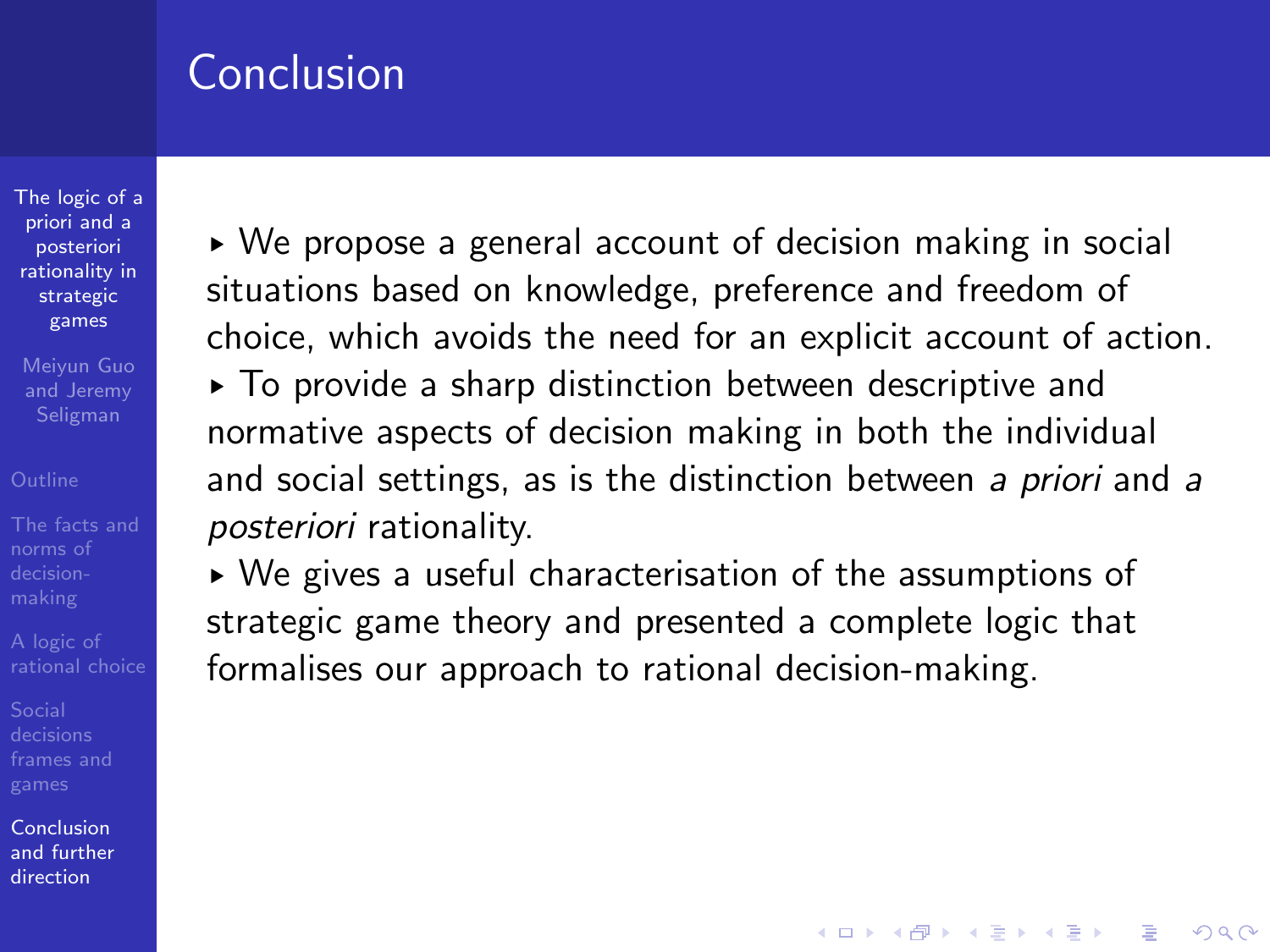[The logic of a](#page-0-0) priori and a posteriori rationality in strategic games

Meiyun Guo and Jeremy Seligman

Conclusion [and further](#page-82-0) direction

► We propose a general account of decision making in social situations based on knowledge, preference and freedom of choice, which avoids the need for an explicit account of action. § To provide a sharp distinction between descriptive and normative aspects of decision making in both the individual and social settings, as is the distinction between a priori and a posteriori rationality.

► We gives a useful characterisation of the assumptions of strategic game theory and presented a complete logic that formalises our approach to rational decision-making.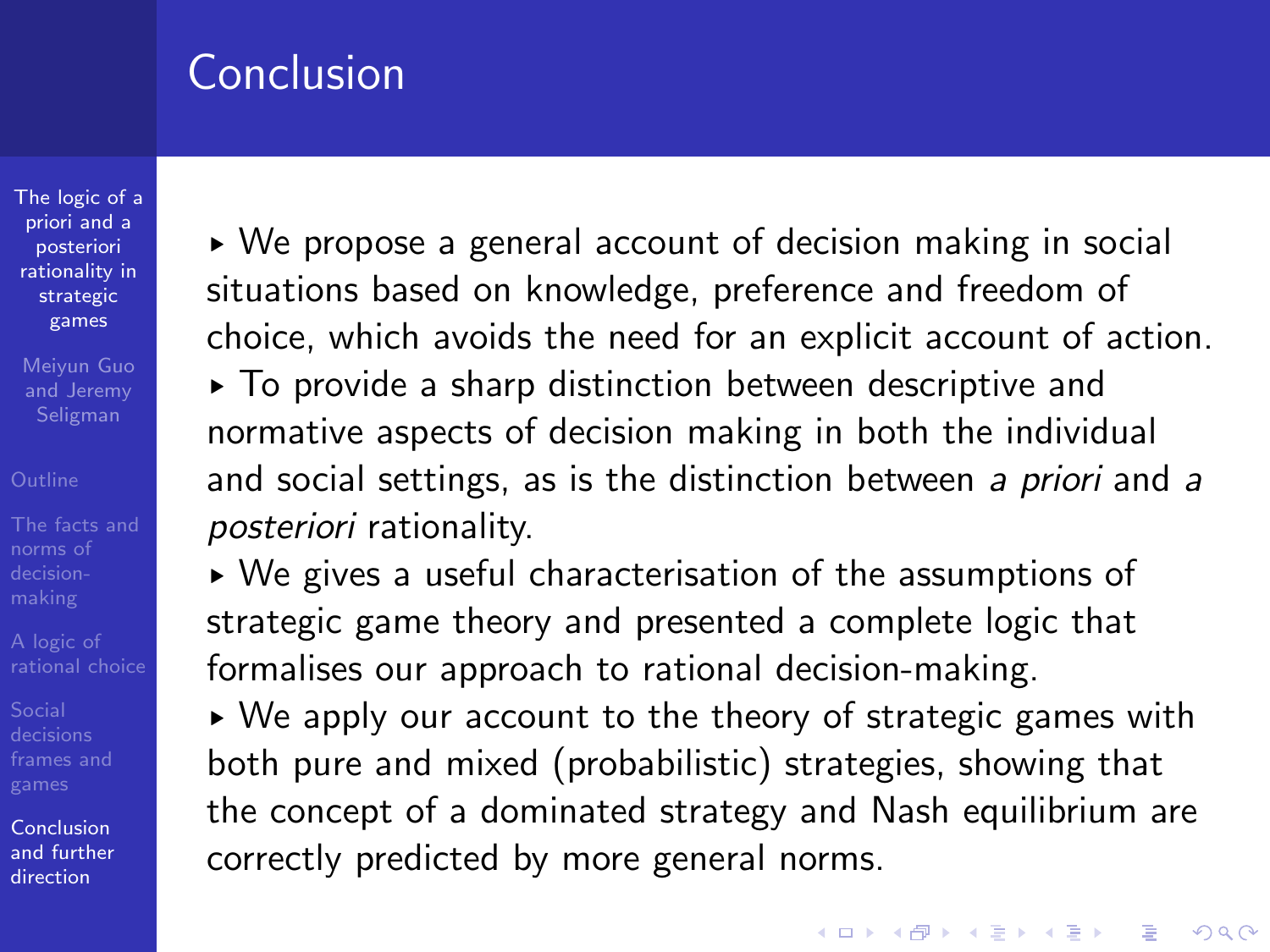[The logic of a](#page-0-0) priori and a posteriori rationality in strategic games

Meiyun Guo and Jeremy Seligman

norms of

Conclusion [and further](#page-82-0) direction

► We propose a general account of decision making in social situations based on knowledge, preference and freedom of choice, which avoids the need for an explicit account of action. § To provide a sharp distinction between descriptive and normative aspects of decision making in both the individual and social settings, as is the distinction between a priori and a posteriori rationality.

► We gives a useful characterisation of the assumptions of strategic game theory and presented a complete logic that formalises our approach to rational decision-making.

► We apply our account to the theory of strategic games with both pure and mixed (probabilistic) strategies, showing that the concept of a dominated strategy and Nash equilibrium are correctly predicted by more general norms.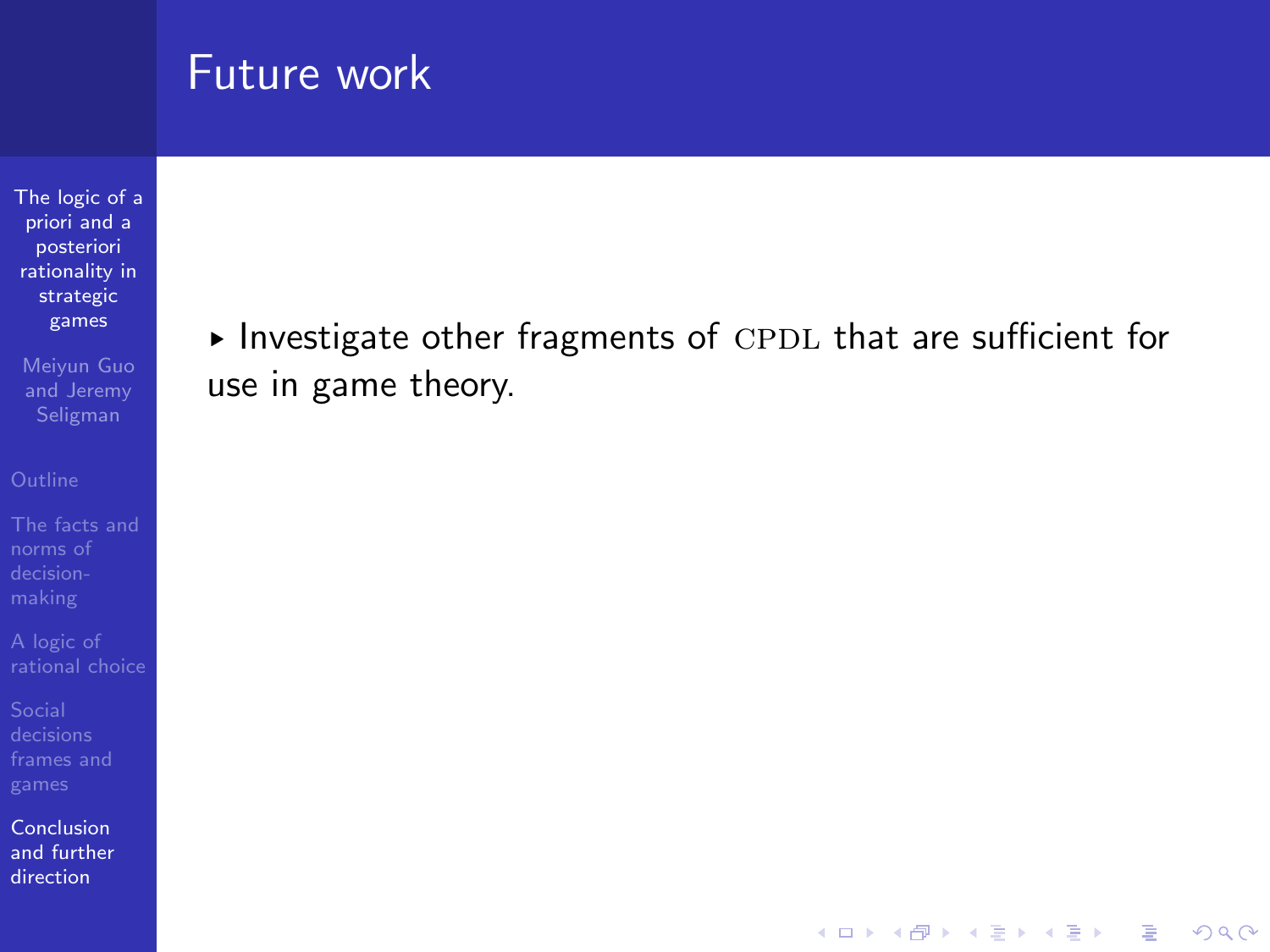[The logic of a](#page-0-0) priori and a posteriori rationality in strategic games

Meiyun Guo and Jeremy

norms of

[frames and](#page-44-0)

Conclusion [and further](#page-82-0) direction

 $\blacktriangleright$  Investigate other fragments of CPDL that are sufficient for use in game theory.

**KORKA SERKER ORA**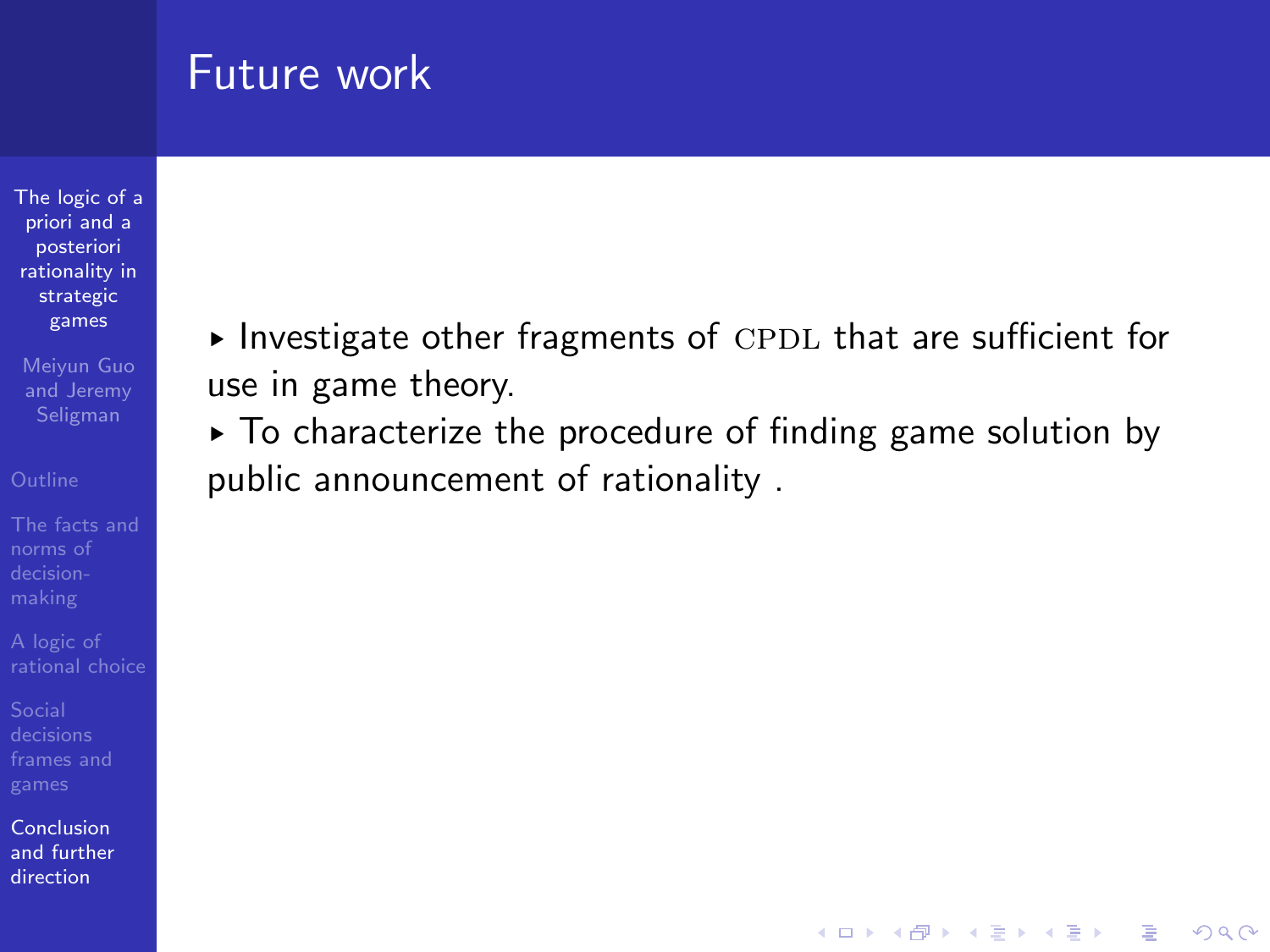[The logic of a](#page-0-0) priori and a posteriori rationality in strategic games

Meiyun Guo and Jeremy

norms of

Conclusion [and further](#page-82-0) direction

 $\blacktriangleright$  Investigate other fragments of CPDL that are sufficient for use in game theory.

 $\triangleright$  To characterize the procedure of finding game solution by public announcement of rationality .

**KORKA SERKER ORA**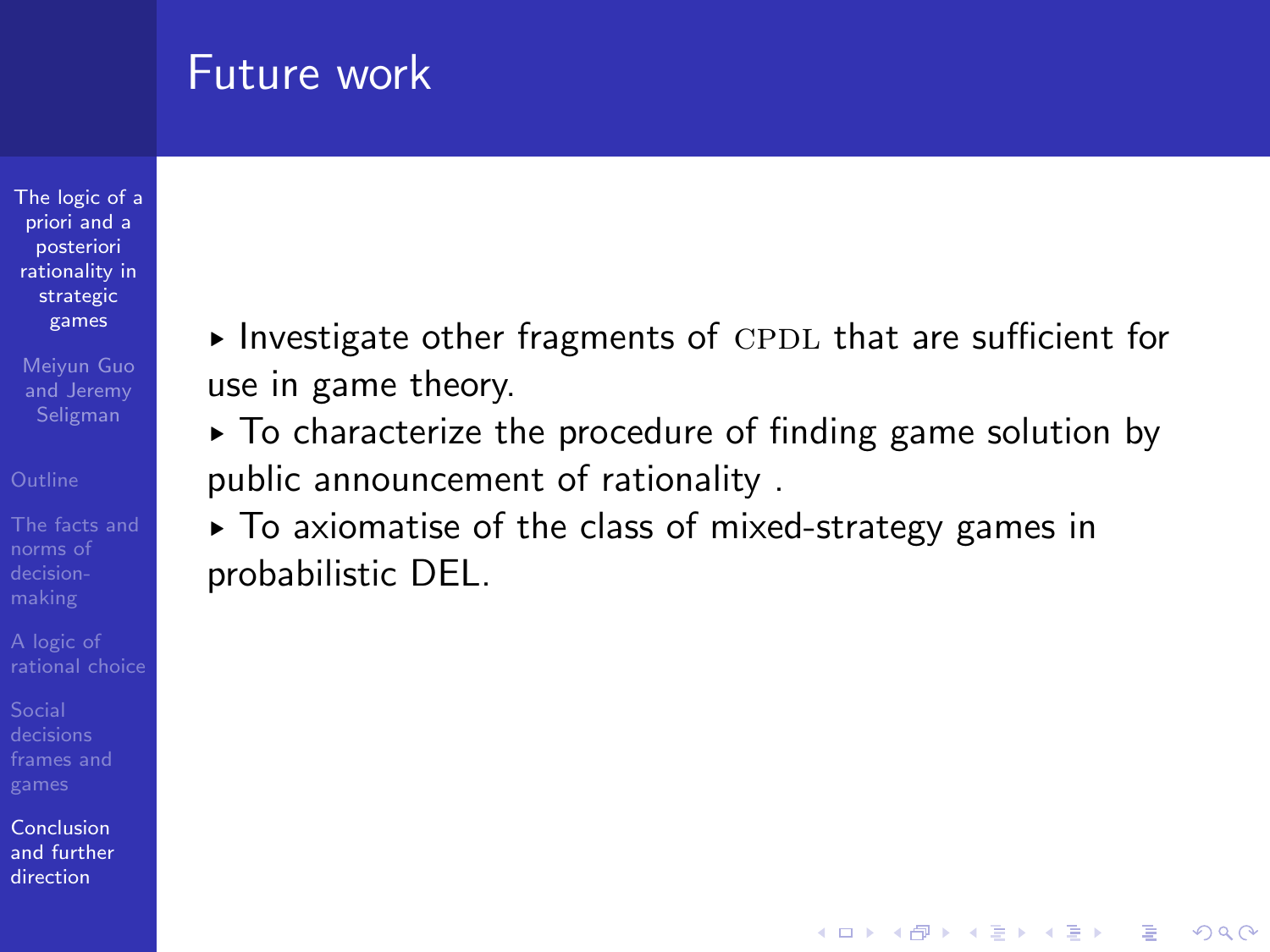[The logic of a](#page-0-0) priori and a posteriori rationality in strategic games

Meiyun Guo and Jeremy Seligman

norms of

Conclusion [and further](#page-82-0) direction

 $\blacktriangleright$  Investigate other fragments of CPDL that are sufficient for use in game theory.

 $\triangleright$  To characterize the procedure of finding game solution by public announcement of rationality .

**KORKA SERKER ORA** 

§ To axiomatise of the class of mixed-strategy games in probabilistic DEL.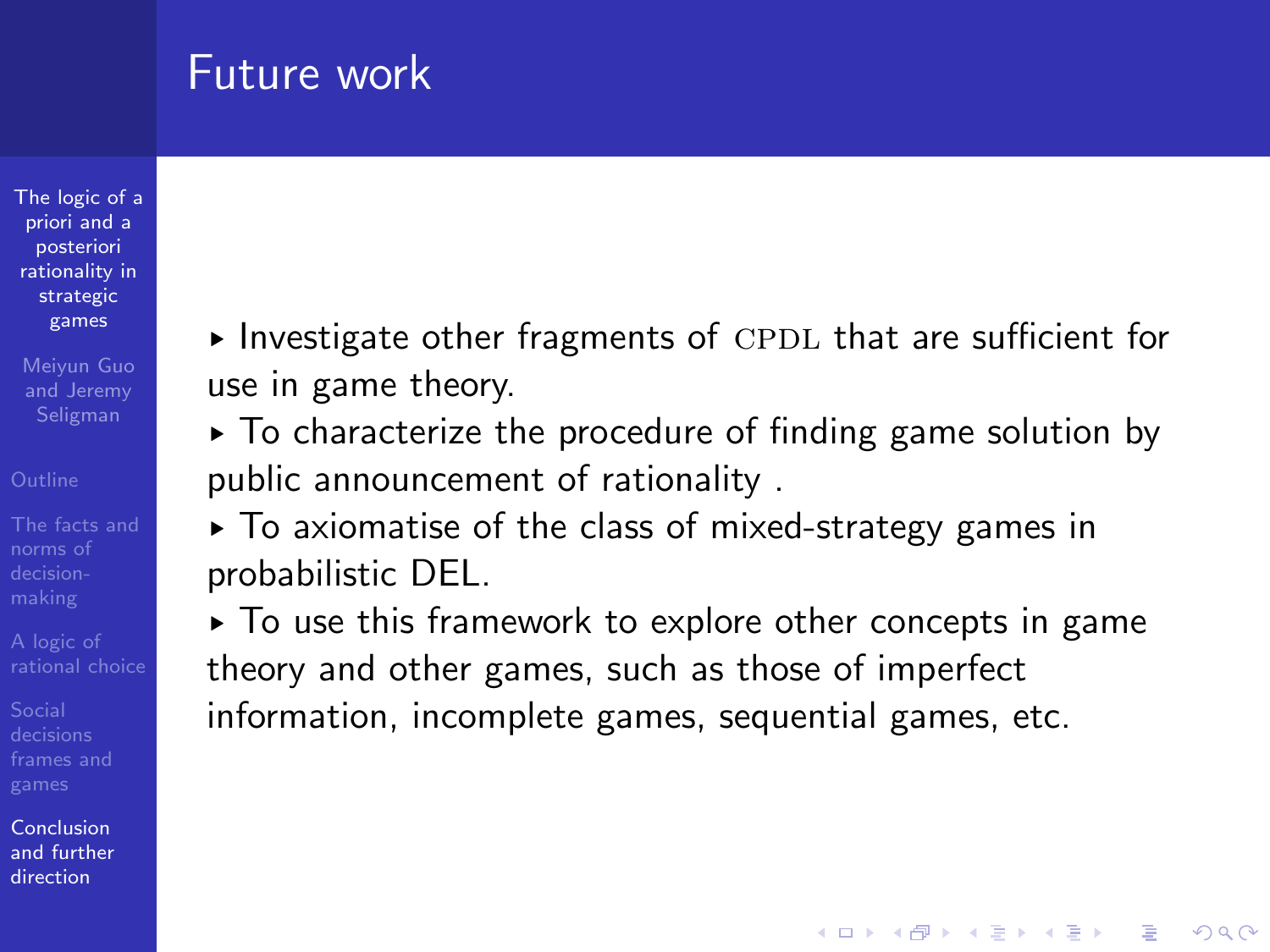[The logic of a](#page-0-0) priori and a posteriori rationality in strategic games

Meiyun Guo and Jeremy Seligman

norms of

Conclusion [and further](#page-82-0) direction

 $\blacktriangleright$  Investigate other fragments of CPDL that are sufficient for use in game theory.

 $\triangleright$  To characterize the procedure of finding game solution by public announcement of rationality .

§ To axiomatise of the class of mixed-strategy games in probabilistic DEL.

§ To use this framework to explore other concepts in game theory and other games, such as those of imperfect information, incomplete games, sequential games, etc.